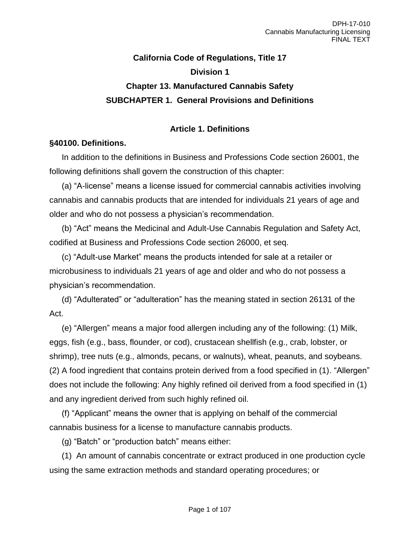# **California Code of Regulations, Title 17 Division 1 Chapter 13. Manufactured Cannabis Safety SUBCHAPTER 1. General Provisions and Definitions**

## **Article 1. Definitions**

#### **§40100. Definitions.**

In addition to the definitions in Business and Professions Code section 26001, the following definitions shall govern the construction of this chapter:

(a) "A-license" means a license issued for commercial cannabis activities involving cannabis and cannabis products that are intended for individuals 21 years of age and older and who do not possess a physician's recommendation.

(b) "Act" means the Medicinal and Adult-Use Cannabis Regulation and Safety Act, codified at Business and Professions Code section 26000, et seq.

(c) "Adult-use Market" means the products intended for sale at a retailer or microbusiness to individuals 21 years of age and older and who do not possess a physician's recommendation.

(d) "Adulterated" or "adulteration" has the meaning stated in section 26131 of the Act.

(e) "Allergen" means a major food allergen including any of the following: (1) Milk, eggs, fish (e.g., bass, flounder, or cod), crustacean shellfish (e.g., crab, lobster, or shrimp), tree nuts (e.g., almonds, pecans, or walnuts), wheat, peanuts, and soybeans. (2) A food ingredient that contains protein derived from a food specified in (1). "Allergen" does not include the following: Any highly refined oil derived from a food specified in (1) and any ingredient derived from such highly refined oil.

(f) "Applicant" means the owner that is applying on behalf of the commercial cannabis business for a license to manufacture cannabis products.

(g) "Batch" or "production batch" means either:

(1) An amount of cannabis concentrate or extract produced in one production cycle using the same extraction methods and standard operating procedures; or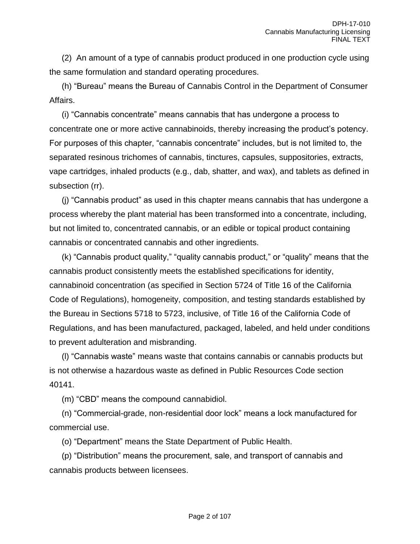(2) An amount of a type of cannabis product produced in one production cycle using the same formulation and standard operating procedures.

(h) "Bureau" means the Bureau of Cannabis Control in the Department of Consumer Affairs.

(i) "Cannabis concentrate" means cannabis that has undergone a process to concentrate one or more active cannabinoids, thereby increasing the product's potency. For purposes of this chapter, "cannabis concentrate" includes, but is not limited to, the separated resinous trichomes of cannabis, tinctures, capsules, suppositories, extracts, vape cartridges, inhaled products (e.g., dab, shatter, and wax), and tablets as defined in subsection (rr).

(j) "Cannabis product" as used in this chapter means cannabis that has undergone a process whereby the plant material has been transformed into a concentrate, including, but not limited to, concentrated cannabis, or an edible or topical product containing cannabis or concentrated cannabis and other ingredients.

(k) "Cannabis product quality," "quality cannabis product," or "quality" means that the cannabis product consistently meets the established specifications for identity, cannabinoid concentration (as specified in Section 5724 of Title 16 of the California Code of Regulations), homogeneity, composition, and testing standards established by the Bureau in Sections 5718 to 5723, inclusive, of Title 16 of the California Code of Regulations, and has been manufactured, packaged, labeled, and held under conditions to prevent adulteration and misbranding.

(l) "Cannabis waste" means waste that contains cannabis or cannabis products but is not otherwise a hazardous waste as defined in Public Resources Code section 40141.

(m) "CBD" means the compound cannabidiol.

(n) "Commercial-grade, non-residential door lock" means a lock manufactured for commercial use.

(o) "Department" means the State Department of Public Health.

(p) "Distribution" means the procurement, sale, and transport of cannabis and cannabis products between licensees.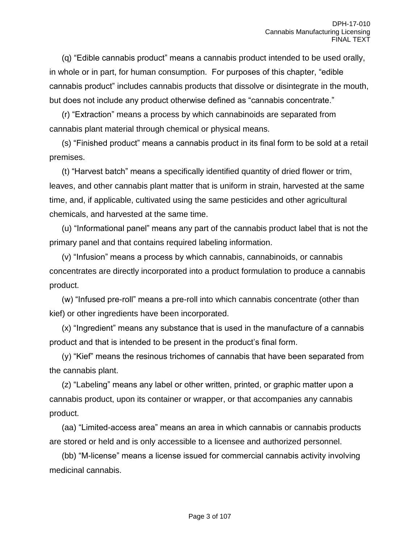(q) "Edible cannabis product" means a cannabis product intended to be used orally, in whole or in part, for human consumption. For purposes of this chapter, "edible cannabis product" includes cannabis products that dissolve or disintegrate in the mouth, but does not include any product otherwise defined as "cannabis concentrate."

(r) "Extraction" means a process by which cannabinoids are separated from cannabis plant material through chemical or physical means.

(s) "Finished product" means a cannabis product in its final form to be sold at a retail premises.

(t) "Harvest batch" means a specifically identified quantity of dried flower or trim, leaves, and other cannabis plant matter that is uniform in strain, harvested at the same time, and, if applicable, cultivated using the same pesticides and other agricultural chemicals, and harvested at the same time.

(u) "Informational panel" means any part of the cannabis product label that is not the primary panel and that contains required labeling information.

(v) "Infusion" means a process by which cannabis, cannabinoids, or cannabis concentrates are directly incorporated into a product formulation to produce a cannabis product.

(w) "Infused pre-roll" means a pre-roll into which cannabis concentrate (other than kief) or other ingredients have been incorporated.

(x) "Ingredient" means any substance that is used in the manufacture of a cannabis product and that is intended to be present in the product's final form.

(y) "Kief" means the resinous trichomes of cannabis that have been separated from the cannabis plant.

(z) "Labeling" means any label or other written, printed, or graphic matter upon a cannabis product, upon its container or wrapper, or that accompanies any cannabis product.

(aa) "Limited-access area" means an area in which cannabis or cannabis products are stored or held and is only accessible to a licensee and authorized personnel.

(bb) "M-license" means a license issued for commercial cannabis activity involving medicinal cannabis.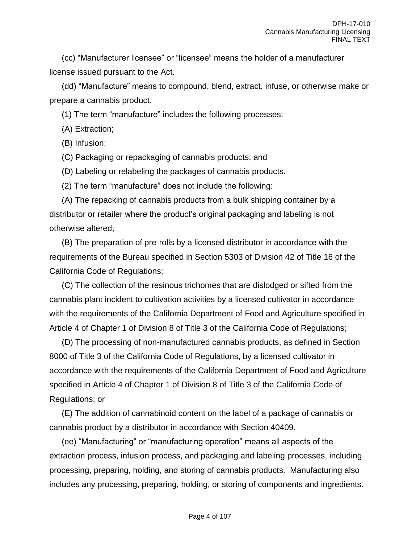(cc) "Manufacturer licensee" or "licensee" means the holder of a manufacturer license issued pursuant to the Act.

(dd) "Manufacture" means to compound, blend, extract, infuse, or otherwise make or prepare a cannabis product.

(1) The term "manufacture" includes the following processes:

(A) Extraction;

(B) Infusion;

(C) Packaging or repackaging of cannabis products; and

(D) Labeling or relabeling the packages of cannabis products.

(2) The term "manufacture" does not include the following:

(A) The repacking of cannabis products from a bulk shipping container by a distributor or retailer where the product's original packaging and labeling is not otherwise altered;

(B) The preparation of pre-rolls by a licensed distributor in accordance with the requirements of the Bureau specified in Section 5303 of Division 42 of Title 16 of the California Code of Regulations;

(C) The collection of the resinous trichomes that are dislodged or sifted from the cannabis plant incident to cultivation activities by a licensed cultivator in accordance with the requirements of the California Department of Food and Agriculture specified in Article 4 of Chapter 1 of Division 8 of Title 3 of the California Code of Regulations;

(D) The processing of non-manufactured cannabis products, as defined in Section 8000 of Title 3 of the California Code of Regulations, by a licensed cultivator in accordance with the requirements of the California Department of Food and Agriculture specified in Article 4 of Chapter 1 of Division 8 of Title 3 of the California Code of Regulations; or

(E) The addition of cannabinoid content on the label of a package of cannabis or cannabis product by a distributor in accordance with Section 40409.

(ee) "Manufacturing" or "manufacturing operation" means all aspects of the extraction process, infusion process, and packaging and labeling processes, including processing, preparing, holding, and storing of cannabis products. Manufacturing also includes any processing, preparing, holding, or storing of components and ingredients.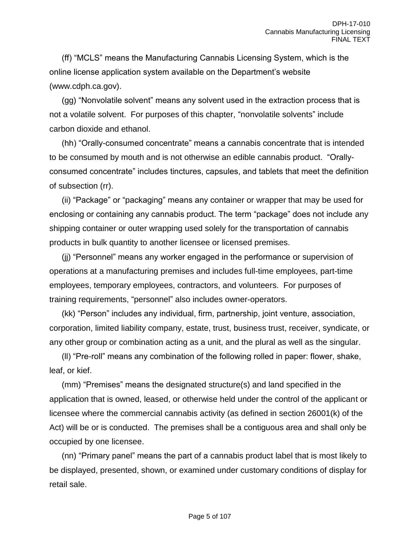(ff) "MCLS" means the Manufacturing Cannabis Licensing System, which is the online license application system available on the Department's website (www.cdph.ca.gov).

(gg) "Nonvolatile solvent" means any solvent used in the extraction process that is not a volatile solvent. For purposes of this chapter, "nonvolatile solvents" include carbon dioxide and ethanol.

(hh) "Orally-consumed concentrate" means a cannabis concentrate that is intended to be consumed by mouth and is not otherwise an edible cannabis product. "Orallyconsumed concentrate" includes tinctures, capsules, and tablets that meet the definition of subsection (rr).

(ii) "Package" or "packaging" means any container or wrapper that may be used for enclosing or containing any cannabis product. The term "package" does not include any shipping container or outer wrapping used solely for the transportation of cannabis products in bulk quantity to another licensee or licensed premises.

(jj) "Personnel" means any worker engaged in the performance or supervision of operations at a manufacturing premises and includes full-time employees, part-time employees, temporary employees, contractors, and volunteers. For purposes of training requirements, "personnel" also includes owner-operators.

(kk) "Person" includes any individual, firm, partnership, joint venture, association, corporation, limited liability company, estate, trust, business trust, receiver, syndicate, or any other group or combination acting as a unit, and the plural as well as the singular.

(ll) "Pre-roll" means any combination of the following rolled in paper: flower, shake, leaf, or kief.

(mm) "Premises" means the designated structure(s) and land specified in the application that is owned, leased, or otherwise held under the control of the applicant or licensee where the commercial cannabis activity (as defined in section 26001(k) of the Act) will be or is conducted. The premises shall be a contiguous area and shall only be occupied by one licensee.

(nn) "Primary panel" means the part of a cannabis product label that is most likely to be displayed, presented, shown, or examined under customary conditions of display for retail sale.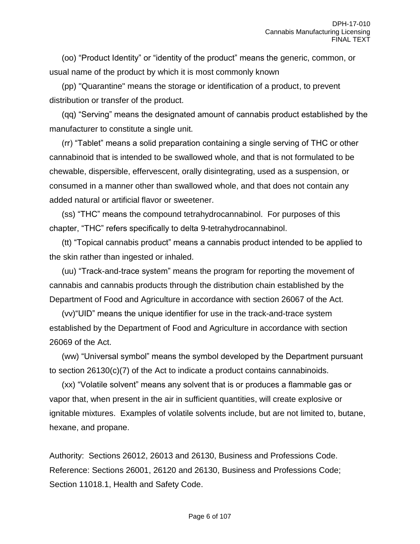(oo) "Product Identity" or "identity of the product" means the generic, common, or usual name of the product by which it is most commonly known

(pp) "Quarantine" means the storage or identification of a product, to prevent distribution or transfer of the product.

(qq) "Serving" means the designated amount of cannabis product established by the manufacturer to constitute a single unit.

(rr) "Tablet" means a solid preparation containing a single serving of THC or other cannabinoid that is intended to be swallowed whole, and that is not formulated to be chewable, dispersible, effervescent, orally disintegrating, used as a suspension, or consumed in a manner other than swallowed whole, and that does not contain any added natural or artificial flavor or sweetener.

(ss) "THC" means the compound tetrahydrocannabinol. For purposes of this chapter, "THC" refers specifically to delta 9-tetrahydrocannabinol.

(tt) "Topical cannabis product" means a cannabis product intended to be applied to the skin rather than ingested or inhaled.

(uu) "Track-and-trace system" means the program for reporting the movement of cannabis and cannabis products through the distribution chain established by the Department of Food and Agriculture in accordance with section 26067 of the Act.

(vv)"UID" means the unique identifier for use in the track-and-trace system established by the Department of Food and Agriculture in accordance with section 26069 of the Act.

(ww) "Universal symbol" means the symbol developed by the Department pursuant to section 26130(c)(7) of the Act to indicate a product contains cannabinoids.

(xx) "Volatile solvent" means any solvent that is or produces a flammable gas or vapor that, when present in the air in sufficient quantities, will create explosive or ignitable mixtures. Examples of volatile solvents include, but are not limited to, butane, hexane, and propane.

Authority: Sections 26012, 26013 and 26130, Business and Professions Code. Reference: Sections 26001, 26120 and 26130, Business and Professions Code; Section 11018.1, Health and Safety Code.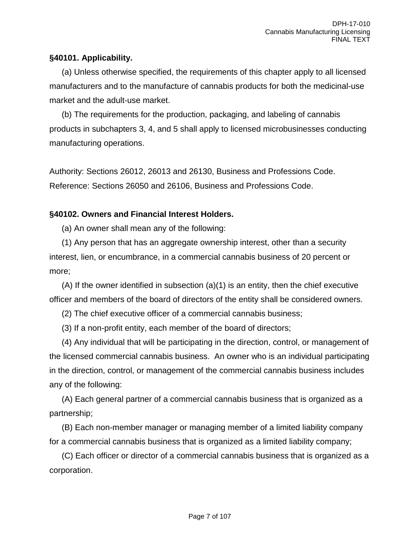## **§40101. Applicability.**

(a) Unless otherwise specified, the requirements of this chapter apply to all licensed manufacturers and to the manufacture of cannabis products for both the medicinal-use market and the adult-use market.

(b) The requirements for the production, packaging, and labeling of cannabis products in subchapters 3, 4, and 5 shall apply to licensed microbusinesses conducting manufacturing operations.

Authority: Sections 26012, 26013 and 26130, Business and Professions Code. Reference: Sections 26050 and 26106, Business and Professions Code.

#### **§40102. Owners and Financial Interest Holders.**

(a) An owner shall mean any of the following:

(1) Any person that has an aggregate ownership interest, other than a security interest, lien, or encumbrance, in a commercial cannabis business of 20 percent or more;

 $(A)$  If the owner identified in subsection  $(a)(1)$  is an entity, then the chief executive officer and members of the board of directors of the entity shall be considered owners.

(2) The chief executive officer of a commercial cannabis business;

(3) If a non-profit entity, each member of the board of directors;

(4) Any individual that will be participating in the direction, control, or management of the licensed commercial cannabis business. An owner who is an individual participating in the direction, control, or management of the commercial cannabis business includes any of the following:

(A) Each general partner of a commercial cannabis business that is organized as a partnership;

(B) Each non-member manager or managing member of a limited liability company for a commercial cannabis business that is organized as a limited liability company;

(C) Each officer or director of a commercial cannabis business that is organized as a corporation.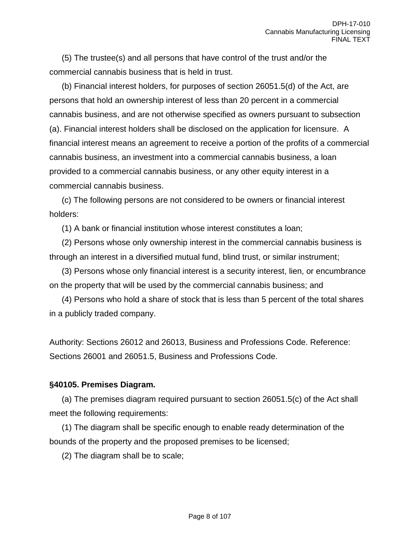(5) The trustee(s) and all persons that have control of the trust and/or the commercial cannabis business that is held in trust.

(b) Financial interest holders, for purposes of section 26051.5(d) of the Act, are persons that hold an ownership interest of less than 20 percent in a commercial cannabis business, and are not otherwise specified as owners pursuant to subsection (a). Financial interest holders shall be disclosed on the application for licensure. A financial interest means an agreement to receive a portion of the profits of a commercial cannabis business, an investment into a commercial cannabis business, a loan provided to a commercial cannabis business, or any other equity interest in a commercial cannabis business.

(c) The following persons are not considered to be owners or financial interest holders:

(1) A bank or financial institution whose interest constitutes a loan;

(2) Persons whose only ownership interest in the commercial cannabis business is through an interest in a diversified mutual fund, blind trust, or similar instrument;

(3) Persons whose only financial interest is a security interest, lien, or encumbrance on the property that will be used by the commercial cannabis business; and

(4) Persons who hold a share of stock that is less than 5 percent of the total shares in a publicly traded company.

Authority: Sections 26012 and 26013, Business and Professions Code. Reference: Sections 26001 and 26051.5, Business and Professions Code.

#### **§40105. Premises Diagram.**

(a) The premises diagram required pursuant to section 26051.5(c) of the Act shall meet the following requirements:

(1) The diagram shall be specific enough to enable ready determination of the bounds of the property and the proposed premises to be licensed;

(2) The diagram shall be to scale;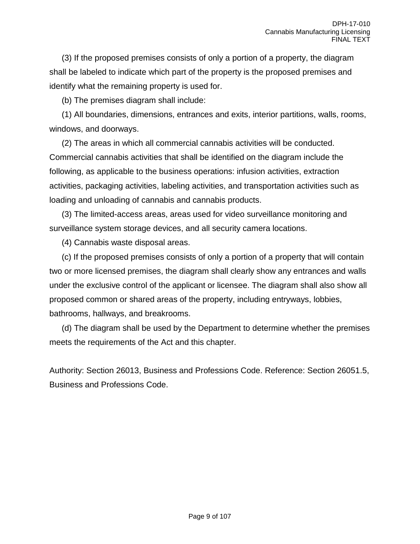(3) If the proposed premises consists of only a portion of a property, the diagram shall be labeled to indicate which part of the property is the proposed premises and identify what the remaining property is used for.

(b) The premises diagram shall include:

(1) All boundaries, dimensions, entrances and exits, interior partitions, walls, rooms, windows, and doorways.

(2) The areas in which all commercial cannabis activities will be conducted. Commercial cannabis activities that shall be identified on the diagram include the following, as applicable to the business operations: infusion activities, extraction activities, packaging activities, labeling activities, and transportation activities such as loading and unloading of cannabis and cannabis products.

(3) The limited-access areas, areas used for video surveillance monitoring and surveillance system storage devices, and all security camera locations.

(4) Cannabis waste disposal areas.

(c) If the proposed premises consists of only a portion of a property that will contain two or more licensed premises, the diagram shall clearly show any entrances and walls under the exclusive control of the applicant or licensee. The diagram shall also show all proposed common or shared areas of the property, including entryways, lobbies, bathrooms, hallways, and breakrooms.

(d) The diagram shall be used by the Department to determine whether the premises meets the requirements of the Act and this chapter.

Authority: Section 26013, Business and Professions Code. Reference: Section 26051.5, Business and Professions Code.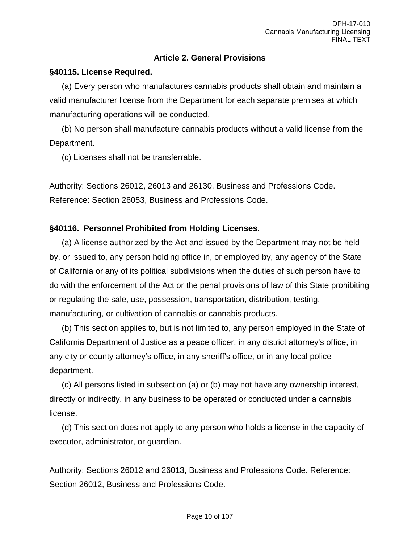#### **Article 2. General Provisions**

### **§40115. License Required.**

(a) Every person who manufactures cannabis products shall obtain and maintain a valid manufacturer license from the Department for each separate premises at which manufacturing operations will be conducted.

(b) No person shall manufacture cannabis products without a valid license from the Department.

(c) Licenses shall not be transferrable.

Authority: Sections 26012, 26013 and 26130, Business and Professions Code. Reference: Section 26053, Business and Professions Code.

#### **§40116. Personnel Prohibited from Holding Licenses.**

(a) A license authorized by the Act and issued by the Department may not be held by, or issued to, any person holding office in, or employed by, any agency of the State of California or any of its political subdivisions when the duties of such person have to do with the enforcement of the Act or the penal provisions of law of this State prohibiting or regulating the sale, use, possession, transportation, distribution, testing, manufacturing, or cultivation of cannabis or cannabis products.

(b) This section applies to, but is not limited to, any person employed in the State of California Department of Justice as a peace officer, in any district attorney's office, in any city or county attorney's office, in any sheriff's office, or in any local police department.

(c) All persons listed in subsection (a) or (b) may not have any ownership interest, directly or indirectly, in any business to be operated or conducted under a cannabis license.

(d) This section does not apply to any person who holds a license in the capacity of executor, administrator, or guardian.

Authority: Sections 26012 and 26013, Business and Professions Code. Reference: Section 26012, Business and Professions Code.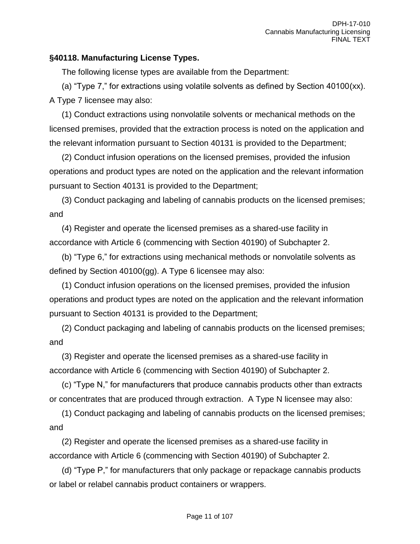#### **§40118. Manufacturing License Types.**

The following license types are available from the Department:

(a) "Type 7," for extractions using volatile solvents as defined by Section 40100(xx). A Type 7 licensee may also:

(1) Conduct extractions using nonvolatile solvents or mechanical methods on the licensed premises, provided that the extraction process is noted on the application and the relevant information pursuant to Section 40131 is provided to the Department;

(2) Conduct infusion operations on the licensed premises, provided the infusion operations and product types are noted on the application and the relevant information pursuant to Section 40131 is provided to the Department;

(3) Conduct packaging and labeling of cannabis products on the licensed premises; and

(4) Register and operate the licensed premises as a shared-use facility in accordance with Article 6 (commencing with Section 40190) of Subchapter 2.

(b) "Type 6," for extractions using mechanical methods or nonvolatile solvents as defined by Section 40100(gg). A Type 6 licensee may also:

(1) Conduct infusion operations on the licensed premises, provided the infusion operations and product types are noted on the application and the relevant information pursuant to Section 40131 is provided to the Department;

(2) Conduct packaging and labeling of cannabis products on the licensed premises; and

(3) Register and operate the licensed premises as a shared-use facility in accordance with Article 6 (commencing with Section 40190) of Subchapter 2.

(c) "Type N," for manufacturers that produce cannabis products other than extracts or concentrates that are produced through extraction. A Type N licensee may also:

(1) Conduct packaging and labeling of cannabis products on the licensed premises; and

(2) Register and operate the licensed premises as a shared-use facility in accordance with Article 6 (commencing with Section 40190) of Subchapter 2.

(d) "Type P," for manufacturers that only package or repackage cannabis products or label or relabel cannabis product containers or wrappers.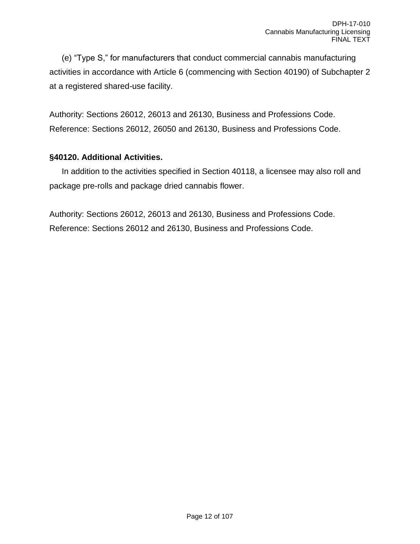(e) "Type S," for manufacturers that conduct commercial cannabis manufacturing activities in accordance with Article 6 (commencing with Section 40190) of Subchapter 2 at a registered shared-use facility.

Authority: Sections 26012, 26013 and 26130, Business and Professions Code. Reference: Sections 26012, 26050 and 26130, Business and Professions Code.

#### **§40120. Additional Activities.**

In addition to the activities specified in Section 40118, a licensee may also roll and package pre-rolls and package dried cannabis flower.

Authority: Sections 26012, 26013 and 26130, Business and Professions Code. Reference: Sections 26012 and 26130, Business and Professions Code.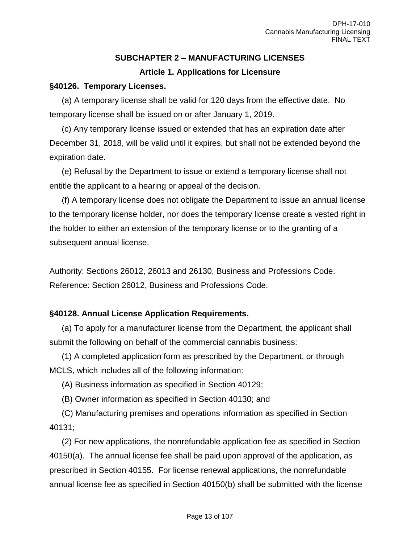## **SUBCHAPTER 2 – MANUFACTURING LICENSES**

#### **Article 1. Applications for Licensure**

#### **§40126. Temporary Licenses.**

(a) A temporary license shall be valid for 120 days from the effective date. No temporary license shall be issued on or after January 1, 2019.

(c) Any temporary license issued or extended that has an expiration date after December 31, 2018, will be valid until it expires, but shall not be extended beyond the expiration date.

(e) Refusal by the Department to issue or extend a temporary license shall not entitle the applicant to a hearing or appeal of the decision.

(f) A temporary license does not obligate the Department to issue an annual license to the temporary license holder, nor does the temporary license create a vested right in the holder to either an extension of the temporary license or to the granting of a subsequent annual license.

Authority: Sections 26012, 26013 and 26130, Business and Professions Code. Reference: Section 26012, Business and Professions Code.

#### **§40128. Annual License Application Requirements.**

(a) To apply for a manufacturer license from the Department, the applicant shall submit the following on behalf of the commercial cannabis business:

(1) A completed application form as prescribed by the Department, or through MCLS, which includes all of the following information:

(A) Business information as specified in Section 40129;

(B) Owner information as specified in Section 40130; and

(C) Manufacturing premises and operations information as specified in Section 40131;

(2) For new applications, the nonrefundable application fee as specified in Section 40150(a). The annual license fee shall be paid upon approval of the application, as prescribed in Section 40155. For license renewal applications, the nonrefundable annual license fee as specified in Section 40150(b) shall be submitted with the license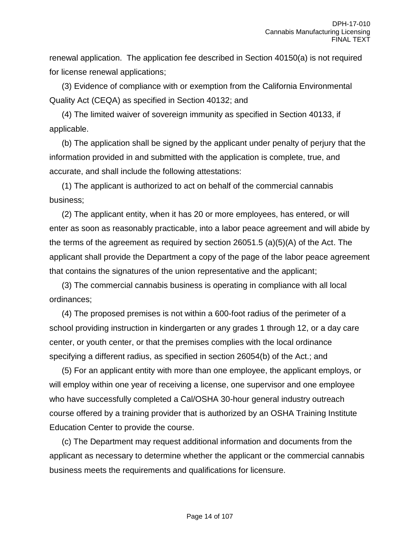renewal application. The application fee described in Section 40150(a) is not required for license renewal applications;

(3) Evidence of compliance with or exemption from the California Environmental Quality Act (CEQA) as specified in Section 40132; and

(4) The limited waiver of sovereign immunity as specified in Section 40133, if applicable.

(b) The application shall be signed by the applicant under penalty of perjury that the information provided in and submitted with the application is complete, true, and accurate, and shall include the following attestations:

(1) The applicant is authorized to act on behalf of the commercial cannabis business;

(2) The applicant entity, when it has 20 or more employees, has entered, or will enter as soon as reasonably practicable, into a labor peace agreement and will abide by the terms of the agreement as required by section 26051.5 (a)(5)(A) of the Act. The applicant shall provide the Department a copy of the page of the labor peace agreement that contains the signatures of the union representative and the applicant;

(3) The commercial cannabis business is operating in compliance with all local ordinances;

(4) The proposed premises is not within a 600-foot radius of the perimeter of a school providing instruction in kindergarten or any grades 1 through 12, or a day care center, or youth center, or that the premises complies with the local ordinance specifying a different radius, as specified in section 26054(b) of the Act.; and

(5) For an applicant entity with more than one employee, the applicant employs, or will employ within one year of receiving a license, one supervisor and one employee who have successfully completed a Cal/OSHA 30-hour general industry outreach course offered by a training provider that is authorized by an OSHA Training Institute Education Center to provide the course.

(c) The Department may request additional information and documents from the applicant as necessary to determine whether the applicant or the commercial cannabis business meets the requirements and qualifications for licensure.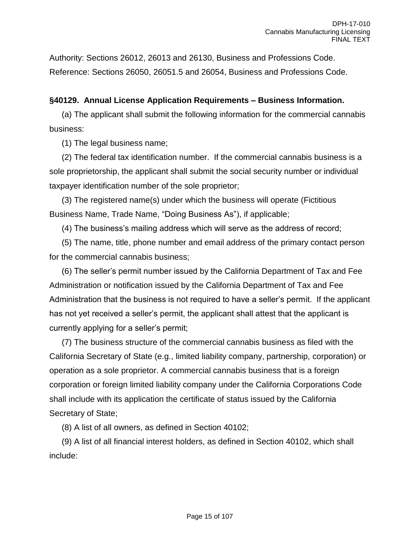Authority: Sections 26012, 26013 and 26130, Business and Professions Code. Reference: Sections 26050, 26051.5 and 26054, Business and Professions Code.

#### **§40129. Annual License Application Requirements – Business Information.**

(a) The applicant shall submit the following information for the commercial cannabis business:

(1) The legal business name;

(2) The federal tax identification number. If the commercial cannabis business is a sole proprietorship, the applicant shall submit the social security number or individual taxpayer identification number of the sole proprietor;

(3) The registered name(s) under which the business will operate (Fictitious Business Name, Trade Name, "Doing Business As"), if applicable;

(4) The business's mailing address which will serve as the address of record;

(5) The name, title, phone number and email address of the primary contact person for the commercial cannabis business;

(6) The seller's permit number issued by the California Department of Tax and Fee Administration or notification issued by the California Department of Tax and Fee Administration that the business is not required to have a seller's permit. If the applicant has not yet received a seller's permit, the applicant shall attest that the applicant is currently applying for a seller's permit;

(7) The business structure of the commercial cannabis business as filed with the California Secretary of State (e.g., limited liability company, partnership, corporation) or operation as a sole proprietor. A commercial cannabis business that is a foreign corporation or foreign limited liability company under the California Corporations Code shall include with its application the certificate of status issued by the California Secretary of State;

(8) A list of all owners, as defined in Section 40102;

(9) A list of all financial interest holders, as defined in Section 40102, which shall include: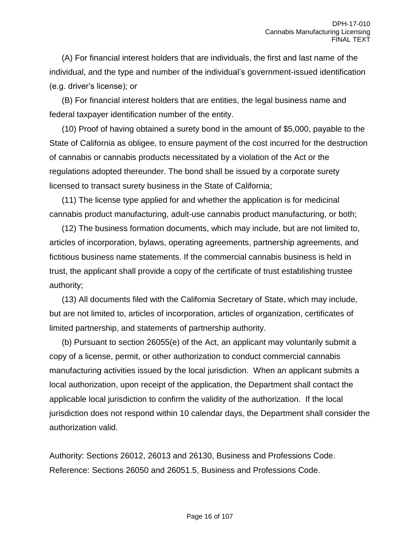(A) For financial interest holders that are individuals, the first and last name of the individual, and the type and number of the individual's government-issued identification (e.g. driver's license); or

(B) For financial interest holders that are entities, the legal business name and federal taxpayer identification number of the entity.

(10) Proof of having obtained a surety bond in the amount of \$5,000, payable to the State of California as obligee, to ensure payment of the cost incurred for the destruction of cannabis or cannabis products necessitated by a violation of the Act or the regulations adopted thereunder. The bond shall be issued by a corporate surety licensed to transact surety business in the State of California;

(11) The license type applied for and whether the application is for medicinal cannabis product manufacturing, adult-use cannabis product manufacturing, or both;

(12) The business formation documents, which may include, but are not limited to, articles of incorporation, bylaws, operating agreements, partnership agreements, and fictitious business name statements. If the commercial cannabis business is held in trust, the applicant shall provide a copy of the certificate of trust establishing trustee authority;

(13) All documents filed with the California Secretary of State, which may include, but are not limited to, articles of incorporation, articles of organization, certificates of limited partnership, and statements of partnership authority.

(b) Pursuant to section 26055(e) of the Act, an applicant may voluntarily submit a copy of a license, permit, or other authorization to conduct commercial cannabis manufacturing activities issued by the local jurisdiction. When an applicant submits a local authorization, upon receipt of the application, the Department shall contact the applicable local jurisdiction to confirm the validity of the authorization. If the local jurisdiction does not respond within 10 calendar days, the Department shall consider the authorization valid.

Authority: Sections 26012, 26013 and 26130, Business and Professions Code. Reference: Sections 26050 and 26051.5, Business and Professions Code.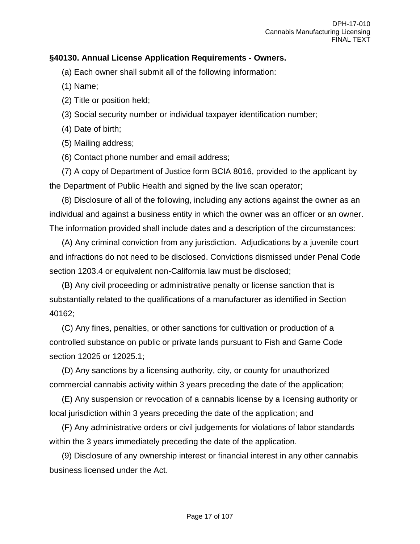## **§40130. Annual License Application Requirements - Owners.**

(a) Each owner shall submit all of the following information:

(1) Name;

(2) Title or position held;

(3) Social security number or individual taxpayer identification number;

(4) Date of birth;

(5) Mailing address;

(6) Contact phone number and email address;

(7) A copy of Department of Justice form BCIA 8016, provided to the applicant by the Department of Public Health and signed by the live scan operator;

(8) Disclosure of all of the following, including any actions against the owner as an individual and against a business entity in which the owner was an officer or an owner. The information provided shall include dates and a description of the circumstances:

(A) Any criminal conviction from any jurisdiction. Adjudications by a juvenile court and infractions do not need to be disclosed. Convictions dismissed under Penal Code section 1203.4 or equivalent non-California law must be disclosed;

(B) Any civil proceeding or administrative penalty or license sanction that is substantially related to the qualifications of a manufacturer as identified in Section 40162;

(C) Any fines, penalties, or other sanctions for cultivation or production of a controlled substance on public or private lands pursuant to Fish and Game Code section 12025 or 12025.1;

(D) Any sanctions by a licensing authority, city, or county for unauthorized commercial cannabis activity within 3 years preceding the date of the application;

(E) Any suspension or revocation of a cannabis license by a licensing authority or local jurisdiction within 3 years preceding the date of the application; and

(F) Any administrative orders or civil judgements for violations of labor standards within the 3 years immediately preceding the date of the application.

(9) Disclosure of any ownership interest or financial interest in any other cannabis business licensed under the Act.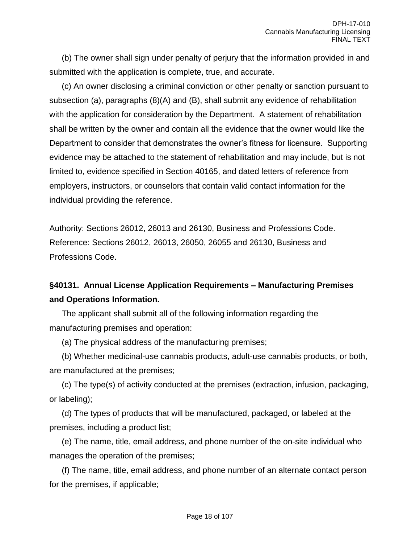(b) The owner shall sign under penalty of perjury that the information provided in and submitted with the application is complete, true, and accurate.

(c) An owner disclosing a criminal conviction or other penalty or sanction pursuant to subsection (a), paragraphs (8)(A) and (B), shall submit any evidence of rehabilitation with the application for consideration by the Department. A statement of rehabilitation shall be written by the owner and contain all the evidence that the owner would like the Department to consider that demonstrates the owner's fitness for licensure. Supporting evidence may be attached to the statement of rehabilitation and may include, but is not limited to, evidence specified in Section 40165, and dated letters of reference from employers, instructors, or counselors that contain valid contact information for the individual providing the reference.

Authority: Sections 26012, 26013 and 26130, Business and Professions Code. Reference: Sections 26012, 26013, 26050, 26055 and 26130, Business and Professions Code.

## **§40131. Annual License Application Requirements – Manufacturing Premises and Operations Information.**

The applicant shall submit all of the following information regarding the manufacturing premises and operation:

(a) The physical address of the manufacturing premises;

(b) Whether medicinal-use cannabis products, adult-use cannabis products, or both, are manufactured at the premises;

(c) The type(s) of activity conducted at the premises (extraction, infusion, packaging, or labeling);

(d) The types of products that will be manufactured, packaged, or labeled at the premises, including a product list;

(e) The name, title, email address, and phone number of the on-site individual who manages the operation of the premises;

(f) The name, title, email address, and phone number of an alternate contact person for the premises, if applicable;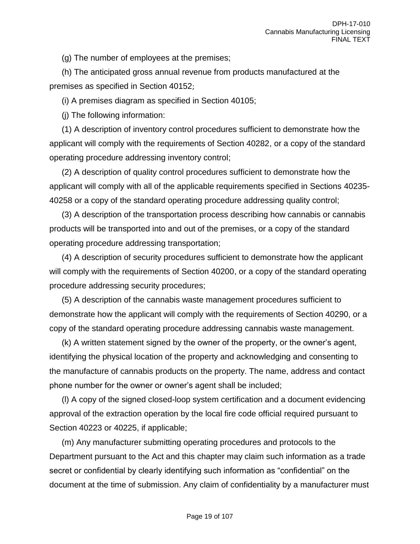(g) The number of employees at the premises;

(h) The anticipated gross annual revenue from products manufactured at the premises as specified in Section 40152;

(i) A premises diagram as specified in Section 40105;

(j) The following information:

(1) A description of inventory control procedures sufficient to demonstrate how the applicant will comply with the requirements of Section 40282, or a copy of the standard operating procedure addressing inventory control;

(2) A description of quality control procedures sufficient to demonstrate how the applicant will comply with all of the applicable requirements specified in Sections 40235- 40258 or a copy of the standard operating procedure addressing quality control;

(3) A description of the transportation process describing how cannabis or cannabis products will be transported into and out of the premises, or a copy of the standard operating procedure addressing transportation;

(4) A description of security procedures sufficient to demonstrate how the applicant will comply with the requirements of Section 40200, or a copy of the standard operating procedure addressing security procedures;

(5) A description of the cannabis waste management procedures sufficient to demonstrate how the applicant will comply with the requirements of Section 40290, or a copy of the standard operating procedure addressing cannabis waste management.

(k) A written statement signed by the owner of the property, or the owner's agent, identifying the physical location of the property and acknowledging and consenting to the manufacture of cannabis products on the property. The name, address and contact phone number for the owner or owner's agent shall be included;

(l) A copy of the signed closed-loop system certification and a document evidencing approval of the extraction operation by the local fire code official required pursuant to Section 40223 or 40225, if applicable;

(m) Any manufacturer submitting operating procedures and protocols to the Department pursuant to the Act and this chapter may claim such information as a trade secret or confidential by clearly identifying such information as "confidential" on the document at the time of submission. Any claim of confidentiality by a manufacturer must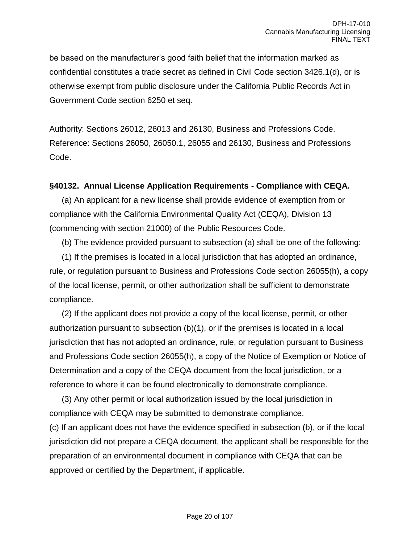be based on the manufacturer's good faith belief that the information marked as confidential constitutes a trade secret as defined in Civil Code section 3426.1(d), or is otherwise exempt from public disclosure under the California Public Records Act in Government Code section 6250 et seq.

Authority: Sections 26012, 26013 and 26130, Business and Professions Code. Reference: Sections 26050, 26050.1, 26055 and 26130, Business and Professions Code.

#### **§40132. Annual License Application Requirements - Compliance with CEQA.**

(a) An applicant for a new license shall provide evidence of exemption from or compliance with the California Environmental Quality Act (CEQA), Division 13 (commencing with section 21000) of the Public Resources Code.

(b) The evidence provided pursuant to subsection (a) shall be one of the following:

(1) If the premises is located in a local jurisdiction that has adopted an ordinance, rule, or regulation pursuant to Business and Professions Code section 26055(h), a copy of the local license, permit, or other authorization shall be sufficient to demonstrate compliance.

(2) If the applicant does not provide a copy of the local license, permit, or other authorization pursuant to subsection (b)(1), or if the premises is located in a local jurisdiction that has not adopted an ordinance, rule, or regulation pursuant to Business and Professions Code section 26055(h), a copy of the Notice of Exemption or Notice of Determination and a copy of the CEQA document from the local jurisdiction, or a reference to where it can be found electronically to demonstrate compliance.

(3) Any other permit or local authorization issued by the local jurisdiction in compliance with CEQA may be submitted to demonstrate compliance. (c) If an applicant does not have the evidence specified in subsection (b), or if the local jurisdiction did not prepare a CEQA document, the applicant shall be responsible for the preparation of an environmental document in compliance with CEQA that can be approved or certified by the Department, if applicable.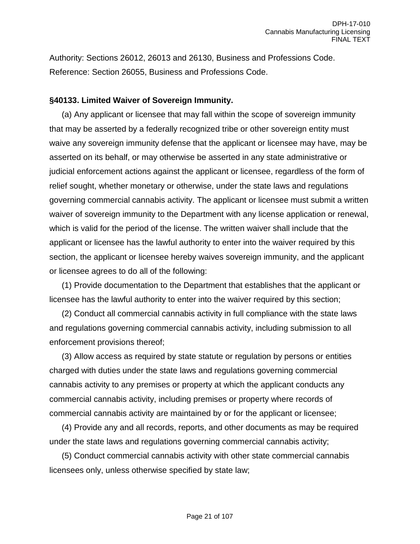Authority: Sections 26012, 26013 and 26130, Business and Professions Code. Reference: Section 26055, Business and Professions Code.

#### **§40133. Limited Waiver of Sovereign Immunity.**

(a) Any applicant or licensee that may fall within the scope of sovereign immunity that may be asserted by a federally recognized tribe or other sovereign entity must waive any sovereign immunity defense that the applicant or licensee may have, may be asserted on its behalf, or may otherwise be asserted in any state administrative or judicial enforcement actions against the applicant or licensee, regardless of the form of relief sought, whether monetary or otherwise, under the state laws and regulations governing commercial cannabis activity. The applicant or licensee must submit a written waiver of sovereign immunity to the Department with any license application or renewal, which is valid for the period of the license. The written waiver shall include that the applicant or licensee has the lawful authority to enter into the waiver required by this section, the applicant or licensee hereby waives sovereign immunity, and the applicant or licensee agrees to do all of the following:

(1) Provide documentation to the Department that establishes that the applicant or licensee has the lawful authority to enter into the waiver required by this section;

(2) Conduct all commercial cannabis activity in full compliance with the state laws and regulations governing commercial cannabis activity, including submission to all enforcement provisions thereof;

(3) Allow access as required by state statute or regulation by persons or entities charged with duties under the state laws and regulations governing commercial cannabis activity to any premises or property at which the applicant conducts any commercial cannabis activity, including premises or property where records of commercial cannabis activity are maintained by or for the applicant or licensee;

(4) Provide any and all records, reports, and other documents as may be required under the state laws and regulations governing commercial cannabis activity;

(5) Conduct commercial cannabis activity with other state commercial cannabis licensees only, unless otherwise specified by state law;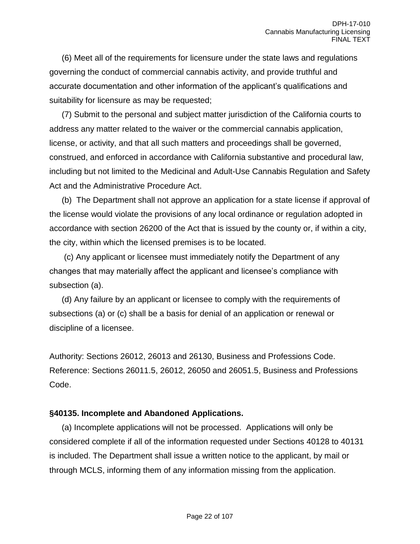(6) Meet all of the requirements for licensure under the state laws and regulations governing the conduct of commercial cannabis activity, and provide truthful and accurate documentation and other information of the applicant's qualifications and suitability for licensure as may be requested;

(7) Submit to the personal and subject matter jurisdiction of the California courts to address any matter related to the waiver or the commercial cannabis application, license, or activity, and that all such matters and proceedings shall be governed, construed, and enforced in accordance with California substantive and procedural law, including but not limited to the Medicinal and Adult-Use Cannabis Regulation and Safety Act and the Administrative Procedure Act.

(b) The Department shall not approve an application for a state license if approval of the license would violate the provisions of any local ordinance or regulation adopted in accordance with section 26200 of the Act that is issued by the county or, if within a city, the city, within which the licensed premises is to be located.

(c) Any applicant or licensee must immediately notify the Department of any changes that may materially affect the applicant and licensee's compliance with subsection (a).

(d) Any failure by an applicant or licensee to comply with the requirements of subsections (a) or (c) shall be a basis for denial of an application or renewal or discipline of a licensee.

Authority: Sections 26012, 26013 and 26130, Business and Professions Code. Reference: Sections 26011.5, 26012, 26050 and 26051.5, Business and Professions Code.

#### **§40135. Incomplete and Abandoned Applications.**

(a) Incomplete applications will not be processed. Applications will only be considered complete if all of the information requested under Sections 40128 to 40131 is included. The Department shall issue a written notice to the applicant, by mail or through MCLS, informing them of any information missing from the application.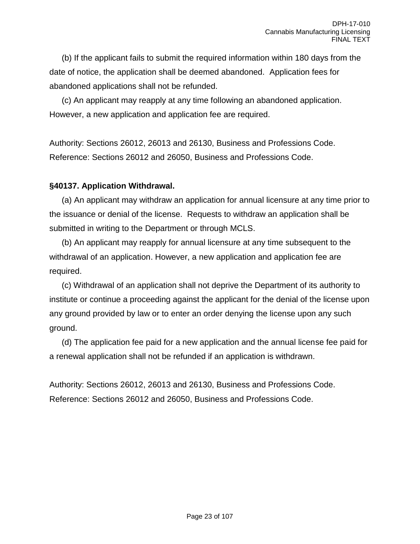(b) If the applicant fails to submit the required information within 180 days from the date of notice, the application shall be deemed abandoned. Application fees for abandoned applications shall not be refunded.

(c) An applicant may reapply at any time following an abandoned application. However, a new application and application fee are required.

Authority: Sections 26012, 26013 and 26130, Business and Professions Code. Reference: Sections 26012 and 26050, Business and Professions Code.

#### **§40137. Application Withdrawal.**

(a) An applicant may withdraw an application for annual licensure at any time prior to the issuance or denial of the license. Requests to withdraw an application shall be submitted in writing to the Department or through MCLS.

(b) An applicant may reapply for annual licensure at any time subsequent to the withdrawal of an application. However, a new application and application fee are required.

(c) Withdrawal of an application shall not deprive the Department of its authority to institute or continue a proceeding against the applicant for the denial of the license upon any ground provided by law or to enter an order denying the license upon any such ground.

(d) The application fee paid for a new application and the annual license fee paid for a renewal application shall not be refunded if an application is withdrawn.

Authority: Sections 26012, 26013 and 26130, Business and Professions Code. Reference: Sections 26012 and 26050, Business and Professions Code.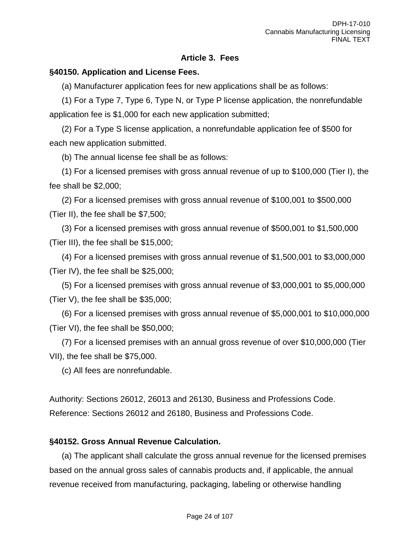#### **Article 3. Fees**

#### **§40150. Application and License Fees.**

(a) Manufacturer application fees for new applications shall be as follows:

(1) For a Type 7, Type 6, Type N, or Type P license application, the nonrefundable application fee is \$1,000 for each new application submitted;

(2) For a Type S license application, a nonrefundable application fee of \$500 for each new application submitted.

(b) The annual license fee shall be as follows:

(1) For a licensed premises with gross annual revenue of up to \$100,000 (Tier I), the fee shall be \$2,000;

(2) For a licensed premises with gross annual revenue of \$100,001 to \$500,000 (Tier II), the fee shall be \$7,500;

(3) For a licensed premises with gross annual revenue of \$500,001 to \$1,500,000 (Tier III), the fee shall be \$15,000;

(4) For a licensed premises with gross annual revenue of \$1,500,001 to \$3,000,000 (Tier IV), the fee shall be \$25,000;

(5) For a licensed premises with gross annual revenue of \$3,000,001 to \$5,000,000 (Tier V), the fee shall be \$35,000;

(6) For a licensed premises with gross annual revenue of \$5,000,001 to \$10,000,000 (Tier VI), the fee shall be \$50,000;

(7) For a licensed premises with an annual gross revenue of over \$10,000,000 (Tier VII), the fee shall be \$75,000.

(c) All fees are nonrefundable.

Authority: Sections 26012, 26013 and 26130, Business and Professions Code. Reference: Sections 26012 and 26180, Business and Professions Code.

#### **§40152. Gross Annual Revenue Calculation.**

(a) The applicant shall calculate the gross annual revenue for the licensed premises based on the annual gross sales of cannabis products and, if applicable, the annual revenue received from manufacturing, packaging, labeling or otherwise handling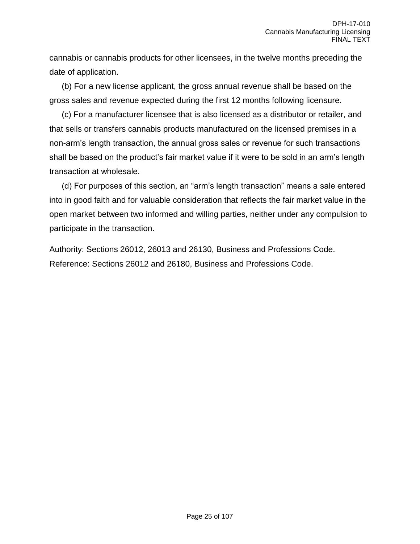cannabis or cannabis products for other licensees, in the twelve months preceding the date of application.

(b) For a new license applicant, the gross annual revenue shall be based on the gross sales and revenue expected during the first 12 months following licensure.

(c) For a manufacturer licensee that is also licensed as a distributor or retailer, and that sells or transfers cannabis products manufactured on the licensed premises in a non-arm's length transaction, the annual gross sales or revenue for such transactions shall be based on the product's fair market value if it were to be sold in an arm's length transaction at wholesale.

(d) For purposes of this section, an "arm's length transaction" means a sale entered into in good faith and for valuable consideration that reflects the fair market value in the open market between two informed and willing parties, neither under any compulsion to participate in the transaction.

Authority: Sections 26012, 26013 and 26130, Business and Professions Code. Reference: Sections 26012 and 26180, Business and Professions Code.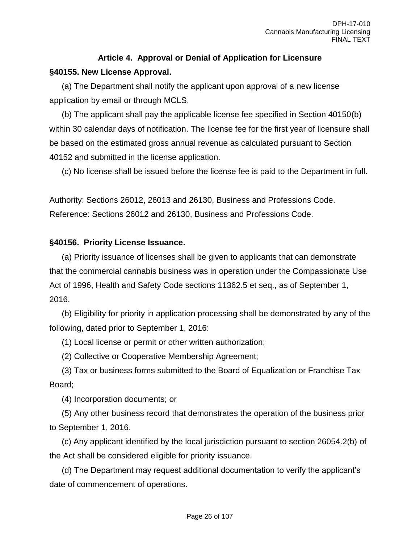## **Article 4. Approval or Denial of Application for Licensure §40155. New License Approval.**

(a) The Department shall notify the applicant upon approval of a new license application by email or through MCLS.

(b) The applicant shall pay the applicable license fee specified in Section 40150(b) within 30 calendar days of notification. The license fee for the first year of licensure shall be based on the estimated gross annual revenue as calculated pursuant to Section 40152 and submitted in the license application.

(c) No license shall be issued before the license fee is paid to the Department in full.

Authority: Sections 26012, 26013 and 26130, Business and Professions Code. Reference: Sections 26012 and 26130, Business and Professions Code.

## **§40156. Priority License Issuance.**

(a) Priority issuance of licenses shall be given to applicants that can demonstrate that the commercial cannabis business was in operation under the Compassionate Use Act of 1996, Health and Safety Code sections 11362.5 et seq., as of September 1, 2016.

(b) Eligibility for priority in application processing shall be demonstrated by any of the following, dated prior to September 1, 2016:

(1) Local license or permit or other written authorization;

(2) Collective or Cooperative Membership Agreement;

(3) Tax or business forms submitted to the Board of Equalization or Franchise Tax Board;

(4) Incorporation documents; or

(5) Any other business record that demonstrates the operation of the business prior to September 1, 2016.

(c) Any applicant identified by the local jurisdiction pursuant to section 26054.2(b) of the Act shall be considered eligible for priority issuance.

(d) The Department may request additional documentation to verify the applicant's date of commencement of operations.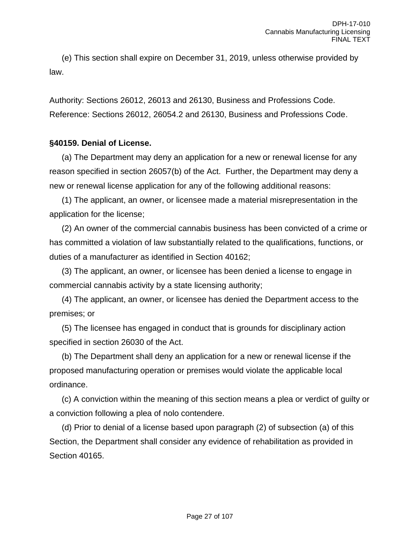(e) This section shall expire on December 31, 2019, unless otherwise provided by law.

Authority: Sections 26012, 26013 and 26130, Business and Professions Code. Reference: Sections 26012, 26054.2 and 26130, Business and Professions Code.

#### **§40159. Denial of License.**

(a) The Department may deny an application for a new or renewal license for any reason specified in section 26057(b) of the Act. Further, the Department may deny a new or renewal license application for any of the following additional reasons:

(1) The applicant, an owner, or licensee made a material misrepresentation in the application for the license;

(2) An owner of the commercial cannabis business has been convicted of a crime or has committed a violation of law substantially related to the qualifications, functions, or duties of a manufacturer as identified in Section 40162;

(3) The applicant, an owner, or licensee has been denied a license to engage in commercial cannabis activity by a state licensing authority;

(4) The applicant, an owner, or licensee has denied the Department access to the premises; or

(5) The licensee has engaged in conduct that is grounds for disciplinary action specified in section 26030 of the Act.

(b) The Department shall deny an application for a new or renewal license if the proposed manufacturing operation or premises would violate the applicable local ordinance.

(c) A conviction within the meaning of this section means a plea or verdict of guilty or a conviction following a plea of nolo contendere.

(d) Prior to denial of a license based upon paragraph (2) of subsection (a) of this Section, the Department shall consider any evidence of rehabilitation as provided in Section 40165.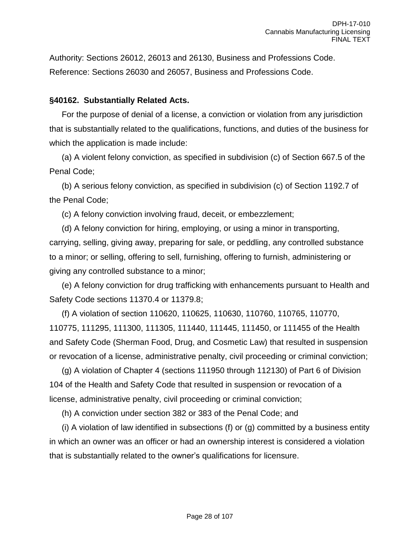Authority: Sections 26012, 26013 and 26130, Business and Professions Code. Reference: Sections 26030 and 26057, Business and Professions Code.

#### **§40162. Substantially Related Acts.**

For the purpose of denial of a license, a conviction or violation from any jurisdiction that is substantially related to the qualifications, functions, and duties of the business for which the application is made include:

(a) A violent felony conviction, as specified in subdivision (c) of Section 667.5 of the Penal Code;

(b) A serious felony conviction, as specified in subdivision (c) of Section 1192.7 of the Penal Code;

(c) A felony conviction involving fraud, deceit, or embezzlement;

(d) A felony conviction for hiring, employing, or using a minor in transporting, carrying, selling, giving away, preparing for sale, or peddling, any controlled substance to a minor; or selling, offering to sell, furnishing, offering to furnish, administering or giving any controlled substance to a minor;

(e) A felony conviction for drug trafficking with enhancements pursuant to Health and Safety Code sections 11370.4 or 11379.8;

(f) A violation of section 110620, 110625, 110630, 110760, 110765, 110770, 110775, 111295, 111300, 111305, 111440, 111445, 111450, or 111455 of the Health and Safety Code (Sherman Food, Drug, and Cosmetic Law) that resulted in suspension or revocation of a license, administrative penalty, civil proceeding or criminal conviction;

(g) A violation of Chapter 4 (sections 111950 through 112130) of Part 6 of Division 104 of the Health and Safety Code that resulted in suspension or revocation of a license, administrative penalty, civil proceeding or criminal conviction;

(h) A conviction under section 382 or 383 of the Penal Code; and

(i) A violation of law identified in subsections (f) or (g) committed by a business entity in which an owner was an officer or had an ownership interest is considered a violation that is substantially related to the owner's qualifications for licensure.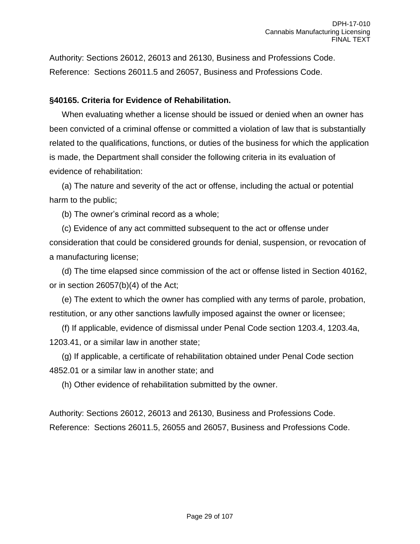Authority: Sections 26012, 26013 and 26130, Business and Professions Code. Reference: Sections 26011.5 and 26057, Business and Professions Code.

#### **§40165. Criteria for Evidence of Rehabilitation.**

When evaluating whether a license should be issued or denied when an owner has been convicted of a criminal offense or committed a violation of law that is substantially related to the qualifications, functions, or duties of the business for which the application is made, the Department shall consider the following criteria in its evaluation of evidence of rehabilitation:

(a) The nature and severity of the act or offense, including the actual or potential harm to the public;

(b) The owner's criminal record as a whole;

(c) Evidence of any act committed subsequent to the act or offense under consideration that could be considered grounds for denial, suspension, or revocation of a manufacturing license;

(d) The time elapsed since commission of the act or offense listed in Section 40162, or in section 26057(b)(4) of the Act;

(e) The extent to which the owner has complied with any terms of parole, probation, restitution, or any other sanctions lawfully imposed against the owner or licensee;

(f) If applicable, evidence of dismissal under Penal Code section 1203.4, 1203.4a, 1203.41, or a similar law in another state;

(g) If applicable, a certificate of rehabilitation obtained under Penal Code section 4852.01 or a similar law in another state; and

(h) Other evidence of rehabilitation submitted by the owner.

Authority: Sections 26012, 26013 and 26130, Business and Professions Code. Reference: Sections 26011.5, 26055 and 26057, Business and Professions Code.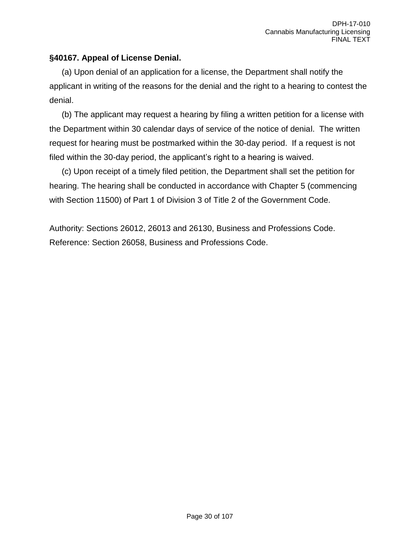## **§40167. Appeal of License Denial.**

(a) Upon denial of an application for a license, the Department shall notify the applicant in writing of the reasons for the denial and the right to a hearing to contest the denial.

(b) The applicant may request a hearing by filing a written petition for a license with the Department within 30 calendar days of service of the notice of denial. The written request for hearing must be postmarked within the 30-day period. If a request is not filed within the 30-day period, the applicant's right to a hearing is waived.

(c) Upon receipt of a timely filed petition, the Department shall set the petition for hearing. The hearing shall be conducted in accordance with Chapter 5 (commencing with Section 11500) of Part 1 of Division 3 of Title 2 of the Government Code.

Authority: Sections 26012, 26013 and 26130, Business and Professions Code. Reference: Section 26058, Business and Professions Code.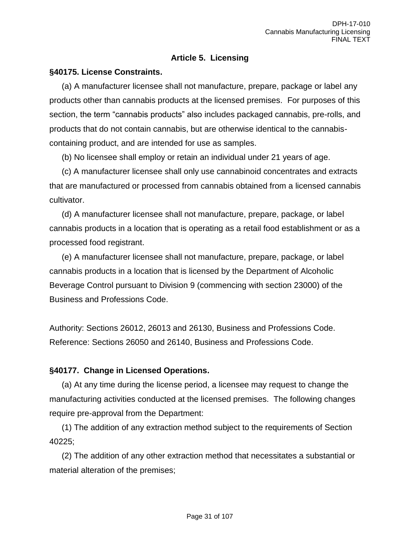## **Article 5. Licensing**

## **§40175. License Constraints.**

(a) A manufacturer licensee shall not manufacture, prepare, package or label any products other than cannabis products at the licensed premises. For purposes of this section, the term "cannabis products" also includes packaged cannabis, pre-rolls, and products that do not contain cannabis, but are otherwise identical to the cannabiscontaining product, and are intended for use as samples.

(b) No licensee shall employ or retain an individual under 21 years of age.

(c) A manufacturer licensee shall only use cannabinoid concentrates and extracts that are manufactured or processed from cannabis obtained from a licensed cannabis cultivator.

(d) A manufacturer licensee shall not manufacture, prepare, package, or label cannabis products in a location that is operating as a retail food establishment or as a processed food registrant.

(e) A manufacturer licensee shall not manufacture, prepare, package, or label cannabis products in a location that is licensed by the Department of Alcoholic Beverage Control pursuant to Division 9 (commencing with section 23000) of the Business and Professions Code.

Authority: Sections 26012, 26013 and 26130, Business and Professions Code. Reference: Sections 26050 and 26140, Business and Professions Code.

## **§40177. Change in Licensed Operations.**

(a) At any time during the license period, a licensee may request to change the manufacturing activities conducted at the licensed premises. The following changes require pre-approval from the Department:

(1) The addition of any extraction method subject to the requirements of Section 40225;

(2) The addition of any other extraction method that necessitates a substantial or material alteration of the premises;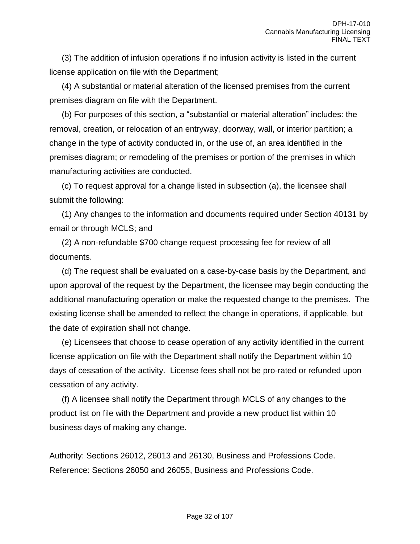(3) The addition of infusion operations if no infusion activity is listed in the current license application on file with the Department;

(4) A substantial or material alteration of the licensed premises from the current premises diagram on file with the Department.

(b) For purposes of this section, a "substantial or material alteration" includes: the removal, creation, or relocation of an entryway, doorway, wall, or interior partition; a change in the type of activity conducted in, or the use of, an area identified in the premises diagram; or remodeling of the premises or portion of the premises in which manufacturing activities are conducted.

(c) To request approval for a change listed in subsection (a), the licensee shall submit the following:

(1) Any changes to the information and documents required under Section 40131 by email or through MCLS; and

(2) A non-refundable \$700 change request processing fee for review of all documents.

(d) The request shall be evaluated on a case-by-case basis by the Department, and upon approval of the request by the Department, the licensee may begin conducting the additional manufacturing operation or make the requested change to the premises. The existing license shall be amended to reflect the change in operations, if applicable, but the date of expiration shall not change.

(e) Licensees that choose to cease operation of any activity identified in the current license application on file with the Department shall notify the Department within 10 days of cessation of the activity. License fees shall not be pro-rated or refunded upon cessation of any activity.

(f) A licensee shall notify the Department through MCLS of any changes to the product list on file with the Department and provide a new product list within 10 business days of making any change.

Authority: Sections 26012, 26013 and 26130, Business and Professions Code. Reference: Sections 26050 and 26055, Business and Professions Code.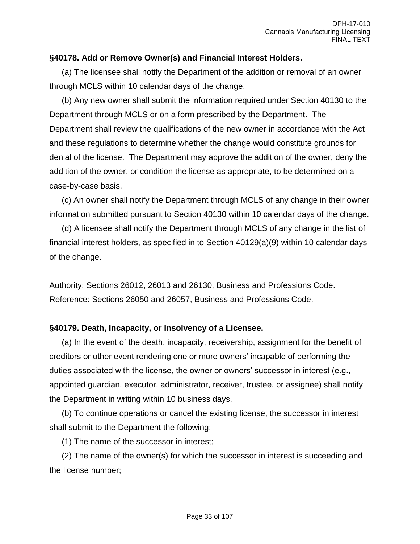### **§40178. Add or Remove Owner(s) and Financial Interest Holders.**

(a) The licensee shall notify the Department of the addition or removal of an owner through MCLS within 10 calendar days of the change.

(b) Any new owner shall submit the information required under Section 40130 to the Department through MCLS or on a form prescribed by the Department. The Department shall review the qualifications of the new owner in accordance with the Act and these regulations to determine whether the change would constitute grounds for denial of the license. The Department may approve the addition of the owner, deny the addition of the owner, or condition the license as appropriate, to be determined on a case-by-case basis.

(c) An owner shall notify the Department through MCLS of any change in their owner information submitted pursuant to Section 40130 within 10 calendar days of the change.

(d) A licensee shall notify the Department through MCLS of any change in the list of financial interest holders, as specified in to Section 40129(a)(9) within 10 calendar days of the change.

Authority: Sections 26012, 26013 and 26130, Business and Professions Code. Reference: Sections 26050 and 26057, Business and Professions Code.

## **§40179. Death, Incapacity, or Insolvency of a Licensee.**

(a) In the event of the death, incapacity, receivership, assignment for the benefit of creditors or other event rendering one or more owners' incapable of performing the duties associated with the license, the owner or owners' successor in interest (e.g., appointed guardian, executor, administrator, receiver, trustee, or assignee) shall notify the Department in writing within 10 business days.

(b) To continue operations or cancel the existing license, the successor in interest shall submit to the Department the following:

(1) The name of the successor in interest;

(2) The name of the owner(s) for which the successor in interest is succeeding and the license number;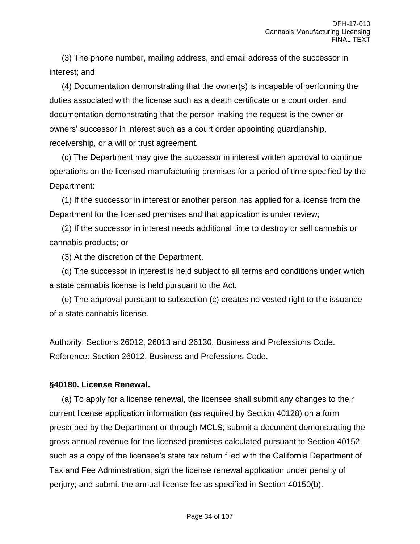(3) The phone number, mailing address, and email address of the successor in interest; and

(4) Documentation demonstrating that the owner(s) is incapable of performing the duties associated with the license such as a death certificate or a court order, and documentation demonstrating that the person making the request is the owner or owners' successor in interest such as a court order appointing guardianship, receivership, or a will or trust agreement.

(c) The Department may give the successor in interest written approval to continue operations on the licensed manufacturing premises for a period of time specified by the Department:

(1) If the successor in interest or another person has applied for a license from the Department for the licensed premises and that application is under review;

(2) If the successor in interest needs additional time to destroy or sell cannabis or cannabis products; or

(3) At the discretion of the Department.

(d) The successor in interest is held subject to all terms and conditions under which a state cannabis license is held pursuant to the Act.

(e) The approval pursuant to subsection (c) creates no vested right to the issuance of a state cannabis license.

Authority: Sections 26012, 26013 and 26130, Business and Professions Code. Reference: Section 26012, Business and Professions Code.

#### **§40180. License Renewal.**

(a) To apply for a license renewal, the licensee shall submit any changes to their current license application information (as required by Section 40128) on a form prescribed by the Department or through MCLS; submit a document demonstrating the gross annual revenue for the licensed premises calculated pursuant to Section 40152, such as a copy of the licensee's state tax return filed with the California Department of Tax and Fee Administration; sign the license renewal application under penalty of perjury; and submit the annual license fee as specified in Section 40150(b).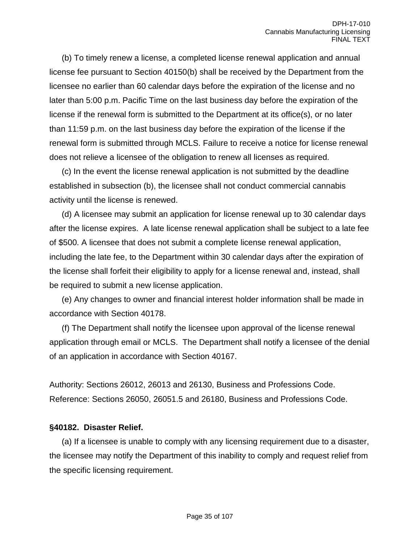(b) To timely renew a license, a completed license renewal application and annual license fee pursuant to Section 40150(b) shall be received by the Department from the licensee no earlier than 60 calendar days before the expiration of the license and no later than 5:00 p.m. Pacific Time on the last business day before the expiration of the license if the renewal form is submitted to the Department at its office(s), or no later than 11:59 p.m. on the last business day before the expiration of the license if the renewal form is submitted through MCLS. Failure to receive a notice for license renewal does not relieve a licensee of the obligation to renew all licenses as required.

(c) In the event the license renewal application is not submitted by the deadline established in subsection (b), the licensee shall not conduct commercial cannabis activity until the license is renewed.

(d) A licensee may submit an application for license renewal up to 30 calendar days after the license expires. A late license renewal application shall be subject to a late fee of \$500. A licensee that does not submit a complete license renewal application, including the late fee, to the Department within 30 calendar days after the expiration of the license shall forfeit their eligibility to apply for a license renewal and, instead, shall be required to submit a new license application.

(e) Any changes to owner and financial interest holder information shall be made in accordance with Section 40178.

(f) The Department shall notify the licensee upon approval of the license renewal application through email or MCLS. The Department shall notify a licensee of the denial of an application in accordance with Section 40167.

Authority: Sections 26012, 26013 and 26130, Business and Professions Code. Reference: Sections 26050, 26051.5 and 26180, Business and Professions Code.

#### **§40182. Disaster Relief.**

(a) If a licensee is unable to comply with any licensing requirement due to a disaster, the licensee may notify the Department of this inability to comply and request relief from the specific licensing requirement.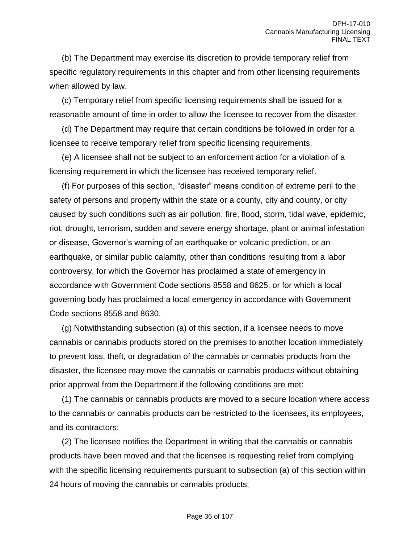(b) The Department may exercise its discretion to provide temporary relief from specific regulatory requirements in this chapter and from other licensing requirements when allowed by law.

(c) Temporary relief from specific licensing requirements shall be issued for a reasonable amount of time in order to allow the licensee to recover from the disaster.

(d) The Department may require that certain conditions be followed in order for a licensee to receive temporary relief from specific licensing requirements.

(e) A licensee shall not be subject to an enforcement action for a violation of a licensing requirement in which the licensee has received temporary relief.

(f) For purposes of this section, "disaster" means condition of extreme peril to the safety of persons and property within the state or a county, city and county, or city caused by such conditions such as air pollution, fire, flood, storm, tidal wave, epidemic, riot, drought, terrorism, sudden and severe energy shortage, plant or animal infestation or disease, Governor's warning of an earthquake or volcanic prediction, or an earthquake, or similar public calamity, other than conditions resulting from a labor controversy, for which the Governor has proclaimed a state of emergency in accordance with Government Code sections 8558 and 8625, or for which a local governing body has proclaimed a local emergency in accordance with Government Code sections 8558 and 8630.

(g) Notwithstanding subsection (a) of this section, if a licensee needs to move cannabis or cannabis products stored on the premises to another location immediately to prevent loss, theft, or degradation of the cannabis or cannabis products from the disaster, the licensee may move the cannabis or cannabis products without obtaining prior approval from the Department if the following conditions are met:

(1) The cannabis or cannabis products are moved to a secure location where access to the cannabis or cannabis products can be restricted to the licensees, its employees, and its contractors;

(2) The licensee notifies the Department in writing that the cannabis or cannabis products have been moved and that the licensee is requesting relief from complying with the specific licensing requirements pursuant to subsection (a) of this section within 24 hours of moving the cannabis or cannabis products;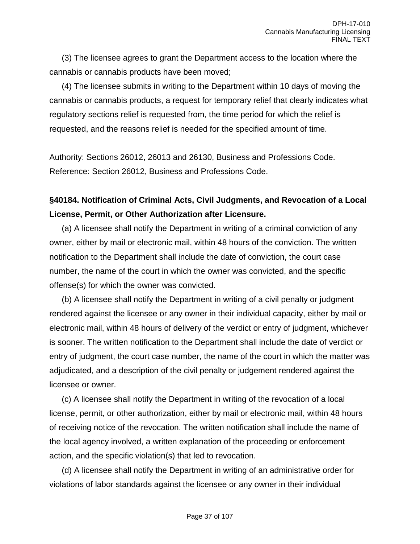(3) The licensee agrees to grant the Department access to the location where the cannabis or cannabis products have been moved;

(4) The licensee submits in writing to the Department within 10 days of moving the cannabis or cannabis products, a request for temporary relief that clearly indicates what regulatory sections relief is requested from, the time period for which the relief is requested, and the reasons relief is needed for the specified amount of time.

Authority: Sections 26012, 26013 and 26130, Business and Professions Code. Reference: Section 26012, Business and Professions Code.

# **§40184. Notification of Criminal Acts, Civil Judgments, and Revocation of a Local License, Permit, or Other Authorization after Licensure.**

(a) A licensee shall notify the Department in writing of a criminal conviction of any owner, either by mail or electronic mail, within 48 hours of the conviction. The written notification to the Department shall include the date of conviction, the court case number, the name of the court in which the owner was convicted, and the specific offense(s) for which the owner was convicted.

(b) A licensee shall notify the Department in writing of a civil penalty or judgment rendered against the licensee or any owner in their individual capacity, either by mail or electronic mail, within 48 hours of delivery of the verdict or entry of judgment, whichever is sooner. The written notification to the Department shall include the date of verdict or entry of judgment, the court case number, the name of the court in which the matter was adjudicated, and a description of the civil penalty or judgement rendered against the licensee or owner.

(c) A licensee shall notify the Department in writing of the revocation of a local license, permit, or other authorization, either by mail or electronic mail, within 48 hours of receiving notice of the revocation. The written notification shall include the name of the local agency involved, a written explanation of the proceeding or enforcement action, and the specific violation(s) that led to revocation.

(d) A licensee shall notify the Department in writing of an administrative order for violations of labor standards against the licensee or any owner in their individual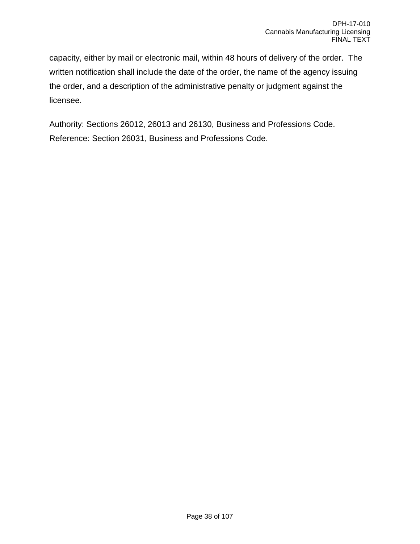capacity, either by mail or electronic mail, within 48 hours of delivery of the order. The written notification shall include the date of the order, the name of the agency issuing the order, and a description of the administrative penalty or judgment against the licensee.

Authority: Sections 26012, 26013 and 26130, Business and Professions Code. Reference: Section 26031, Business and Professions Code.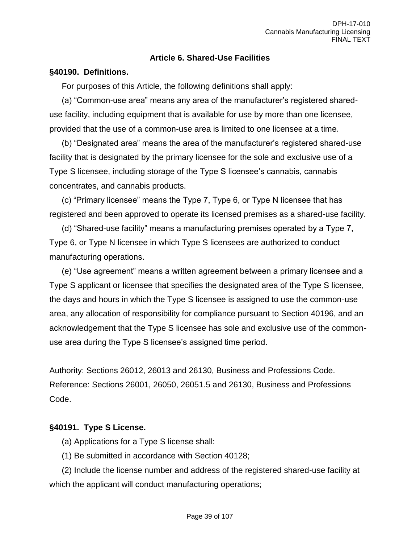## **Article 6. Shared-Use Facilities**

# **§40190. Definitions.**

For purposes of this Article, the following definitions shall apply:

(a) "Common-use area" means any area of the manufacturer's registered shareduse facility, including equipment that is available for use by more than one licensee, provided that the use of a common-use area is limited to one licensee at a time.

(b) "Designated area" means the area of the manufacturer's registered shared-use facility that is designated by the primary licensee for the sole and exclusive use of a Type S licensee, including storage of the Type S licensee's cannabis, cannabis concentrates, and cannabis products.

(c) "Primary licensee" means the Type 7, Type 6, or Type N licensee that has registered and been approved to operate its licensed premises as a shared-use facility.

(d) "Shared-use facility" means a manufacturing premises operated by a Type 7, Type 6, or Type N licensee in which Type S licensees are authorized to conduct manufacturing operations.

(e) "Use agreement" means a written agreement between a primary licensee and a Type S applicant or licensee that specifies the designated area of the Type S licensee, the days and hours in which the Type S licensee is assigned to use the common-use area, any allocation of responsibility for compliance pursuant to Section 40196, and an acknowledgement that the Type S licensee has sole and exclusive use of the commonuse area during the Type S licensee's assigned time period.

Authority: Sections 26012, 26013 and 26130, Business and Professions Code. Reference: Sections 26001, 26050, 26051.5 and 26130, Business and Professions Code.

# **§40191. Type S License.**

- (a) Applications for a Type S license shall:
- (1) Be submitted in accordance with Section 40128;

(2) Include the license number and address of the registered shared-use facility at which the applicant will conduct manufacturing operations;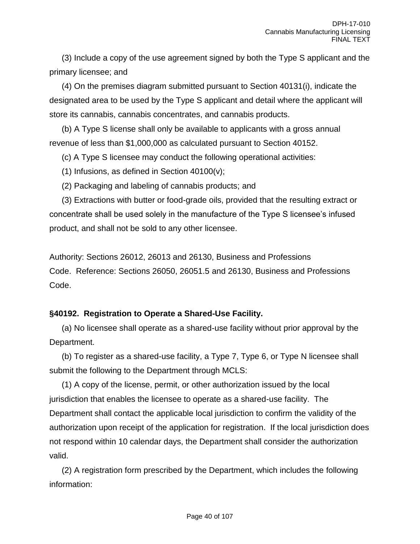(3) Include a copy of the use agreement signed by both the Type S applicant and the primary licensee; and

(4) On the premises diagram submitted pursuant to Section 40131(i), indicate the designated area to be used by the Type S applicant and detail where the applicant will store its cannabis, cannabis concentrates, and cannabis products.

(b) A Type S license shall only be available to applicants with a gross annual revenue of less than \$1,000,000 as calculated pursuant to Section 40152.

(c) A Type S licensee may conduct the following operational activities:

- (1) Infusions, as defined in Section 40100(v);
- (2) Packaging and labeling of cannabis products; and

(3) Extractions with butter or food-grade oils, provided that the resulting extract or concentrate shall be used solely in the manufacture of the Type S licensee's infused product, and shall not be sold to any other licensee.

Authority: Sections 26012, 26013 and 26130, Business and Professions Code. Reference: Sections 26050, 26051.5 and 26130, Business and Professions Code.

# **§40192. Registration to Operate a Shared-Use Facility.**

(a) No licensee shall operate as a shared-use facility without prior approval by the Department.

(b) To register as a shared-use facility, a Type 7, Type 6, or Type N licensee shall submit the following to the Department through MCLS:

(1) A copy of the license, permit, or other authorization issued by the local jurisdiction that enables the licensee to operate as a shared-use facility. The Department shall contact the applicable local jurisdiction to confirm the validity of the authorization upon receipt of the application for registration. If the local jurisdiction does not respond within 10 calendar days, the Department shall consider the authorization valid.

(2) A registration form prescribed by the Department, which includes the following information: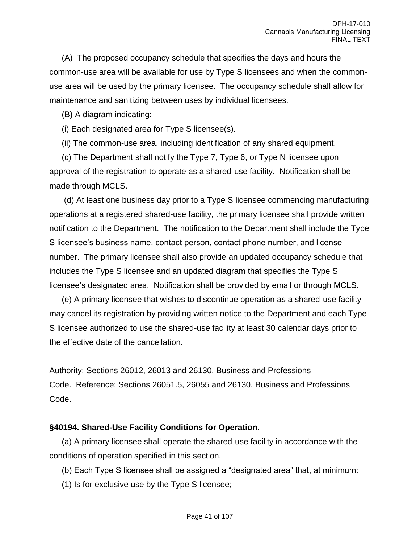(A) The proposed occupancy schedule that specifies the days and hours the common-use area will be available for use by Type S licensees and when the commonuse area will be used by the primary licensee. The occupancy schedule shall allow for maintenance and sanitizing between uses by individual licensees.

(B) A diagram indicating:

(i) Each designated area for Type S licensee(s).

(ii) The common-use area, including identification of any shared equipment.

(c) The Department shall notify the Type 7, Type 6, or Type N licensee upon approval of the registration to operate as a shared-use facility. Notification shall be made through MCLS.

(d) At least one business day prior to a Type S licensee commencing manufacturing operations at a registered shared-use facility, the primary licensee shall provide written notification to the Department. The notification to the Department shall include the Type S licensee's business name, contact person, contact phone number, and license number. The primary licensee shall also provide an updated occupancy schedule that includes the Type S licensee and an updated diagram that specifies the Type S licensee's designated area. Notification shall be provided by email or through MCLS.

(e) A primary licensee that wishes to discontinue operation as a shared-use facility may cancel its registration by providing written notice to the Department and each Type S licensee authorized to use the shared-use facility at least 30 calendar days prior to the effective date of the cancellation.

Authority: Sections 26012, 26013 and 26130, Business and Professions Code. Reference: Sections 26051.5, 26055 and 26130, Business and Professions Code.

## **§40194. Shared-Use Facility Conditions for Operation.**

(a) A primary licensee shall operate the shared-use facility in accordance with the conditions of operation specified in this section.

(b) Each Type S licensee shall be assigned a "designated area" that, at minimum:

(1) Is for exclusive use by the Type S licensee;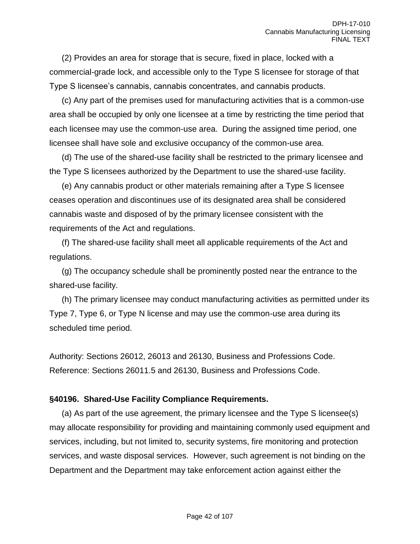(2) Provides an area for storage that is secure, fixed in place, locked with a commercial-grade lock, and accessible only to the Type S licensee for storage of that Type S licensee's cannabis, cannabis concentrates, and cannabis products.

(c) Any part of the premises used for manufacturing activities that is a common-use area shall be occupied by only one licensee at a time by restricting the time period that each licensee may use the common-use area. During the assigned time period, one licensee shall have sole and exclusive occupancy of the common-use area.

(d) The use of the shared-use facility shall be restricted to the primary licensee and the Type S licensees authorized by the Department to use the shared-use facility.

(e) Any cannabis product or other materials remaining after a Type S licensee ceases operation and discontinues use of its designated area shall be considered cannabis waste and disposed of by the primary licensee consistent with the requirements of the Act and regulations.

(f) The shared-use facility shall meet all applicable requirements of the Act and regulations.

(g) The occupancy schedule shall be prominently posted near the entrance to the shared-use facility.

(h) The primary licensee may conduct manufacturing activities as permitted under its Type 7, Type 6, or Type N license and may use the common-use area during its scheduled time period.

Authority: Sections 26012, 26013 and 26130, Business and Professions Code. Reference: Sections 26011.5 and 26130, Business and Professions Code.

## **§40196. Shared-Use Facility Compliance Requirements.**

(a) As part of the use agreement, the primary licensee and the Type S licensee(s) may allocate responsibility for providing and maintaining commonly used equipment and services, including, but not limited to, security systems, fire monitoring and protection services, and waste disposal services. However, such agreement is not binding on the Department and the Department may take enforcement action against either the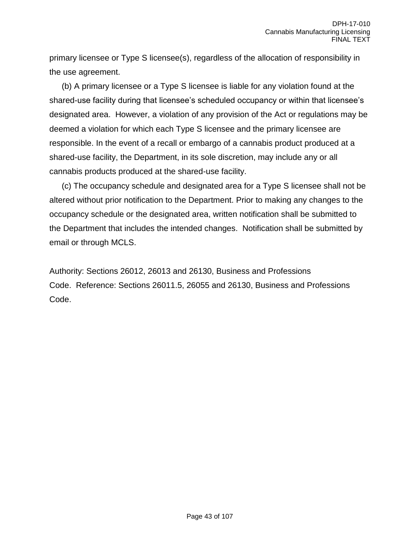primary licensee or Type S licensee(s), regardless of the allocation of responsibility in the use agreement.

(b) A primary licensee or a Type S licensee is liable for any violation found at the shared-use facility during that licensee's scheduled occupancy or within that licensee's designated area. However, a violation of any provision of the Act or regulations may be deemed a violation for which each Type S licensee and the primary licensee are responsible. In the event of a recall or embargo of a cannabis product produced at a shared-use facility, the Department, in its sole discretion, may include any or all cannabis products produced at the shared-use facility.

(c) The occupancy schedule and designated area for a Type S licensee shall not be altered without prior notification to the Department. Prior to making any changes to the occupancy schedule or the designated area, written notification shall be submitted to the Department that includes the intended changes. Notification shall be submitted by email or through MCLS.

Authority: Sections 26012, 26013 and 26130, Business and Professions Code. Reference: Sections 26011.5, 26055 and 26130, Business and Professions Code.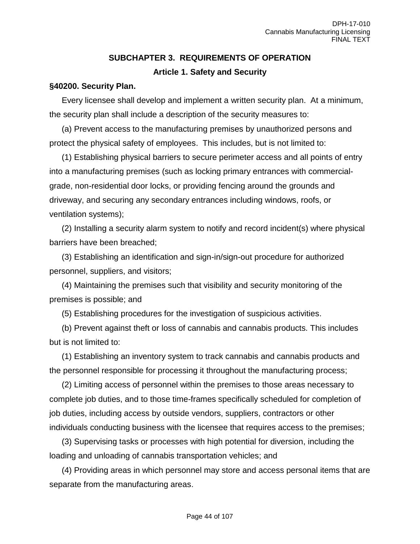# **SUBCHAPTER 3. REQUIREMENTS OF OPERATION Article 1. Safety and Security**

#### **§40200. Security Plan.**

Every licensee shall develop and implement a written security plan. At a minimum, the security plan shall include a description of the security measures to:

(a) Prevent access to the manufacturing premises by unauthorized persons and protect the physical safety of employees. This includes, but is not limited to:

(1) Establishing physical barriers to secure perimeter access and all points of entry into a manufacturing premises (such as locking primary entrances with commercialgrade, non-residential door locks, or providing fencing around the grounds and driveway, and securing any secondary entrances including windows, roofs, or ventilation systems);

(2) Installing a security alarm system to notify and record incident(s) where physical barriers have been breached;

(3) Establishing an identification and sign-in/sign-out procedure for authorized personnel, suppliers, and visitors;

(4) Maintaining the premises such that visibility and security monitoring of the premises is possible; and

(5) Establishing procedures for the investigation of suspicious activities.

(b) Prevent against theft or loss of cannabis and cannabis products. This includes but is not limited to:

(1) Establishing an inventory system to track cannabis and cannabis products and the personnel responsible for processing it throughout the manufacturing process;

(2) Limiting access of personnel within the premises to those areas necessary to complete job duties, and to those time-frames specifically scheduled for completion of job duties, including access by outside vendors, suppliers, contractors or other individuals conducting business with the licensee that requires access to the premises;

(3) Supervising tasks or processes with high potential for diversion, including the loading and unloading of cannabis transportation vehicles; and

(4) Providing areas in which personnel may store and access personal items that are separate from the manufacturing areas.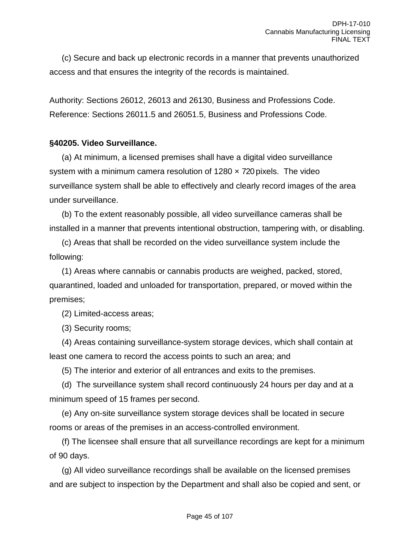(c) Secure and back up electronic records in a manner that prevents unauthorized access and that ensures the integrity of the records is maintained.

Authority: Sections 26012, 26013 and 26130, Business and Professions Code. Reference: Sections 26011.5 and 26051.5, Business and Professions Code.

## **§40205. Video Surveillance.**

(a) At minimum, a licensed premises shall have a digital video surveillance system with a minimum camera resolution of  $1280 \times 720$  pixels. The video surveillance system shall be able to effectively and clearly record images of the area under surveillance.

(b) To the extent reasonably possible, all video surveillance cameras shall be installed in a manner that prevents intentional obstruction, tampering with, or disabling.

(c) Areas that shall be recorded on the video surveillance system include the following:

(1) Areas where cannabis or cannabis products are weighed, packed, stored, quarantined, loaded and unloaded for transportation, prepared, or moved within the premises;

(2) Limited-access areas;

(3) Security rooms;

(4) Areas containing surveillance-system storage devices, which shall contain at least one camera to record the access points to such an area; and

(5) The interior and exterior of all entrances and exits to the premises.

(d) The surveillance system shall record continuously 24 hours per day and at a minimum speed of 15 frames per second.

(e) Any on-site surveillance system storage devices shall be located in secure rooms or areas of the premises in an access-controlled environment.

(f) The licensee shall ensure that all surveillance recordings are kept for a minimum of 90 days.

(g) All video surveillance recordings shall be available on the licensed premises and are subject to inspection by the Department and shall also be copied and sent, or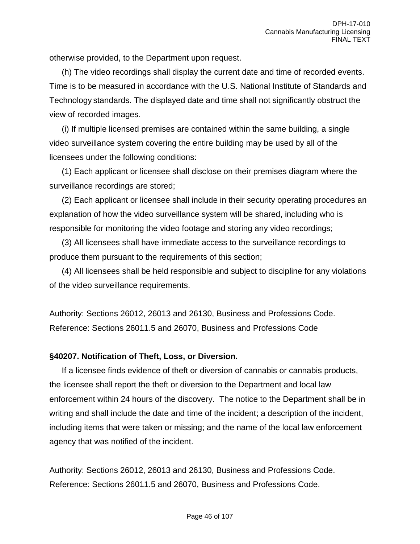otherwise provided, to the Department upon request.

(h) The video recordings shall display the current date and time of recorded events. Time is to be measured in accordance with the U.S. National Institute of Standards and Technology standards. The displayed date and time shall not significantly obstruct the view of recorded images.

(i) If multiple licensed premises are contained within the same building, a single video surveillance system covering the entire building may be used by all of the licensees under the following conditions:

(1) Each applicant or licensee shall disclose on their premises diagram where the surveillance recordings are stored;

(2) Each applicant or licensee shall include in their security operating procedures an explanation of how the video surveillance system will be shared, including who is responsible for monitoring the video footage and storing any video recordings;

(3) All licensees shall have immediate access to the surveillance recordings to produce them pursuant to the requirements of this section;

(4) All licensees shall be held responsible and subject to discipline for any violations of the video surveillance requirements.

Authority: Sections 26012, 26013 and 26130, Business and Professions Code. Reference: Sections 26011.5 and 26070, Business and Professions Code

## **§40207. Notification of Theft, Loss, or Diversion.**

If a licensee finds evidence of theft or diversion of cannabis or cannabis products, the licensee shall report the theft or diversion to the Department and local law enforcement within 24 hours of the discovery. The notice to the Department shall be in writing and shall include the date and time of the incident; a description of the incident, including items that were taken or missing; and the name of the local law enforcement agency that was notified of the incident.

Authority: Sections 26012, 26013 and 26130, Business and Professions Code. Reference: Sections 26011.5 and 26070, Business and Professions Code.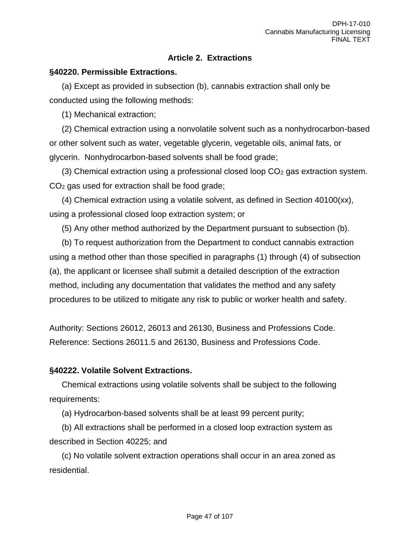# **Article 2. Extractions**

## **§40220. Permissible Extractions.**

(a) Except as provided in subsection (b), cannabis extraction shall only be conducted using the following methods:

(1) Mechanical extraction;

(2) Chemical extraction using a nonvolatile solvent such as a nonhydrocarbon-based or other solvent such as water, vegetable glycerin, vegetable oils, animal fats, or glycerin. Nonhydrocarbon-based solvents shall be food grade;

 $(3)$  Chemical extraction using a professional closed loop  $CO<sub>2</sub>$  gas extraction system. CO<sup>2</sup> gas used for extraction shall be food grade;

(4) Chemical extraction using a volatile solvent, as defined in Section 40100(xx), using a professional closed loop extraction system; or

(5) Any other method authorized by the Department pursuant to subsection (b).

(b) To request authorization from the Department to conduct cannabis extraction using a method other than those specified in paragraphs (1) through (4) of subsection (a), the applicant or licensee shall submit a detailed description of the extraction method, including any documentation that validates the method and any safety procedures to be utilized to mitigate any risk to public or worker health and safety.

Authority: Sections 26012, 26013 and 26130, Business and Professions Code. Reference: Sections 26011.5 and 26130, Business and Professions Code.

# **§40222. Volatile Solvent Extractions.**

Chemical extractions using volatile solvents shall be subject to the following requirements:

(a) Hydrocarbon-based solvents shall be at least 99 percent purity;

(b) All extractions shall be performed in a closed loop extraction system as described in Section 40225; and

(c) No volatile solvent extraction operations shall occur in an area zoned as residential.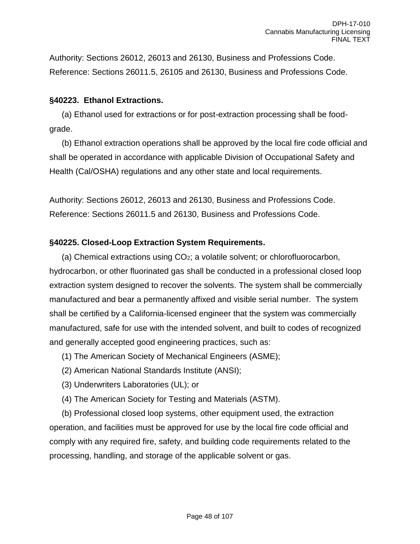Authority: Sections 26012, 26013 and 26130, Business and Professions Code. Reference: Sections 26011.5, 26105 and 26130, Business and Professions Code.

# **§40223. Ethanol Extractions.**

(a) Ethanol used for extractions or for post-extraction processing shall be foodgrade.

(b) Ethanol extraction operations shall be approved by the local fire code official and shall be operated in accordance with applicable Division of Occupational Safety and Health (Cal/OSHA) regulations and any other state and local requirements.

Authority: Sections 26012, 26013 and 26130, Business and Professions Code. Reference: Sections 26011.5 and 26130, Business and Professions Code.

# **§40225. Closed-Loop Extraction System Requirements.**

(a) Chemical extractions using CO2; a volatile solvent; or chlorofluorocarbon, hydrocarbon, or other fluorinated gas shall be conducted in a professional closed loop extraction system designed to recover the solvents. The system shall be commercially manufactured and bear a permanently affixed and visible serial number. The system shall be certified by a California-licensed engineer that the system was commercially manufactured, safe for use with the intended solvent, and built to codes of recognized and generally accepted good engineering practices, such as:

- (1) The American Society of Mechanical Engineers (ASME);
- (2) American National Standards Institute (ANSI);
- (3) Underwriters Laboratories (UL); or
- (4) The American Society for Testing and Materials (ASTM).

(b) Professional closed loop systems, other equipment used, the extraction operation, and facilities must be approved for use by the local fire code official and comply with any required fire, safety, and building code requirements related to the processing, handling, and storage of the applicable solvent or gas.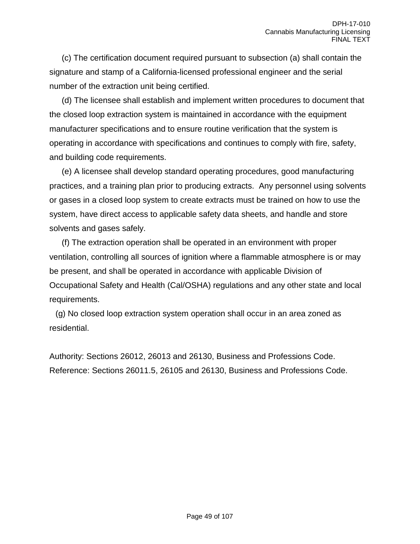(c) The certification document required pursuant to subsection (a) shall contain the signature and stamp of a California-licensed professional engineer and the serial number of the extraction unit being certified.

(d) The licensee shall establish and implement written procedures to document that the closed loop extraction system is maintained in accordance with the equipment manufacturer specifications and to ensure routine verification that the system is operating in accordance with specifications and continues to comply with fire, safety, and building code requirements.

(e) A licensee shall develop standard operating procedures, good manufacturing practices, and a training plan prior to producing extracts. Any personnel using solvents or gases in a closed loop system to create extracts must be trained on how to use the system, have direct access to applicable safety data sheets, and handle and store solvents and gases safely.

(f) The extraction operation shall be operated in an environment with proper ventilation, controlling all sources of ignition where a flammable atmosphere is or may be present, and shall be operated in accordance with applicable Division of Occupational Safety and Health (Cal/OSHA) regulations and any other state and local requirements.

(g) No closed loop extraction system operation shall occur in an area zoned as residential.

Authority: Sections 26012, 26013 and 26130, Business and Professions Code. Reference: Sections 26011.5, 26105 and 26130, Business and Professions Code.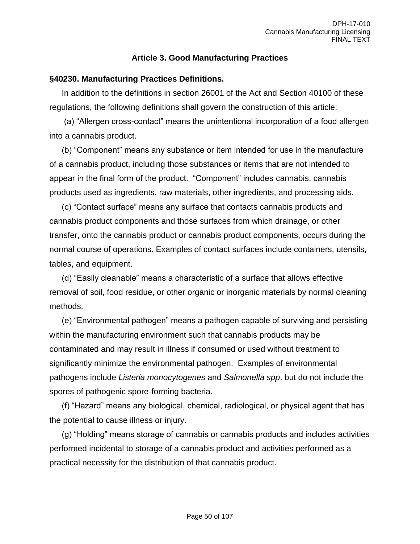# **Article 3. Good Manufacturing Practices**

# **§40230. Manufacturing Practices Definitions.**

In addition to the definitions in section 26001 of the Act and Section 40100 of these regulations, the following definitions shall govern the construction of this article:

(a) "Allergen cross-contact" means the unintentional incorporation of a food allergen into a cannabis product.

(b) "Component" means any substance or item intended for use in the manufacture of a cannabis product, including those substances or items that are not intended to appear in the final form of the product. "Component" includes cannabis, cannabis products used as ingredients, raw materials, other ingredients, and processing aids.

(c) "Contact surface" means any surface that contacts cannabis products and cannabis product components and those surfaces from which drainage, or other transfer, onto the cannabis product or cannabis product components, occurs during the normal course of operations. Examples of contact surfaces include containers, utensils, tables, and equipment.

(d) "Easily cleanable" means a characteristic of a surface that allows effective removal of soil, food residue, or other organic or inorganic materials by normal cleaning methods.

(e) "Environmental pathogen" means a pathogen capable of surviving and persisting within the manufacturing environment such that cannabis products may be contaminated and may result in illness if consumed or used without treatment to significantly minimize the environmental pathogen. Examples of environmental pathogens include *Listeria monocytogenes* and *Salmonella spp*. but do not include the spores of pathogenic spore-forming bacteria.

(f) "Hazard" means any biological, chemical, radiological, or physical agent that has the potential to cause illness or injury.

(g) "Holding" means storage of cannabis or cannabis products and includes activities performed incidental to storage of a cannabis product and activities performed as a practical necessity for the distribution of that cannabis product.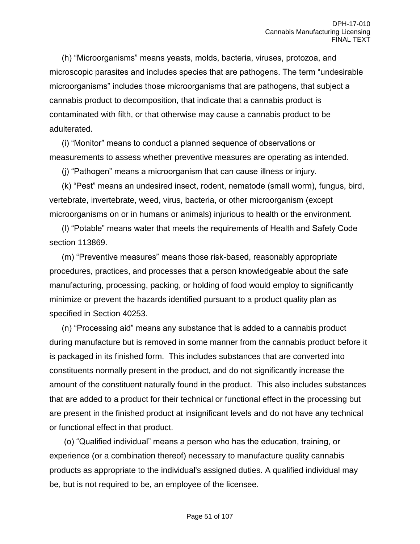(h) "Microorganisms" means yeasts, molds, bacteria, viruses, protozoa, and microscopic parasites and includes species that are pathogens. The term "undesirable microorganisms" includes those microorganisms that are pathogens, that subject a cannabis product to decomposition, that indicate that a cannabis product is contaminated with filth, or that otherwise may cause a cannabis product to be adulterated.

(i) "Monitor" means to conduct a planned sequence of observations or measurements to assess whether preventive measures are operating as intended.

(j) "Pathogen" means a microorganism that can cause illness or injury.

(k) "Pest" means an undesired insect, rodent, nematode (small worm), fungus, bird, vertebrate, invertebrate, weed, virus, bacteria, or other microorganism (except microorganisms on or in humans or animals) injurious to health or the environment.

(l) "Potable" means water that meets the requirements of Health and Safety Code section 113869.

(m) "Preventive measures" means those risk-based, reasonably appropriate procedures, practices, and processes that a person knowledgeable about the safe manufacturing, processing, packing, or holding of food would employ to significantly minimize or prevent the hazards identified pursuant to a product quality plan as specified in Section 40253.

(n) "Processing aid" means any substance that is added to a cannabis product during manufacture but is removed in some manner from the cannabis product before it is packaged in its finished form. This includes substances that are converted into constituents normally present in the product, and do not significantly increase the amount of the constituent naturally found in the product. This also includes substances that are added to a product for their technical or functional effect in the processing but are present in the finished product at insignificant levels and do not have any technical or functional effect in that product.

(o) "Qualified individual" means a person who has the education, training, or experience (or a combination thereof) necessary to manufacture quality cannabis products as appropriate to the individual's assigned duties. A qualified individual may be, but is not required to be, an employee of the licensee.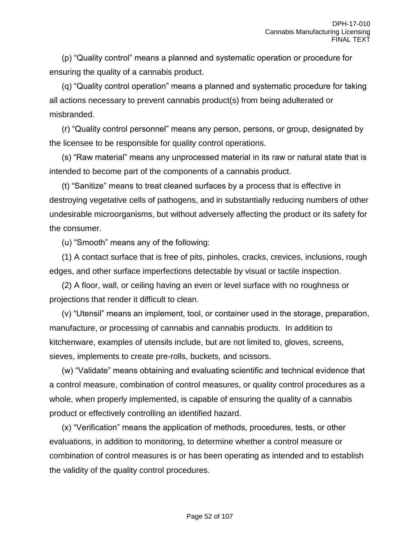(p) "Quality control" means a planned and systematic operation or procedure for ensuring the quality of a cannabis product.

(q) "Quality control operation" means a planned and systematic procedure for taking all actions necessary to prevent cannabis product(s) from being adulterated or misbranded.

(r) "Quality control personnel" means any person, persons, or group, designated by the licensee to be responsible for quality control operations.

(s) "Raw material" means any unprocessed material in its raw or natural state that is intended to become part of the components of a cannabis product.

(t) "Sanitize" means to treat cleaned surfaces by a process that is effective in destroying vegetative cells of pathogens, and in substantially reducing numbers of other undesirable microorganisms, but without adversely affecting the product or its safety for the consumer.

(u) "Smooth" means any of the following:

(1) A contact surface that is free of pits, pinholes, cracks, crevices, inclusions, rough edges, and other surface imperfections detectable by visual or tactile inspection.

(2) A floor, wall, or ceiling having an even or level surface with no roughness or projections that render it difficult to clean.

(v) "Utensil" means an implement, tool, or container used in the storage, preparation, manufacture, or processing of cannabis and cannabis products. In addition to kitchenware, examples of utensils include, but are not limited to, gloves, screens, sieves, implements to create pre-rolls, buckets, and scissors.

(w) "Validate" means obtaining and evaluating scientific and technical evidence that a control measure, combination of control measures, or quality control procedures as a whole, when properly implemented, is capable of ensuring the quality of a cannabis product or effectively controlling an identified hazard.

(x) "Verification" means the application of methods, procedures, tests, or other evaluations, in addition to monitoring, to determine whether a control measure or combination of control measures is or has been operating as intended and to establish the validity of the quality control procedures.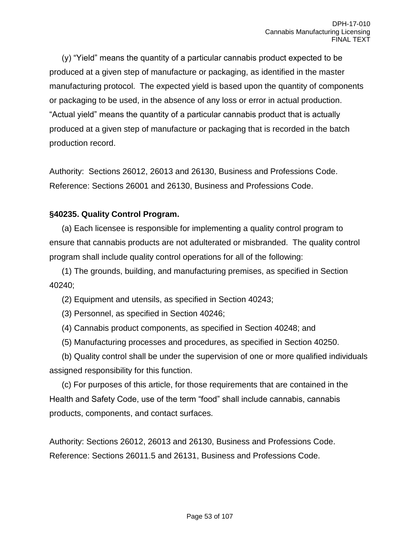(y) "Yield" means the quantity of a particular cannabis product expected to be produced at a given step of manufacture or packaging, as identified in the master manufacturing protocol. The expected yield is based upon the quantity of components or packaging to be used, in the absence of any loss or error in actual production. "Actual yield" means the quantity of a particular cannabis product that is actually produced at a given step of manufacture or packaging that is recorded in the batch production record.

Authority: Sections 26012, 26013 and 26130, Business and Professions Code. Reference: Sections 26001 and 26130, Business and Professions Code.

# **§40235. Quality Control Program.**

(a) Each licensee is responsible for implementing a quality control program to ensure that cannabis products are not adulterated or misbranded. The quality control program shall include quality control operations for all of the following:

(1) The grounds, building, and manufacturing premises, as specified in Section  $40240$ 

- (2) Equipment and utensils, as specified in Section 40243;
- (3) Personnel, as specified in Section 40246;
- (4) Cannabis product components, as specified in Section 40248; and
- (5) Manufacturing processes and procedures, as specified in Section 40250.

(b) Quality control shall be under the supervision of one or more qualified individuals assigned responsibility for this function.

(c) For purposes of this article, for those requirements that are contained in the Health and Safety Code, use of the term "food" shall include cannabis, cannabis products, components, and contact surfaces.

Authority: Sections 26012, 26013 and 26130, Business and Professions Code. Reference: Sections 26011.5 and 26131, Business and Professions Code.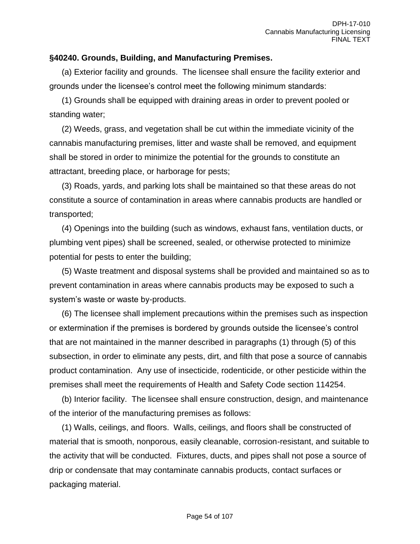# **§40240. Grounds, Building, and Manufacturing Premises.**

(a) Exterior facility and grounds. The licensee shall ensure the facility exterior and grounds under the licensee's control meet the following minimum standards:

(1) Grounds shall be equipped with draining areas in order to prevent pooled or standing water;

(2) Weeds, grass, and vegetation shall be cut within the immediate vicinity of the cannabis manufacturing premises, litter and waste shall be removed, and equipment shall be stored in order to minimize the potential for the grounds to constitute an attractant, breeding place, or harborage for pests;

(3) Roads, yards, and parking lots shall be maintained so that these areas do not constitute a source of contamination in areas where cannabis products are handled or transported;

(4) Openings into the building (such as windows, exhaust fans, ventilation ducts, or plumbing vent pipes) shall be screened, sealed, or otherwise protected to minimize potential for pests to enter the building;

(5) Waste treatment and disposal systems shall be provided and maintained so as to prevent contamination in areas where cannabis products may be exposed to such a system's waste or waste by-products.

(6) The licensee shall implement precautions within the premises such as inspection or extermination if the premises is bordered by grounds outside the licensee's control that are not maintained in the manner described in paragraphs (1) through (5) of this subsection, in order to eliminate any pests, dirt, and filth that pose a source of cannabis product contamination. Any use of insecticide, rodenticide, or other pesticide within the premises shall meet the requirements of Health and Safety Code section 114254.

(b) Interior facility. The licensee shall ensure construction, design, and maintenance of the interior of the manufacturing premises as follows:

(1) Walls, ceilings, and floors. Walls, ceilings, and floors shall be constructed of material that is smooth, nonporous, easily cleanable, corrosion-resistant, and suitable to the activity that will be conducted. Fixtures, ducts, and pipes shall not pose a source of drip or condensate that may contaminate cannabis products, contact surfaces or packaging material.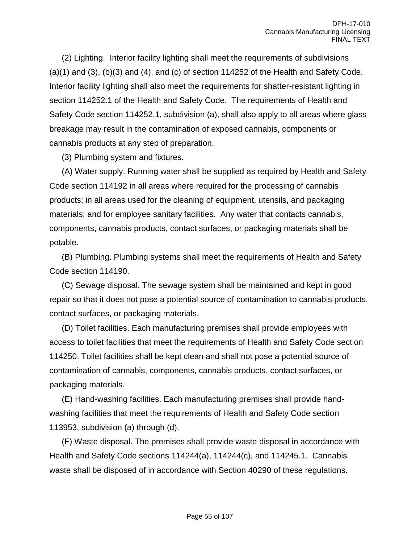(2) Lighting. Interior facility lighting shall meet the requirements of subdivisions  $(a)(1)$  and  $(3)$ ,  $(b)(3)$  and  $(4)$ , and  $(c)$  of section 114252 of the Health and Safety Code. Interior facility lighting shall also meet the requirements for shatter-resistant lighting in section 114252.1 of the Health and Safety Code. The requirements of Health and Safety Code section 114252.1, subdivision (a), shall also apply to all areas where glass breakage may result in the contamination of exposed cannabis, components or cannabis products at any step of preparation.

(3) Plumbing system and fixtures.

(A) Water supply. Running water shall be supplied as required by Health and Safety Code section 114192 in all areas where required for the processing of cannabis products; in all areas used for the cleaning of equipment, utensils, and packaging materials; and for employee sanitary facilities. Any water that contacts cannabis, components, cannabis products, contact surfaces, or packaging materials shall be potable.

(B) Plumbing. Plumbing systems shall meet the requirements of Health and Safety Code section 114190.

(C) Sewage disposal. The sewage system shall be maintained and kept in good repair so that it does not pose a potential source of contamination to cannabis products, contact surfaces, or packaging materials.

(D) Toilet facilities. Each manufacturing premises shall provide employees with access to toilet facilities that meet the requirements of Health and Safety Code section 114250. Toilet facilities shall be kept clean and shall not pose a potential source of contamination of cannabis, components, cannabis products, contact surfaces, or packaging materials.

(E) Hand-washing facilities. Each manufacturing premises shall provide handwashing facilities that meet the requirements of Health and Safety Code section 113953, subdivision (a) through (d).

(F) Waste disposal. The premises shall provide waste disposal in accordance with Health and Safety Code sections 114244(a), 114244(c), and 114245.1. Cannabis waste shall be disposed of in accordance with Section 40290 of these regulations.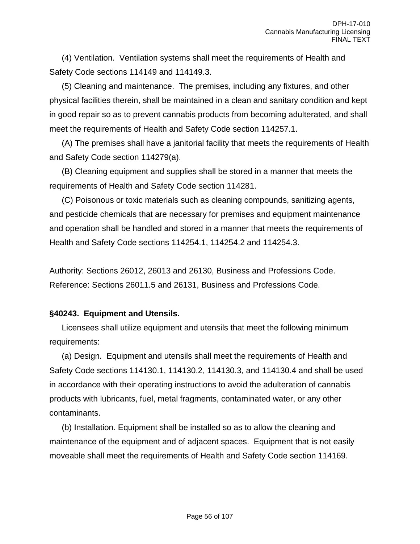(4) Ventilation. Ventilation systems shall meet the requirements of Health and Safety Code sections 114149 and 114149.3.

(5) Cleaning and maintenance. The premises, including any fixtures, and other physical facilities therein, shall be maintained in a clean and sanitary condition and kept in good repair so as to prevent cannabis products from becoming adulterated, and shall meet the requirements of Health and Safety Code section 114257.1.

(A) The premises shall have a janitorial facility that meets the requirements of Health and Safety Code section 114279(a).

(B) Cleaning equipment and supplies shall be stored in a manner that meets the requirements of Health and Safety Code section 114281.

(C) Poisonous or toxic materials such as cleaning compounds, sanitizing agents, and pesticide chemicals that are necessary for premises and equipment maintenance and operation shall be handled and stored in a manner that meets the requirements of Health and Safety Code sections 114254.1, 114254.2 and 114254.3.

Authority: Sections 26012, 26013 and 26130, Business and Professions Code. Reference: Sections 26011.5 and 26131, Business and Professions Code.

## **§40243. Equipment and Utensils.**

Licensees shall utilize equipment and utensils that meet the following minimum requirements:

(a) Design. Equipment and utensils shall meet the requirements of Health and Safety Code sections 114130.1, 114130.2, 114130.3, and 114130.4 and shall be used in accordance with their operating instructions to avoid the adulteration of cannabis products with lubricants, fuel, metal fragments, contaminated water, or any other contaminants.

(b) Installation. Equipment shall be installed so as to allow the cleaning and maintenance of the equipment and of adjacent spaces. Equipment that is not easily moveable shall meet the requirements of Health and Safety Code section 114169.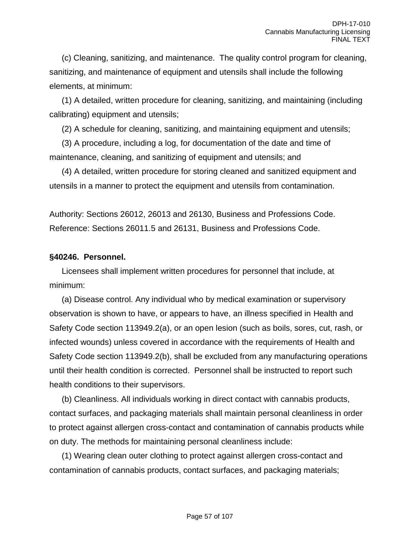(c) Cleaning, sanitizing, and maintenance. The quality control program for cleaning, sanitizing, and maintenance of equipment and utensils shall include the following elements, at minimum:

(1) A detailed, written procedure for cleaning, sanitizing, and maintaining (including calibrating) equipment and utensils;

(2) A schedule for cleaning, sanitizing, and maintaining equipment and utensils;

(3) A procedure, including a log, for documentation of the date and time of maintenance, cleaning, and sanitizing of equipment and utensils; and

(4) A detailed, written procedure for storing cleaned and sanitized equipment and utensils in a manner to protect the equipment and utensils from contamination.

Authority: Sections 26012, 26013 and 26130, Business and Professions Code. Reference: Sections 26011.5 and 26131, Business and Professions Code.

#### **§40246. Personnel.**

Licensees shall implement written procedures for personnel that include, at minimum:

(a) Disease control. Any individual who by medical examination or supervisory observation is shown to have, or appears to have, an illness specified in Health and Safety Code section 113949.2(a), or an open lesion (such as boils, sores, cut, rash, or infected wounds) unless covered in accordance with the requirements of Health and Safety Code section 113949.2(b), shall be excluded from any manufacturing operations until their health condition is corrected. Personnel shall be instructed to report such health conditions to their supervisors.

(b) Cleanliness. All individuals working in direct contact with cannabis products, contact surfaces, and packaging materials shall maintain personal cleanliness in order to protect against allergen cross-contact and contamination of cannabis products while on duty. The methods for maintaining personal cleanliness include:

(1) Wearing clean outer clothing to protect against allergen cross-contact and contamination of cannabis products, contact surfaces, and packaging materials;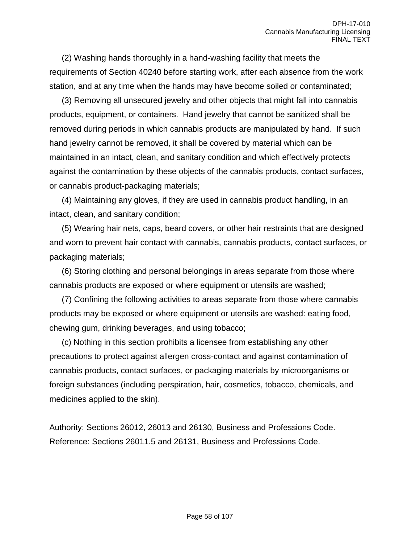(2) Washing hands thoroughly in a hand-washing facility that meets the requirements of Section 40240 before starting work, after each absence from the work station, and at any time when the hands may have become soiled or contaminated;

(3) Removing all unsecured jewelry and other objects that might fall into cannabis products, equipment, or containers. Hand jewelry that cannot be sanitized shall be removed during periods in which cannabis products are manipulated by hand. If such hand jewelry cannot be removed, it shall be covered by material which can be maintained in an intact, clean, and sanitary condition and which effectively protects against the contamination by these objects of the cannabis products, contact surfaces, or cannabis product-packaging materials;

(4) Maintaining any gloves, if they are used in cannabis product handling, in an intact, clean, and sanitary condition;

(5) Wearing hair nets, caps, beard covers, or other hair restraints that are designed and worn to prevent hair contact with cannabis, cannabis products, contact surfaces, or packaging materials;

(6) Storing clothing and personal belongings in areas separate from those where cannabis products are exposed or where equipment or utensils are washed;

(7) Confining the following activities to areas separate from those where cannabis products may be exposed or where equipment or utensils are washed: eating food, chewing gum, drinking beverages, and using tobacco;

(c) Nothing in this section prohibits a licensee from establishing any other precautions to protect against allergen cross-contact and against contamination of cannabis products, contact surfaces, or packaging materials by microorganisms or foreign substances (including perspiration, hair, cosmetics, tobacco, chemicals, and medicines applied to the skin).

Authority: Sections 26012, 26013 and 26130, Business and Professions Code. Reference: Sections 26011.5 and 26131, Business and Professions Code.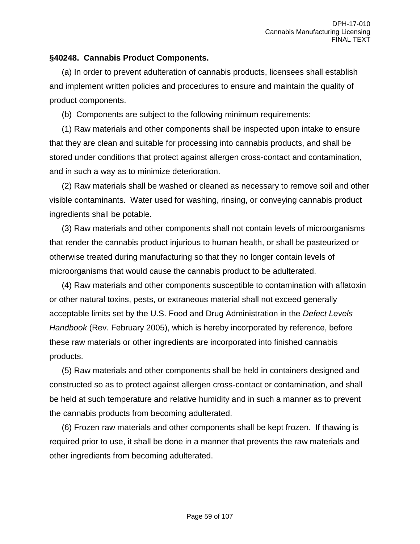# **§40248. Cannabis Product Components.**

(a) In order to prevent adulteration of cannabis products, licensees shall establish and implement written policies and procedures to ensure and maintain the quality of product components.

(b) Components are subject to the following minimum requirements:

(1) Raw materials and other components shall be inspected upon intake to ensure that they are clean and suitable for processing into cannabis products, and shall be stored under conditions that protect against allergen cross-contact and contamination, and in such a way as to minimize deterioration.

(2) Raw materials shall be washed or cleaned as necessary to remove soil and other visible contaminants. Water used for washing, rinsing, or conveying cannabis product ingredients shall be potable.

(3) Raw materials and other components shall not contain levels of microorganisms that render the cannabis product injurious to human health, or shall be pasteurized or otherwise treated during manufacturing so that they no longer contain levels of microorganisms that would cause the cannabis product to be adulterated.

(4) Raw materials and other components susceptible to contamination with aflatoxin or other natural toxins, pests, or extraneous material shall not exceed generally acceptable limits set by the U.S. Food and Drug Administration in the *Defect Levels Handbook* (Rev. February 2005), which is hereby incorporated by reference, before these raw materials or other ingredients are incorporated into finished cannabis products.

(5) Raw materials and other components shall be held in containers designed and constructed so as to protect against allergen cross-contact or contamination, and shall be held at such temperature and relative humidity and in such a manner as to prevent the cannabis products from becoming adulterated.

(6) Frozen raw materials and other components shall be kept frozen. If thawing is required prior to use, it shall be done in a manner that prevents the raw materials and other ingredients from becoming adulterated.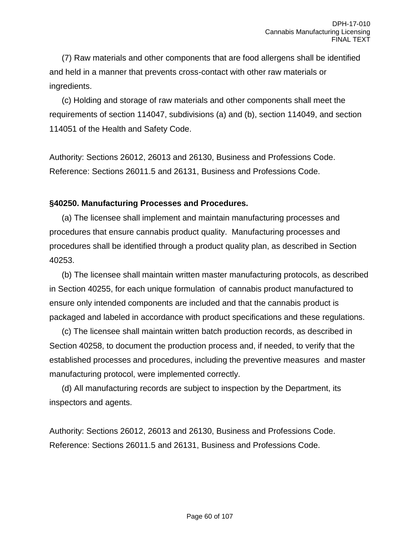(7) Raw materials and other components that are food allergens shall be identified and held in a manner that prevents cross-contact with other raw materials or ingredients.

(c) Holding and storage of raw materials and other components shall meet the requirements of section 114047, subdivisions (a) and (b), section 114049, and section 114051 of the Health and Safety Code.

Authority: Sections 26012, 26013 and 26130, Business and Professions Code. Reference: Sections 26011.5 and 26131, Business and Professions Code.

## **§40250. Manufacturing Processes and Procedures.**

(a) The licensee shall implement and maintain manufacturing processes and procedures that ensure cannabis product quality. Manufacturing processes and procedures shall be identified through a product quality plan, as described in Section 40253.

(b) The licensee shall maintain written master manufacturing protocols, as described in Section 40255, for each unique formulation of cannabis product manufactured to ensure only intended components are included and that the cannabis product is packaged and labeled in accordance with product specifications and these regulations.

(c) The licensee shall maintain written batch production records, as described in Section 40258, to document the production process and, if needed, to verify that the established processes and procedures, including the preventive measures and master manufacturing protocol, were implemented correctly.

(d) All manufacturing records are subject to inspection by the Department, its inspectors and agents.

Authority: Sections 26012, 26013 and 26130, Business and Professions Code. Reference: Sections 26011.5 and 26131, Business and Professions Code.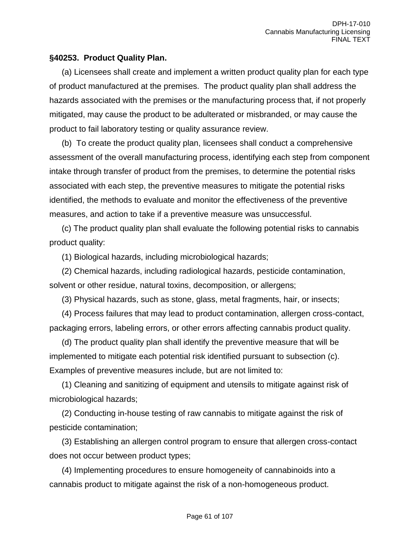## **§40253. Product Quality Plan.**

(a) Licensees shall create and implement a written product quality plan for each type of product manufactured at the premises. The product quality plan shall address the hazards associated with the premises or the manufacturing process that, if not properly mitigated, may cause the product to be adulterated or misbranded, or may cause the product to fail laboratory testing or quality assurance review.

(b) To create the product quality plan, licensees shall conduct a comprehensive assessment of the overall manufacturing process, identifying each step from component intake through transfer of product from the premises, to determine the potential risks associated with each step, the preventive measures to mitigate the potential risks identified, the methods to evaluate and monitor the effectiveness of the preventive measures, and action to take if a preventive measure was unsuccessful.

(c) The product quality plan shall evaluate the following potential risks to cannabis product quality:

(1) Biological hazards, including microbiological hazards;

(2) Chemical hazards, including radiological hazards, pesticide contamination, solvent or other residue, natural toxins, decomposition, or allergens;

(3) Physical hazards, such as stone, glass, metal fragments, hair, or insects;

(4) Process failures that may lead to product contamination, allergen cross-contact, packaging errors, labeling errors, or other errors affecting cannabis product quality.

(d) The product quality plan shall identify the preventive measure that will be implemented to mitigate each potential risk identified pursuant to subsection (c). Examples of preventive measures include, but are not limited to:

(1) Cleaning and sanitizing of equipment and utensils to mitigate against risk of microbiological hazards;

(2) Conducting in-house testing of raw cannabis to mitigate against the risk of pesticide contamination;

(3) Establishing an allergen control program to ensure that allergen cross-contact does not occur between product types;

(4) Implementing procedures to ensure homogeneity of cannabinoids into a cannabis product to mitigate against the risk of a non-homogeneous product.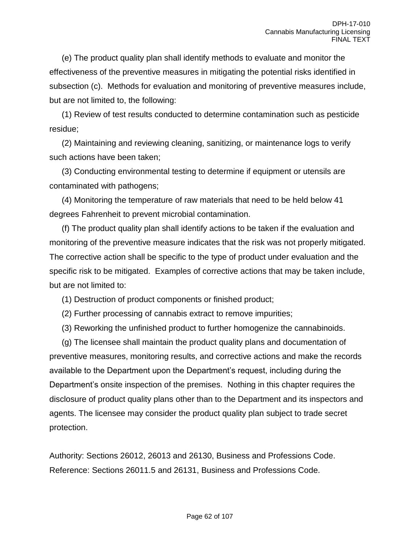(e) The product quality plan shall identify methods to evaluate and monitor the effectiveness of the preventive measures in mitigating the potential risks identified in subsection (c). Methods for evaluation and monitoring of preventive measures include, but are not limited to, the following:

(1) Review of test results conducted to determine contamination such as pesticide residue;

(2) Maintaining and reviewing cleaning, sanitizing, or maintenance logs to verify such actions have been taken;

(3) Conducting environmental testing to determine if equipment or utensils are contaminated with pathogens;

(4) Monitoring the temperature of raw materials that need to be held below 41 degrees Fahrenheit to prevent microbial contamination.

(f) The product quality plan shall identify actions to be taken if the evaluation and monitoring of the preventive measure indicates that the risk was not properly mitigated. The corrective action shall be specific to the type of product under evaluation and the specific risk to be mitigated. Examples of corrective actions that may be taken include, but are not limited to:

(1) Destruction of product components or finished product;

(2) Further processing of cannabis extract to remove impurities;

(3) Reworking the unfinished product to further homogenize the cannabinoids.

(g) The licensee shall maintain the product quality plans and documentation of preventive measures, monitoring results, and corrective actions and make the records available to the Department upon the Department's request, including during the Department's onsite inspection of the premises. Nothing in this chapter requires the disclosure of product quality plans other than to the Department and its inspectors and agents. The licensee may consider the product quality plan subject to trade secret protection.

Authority: Sections 26012, 26013 and 26130, Business and Professions Code. Reference: Sections 26011.5 and 26131, Business and Professions Code.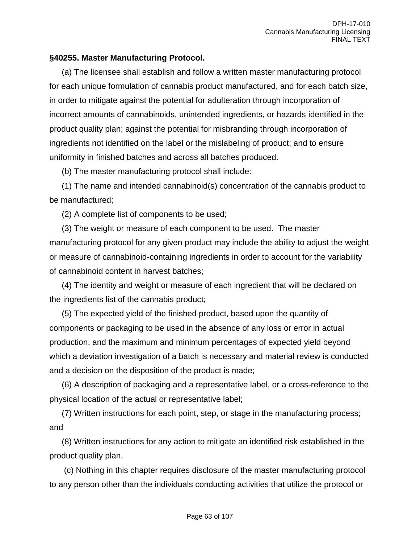# **§40255. Master Manufacturing Protocol.**

(a) The licensee shall establish and follow a written master manufacturing protocol for each unique formulation of cannabis product manufactured, and for each batch size, in order to mitigate against the potential for adulteration through incorporation of incorrect amounts of cannabinoids, unintended ingredients, or hazards identified in the product quality plan; against the potential for misbranding through incorporation of ingredients not identified on the label or the mislabeling of product; and to ensure uniformity in finished batches and across all batches produced.

(b) The master manufacturing protocol shall include:

(1) The name and intended cannabinoid(s) concentration of the cannabis product to be manufactured;

(2) A complete list of components to be used;

(3) The weight or measure of each component to be used. The master manufacturing protocol for any given product may include the ability to adjust the weight or measure of cannabinoid-containing ingredients in order to account for the variability of cannabinoid content in harvest batches;

(4) The identity and weight or measure of each ingredient that will be declared on the ingredients list of the cannabis product;

(5) The expected yield of the finished product, based upon the quantity of components or packaging to be used in the absence of any loss or error in actual production, and the maximum and minimum percentages of expected yield beyond which a deviation investigation of a batch is necessary and material review is conducted and a decision on the disposition of the product is made;

(6) A description of packaging and a representative label, or a cross-reference to the physical location of the actual or representative label;

(7) Written instructions for each point, step, or stage in the manufacturing process; and

(8) Written instructions for any action to mitigate an identified risk established in the product quality plan.

(c) Nothing in this chapter requires disclosure of the master manufacturing protocol to any person other than the individuals conducting activities that utilize the protocol or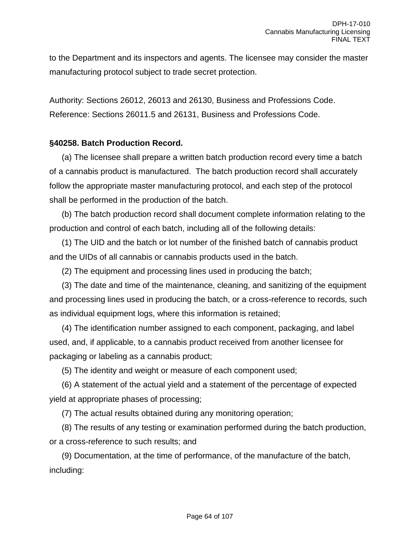to the Department and its inspectors and agents. The licensee may consider the master manufacturing protocol subject to trade secret protection.

Authority: Sections 26012, 26013 and 26130, Business and Professions Code. Reference: Sections 26011.5 and 26131, Business and Professions Code.

# **§40258. Batch Production Record.**

(a) The licensee shall prepare a written batch production record every time a batch of a cannabis product is manufactured. The batch production record shall accurately follow the appropriate master manufacturing protocol, and each step of the protocol shall be performed in the production of the batch.

(b) The batch production record shall document complete information relating to the production and control of each batch, including all of the following details:

(1) The UID and the batch or lot number of the finished batch of cannabis product and the UIDs of all cannabis or cannabis products used in the batch.

(2) The equipment and processing lines used in producing the batch;

(3) The date and time of the maintenance, cleaning, and sanitizing of the equipment and processing lines used in producing the batch, or a cross-reference to records, such as individual equipment logs, where this information is retained;

(4) The identification number assigned to each component, packaging, and label used, and, if applicable, to a cannabis product received from another licensee for packaging or labeling as a cannabis product;

(5) The identity and weight or measure of each component used;

(6) A statement of the actual yield and a statement of the percentage of expected yield at appropriate phases of processing;

(7) The actual results obtained during any monitoring operation;

(8) The results of any testing or examination performed during the batch production, or a cross-reference to such results; and

(9) Documentation, at the time of performance, of the manufacture of the batch, including: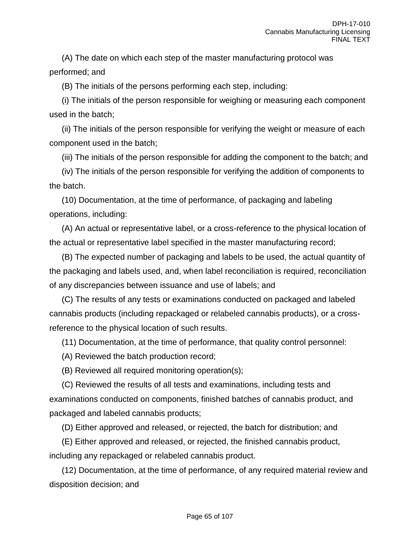(A) The date on which each step of the master manufacturing protocol was performed; and

(B) The initials of the persons performing each step, including:

(i) The initials of the person responsible for weighing or measuring each component used in the batch;

(ii) The initials of the person responsible for verifying the weight or measure of each component used in the batch;

(iii) The initials of the person responsible for adding the component to the batch; and

(iv) The initials of the person responsible for verifying the addition of components to the batch.

(10) Documentation, at the time of performance, of packaging and labeling operations, including:

(A) An actual or representative label, or a cross-reference to the physical location of the actual or representative label specified in the master manufacturing record;

(B) The expected number of packaging and labels to be used, the actual quantity of the packaging and labels used, and, when label reconciliation is required, reconciliation of any discrepancies between issuance and use of labels; and

(C) The results of any tests or examinations conducted on packaged and labeled cannabis products (including repackaged or relabeled cannabis products), or a crossreference to the physical location of such results.

(11) Documentation, at the time of performance, that quality control personnel:

(A) Reviewed the batch production record;

(B) Reviewed all required monitoring operation(s);

(C) Reviewed the results of all tests and examinations, including tests and examinations conducted on components, finished batches of cannabis product, and packaged and labeled cannabis products;

(D) Either approved and released, or rejected, the batch for distribution; and

(E) Either approved and released, or rejected, the finished cannabis product, including any repackaged or relabeled cannabis product.

(12) Documentation, at the time of performance, of any required material review and disposition decision; and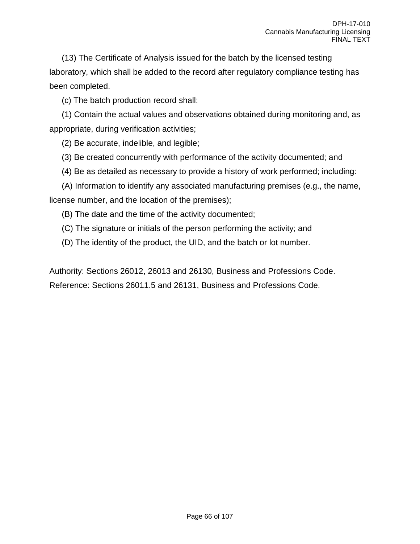(13) The Certificate of Analysis issued for the batch by the licensed testing laboratory, which shall be added to the record after regulatory compliance testing has been completed.

(c) The batch production record shall:

(1) Contain the actual values and observations obtained during monitoring and, as appropriate, during verification activities;

(2) Be accurate, indelible, and legible;

(3) Be created concurrently with performance of the activity documented; and

(4) Be as detailed as necessary to provide a history of work performed; including:

(A) Information to identify any associated manufacturing premises (e.g., the name, license number, and the location of the premises);

(B) The date and the time of the activity documented;

(C) The signature or initials of the person performing the activity; and

(D) The identity of the product, the UID, and the batch or lot number.

Authority: Sections 26012, 26013 and 26130, Business and Professions Code. Reference: Sections 26011.5 and 26131, Business and Professions Code.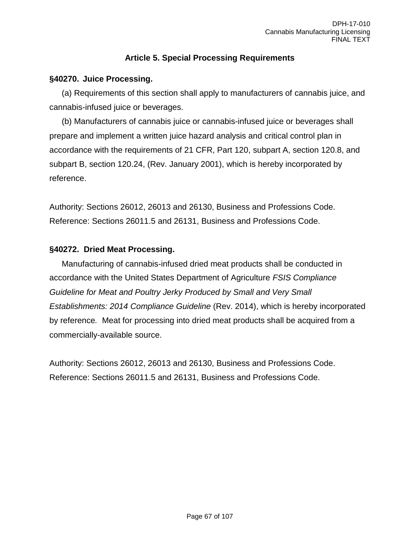# **Article 5. Special Processing Requirements**

## **§40270. Juice Processing.**

(a) Requirements of this section shall apply to manufacturers of cannabis juice, and cannabis-infused juice or beverages.

(b) Manufacturers of cannabis juice or cannabis-infused juice or beverages shall prepare and implement a written juice hazard analysis and critical control plan in accordance with the requirements of 21 CFR, Part 120, subpart A, section 120.8, and subpart B, section 120.24, (Rev. January 2001), which is hereby incorporated by reference.

Authority: Sections 26012, 26013 and 26130, Business and Professions Code. Reference: Sections 26011.5 and 26131, Business and Professions Code.

## **§40272. Dried Meat Processing.**

Manufacturing of cannabis-infused dried meat products shall be conducted in accordance with the United States Department of Agriculture *FSIS Compliance Guideline for Meat and Poultry Jerky Produced by Small and Very Small Establishments: 2014 Compliance Guideline* (Rev. 2014), which is hereby incorporated by reference*.* Meat for processing into dried meat products shall be acquired from a commercially-available source.

Authority: Sections 26012, 26013 and 26130, Business and Professions Code. Reference: Sections 26011.5 and 26131, Business and Professions Code.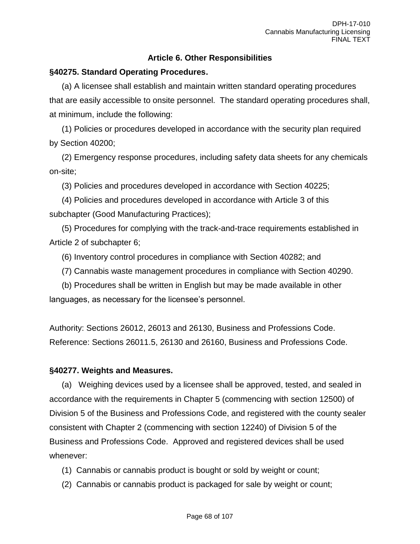## **Article 6. Other Responsibilities**

# **§40275. Standard Operating Procedures.**

(a) A licensee shall establish and maintain written standard operating procedures that are easily accessible to onsite personnel. The standard operating procedures shall, at minimum, include the following:

(1) Policies or procedures developed in accordance with the security plan required by Section 40200;

(2) Emergency response procedures, including safety data sheets for any chemicals on-site;

(3) Policies and procedures developed in accordance with Section 40225;

(4) Policies and procedures developed in accordance with Article 3 of this subchapter (Good Manufacturing Practices);

(5) Procedures for complying with the track-and-trace requirements established in Article 2 of subchapter 6;

(6) Inventory control procedures in compliance with Section 40282; and

(7) Cannabis waste management procedures in compliance with Section 40290.

(b) Procedures shall be written in English but may be made available in other languages, as necessary for the licensee's personnel.

Authority: Sections 26012, 26013 and 26130, Business and Professions Code. Reference: Sections 26011.5, 26130 and 26160, Business and Professions Code.

## **§40277. Weights and Measures.**

(a) Weighing devices used by a licensee shall be approved, tested, and sealed in accordance with the requirements in Chapter 5 (commencing with section 12500) of Division 5 of the Business and Professions Code, and registered with the county sealer consistent with Chapter 2 (commencing with section 12240) of Division 5 of the Business and Professions Code. Approved and registered devices shall be used whenever:

(1) Cannabis or cannabis product is bought or sold by weight or count;

(2) Cannabis or cannabis product is packaged for sale by weight or count;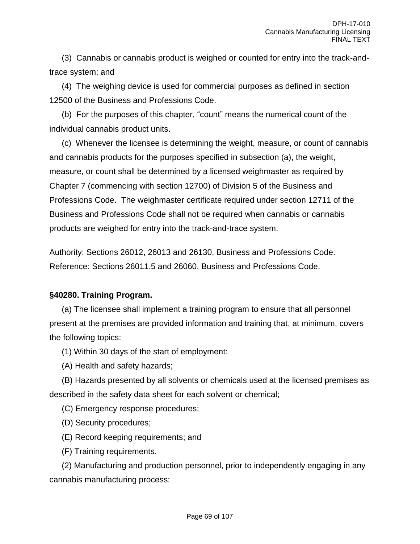(3) Cannabis or cannabis product is weighed or counted for entry into the track-andtrace system; and

(4) The weighing device is used for commercial purposes as defined in section 12500 of the Business and Professions Code.

(b) For the purposes of this chapter, "count" means the numerical count of the individual cannabis product units.

(c) Whenever the licensee is determining the weight, measure, or count of cannabis and cannabis products for the purposes specified in subsection (a), the weight, measure, or count shall be determined by a licensed weighmaster as required by Chapter 7 (commencing with section 12700) of Division 5 of the Business and Professions Code. The weighmaster certificate required under section 12711 of the Business and Professions Code shall not be required when cannabis or cannabis products are weighed for entry into the track-and-trace system.

Authority: Sections 26012, 26013 and 26130, Business and Professions Code. Reference: Sections 26011.5 and 26060, Business and Professions Code.

# **§40280. Training Program.**

(a) The licensee shall implement a training program to ensure that all personnel present at the premises are provided information and training that, at minimum, covers the following topics:

(1) Within 30 days of the start of employment:

(A) Health and safety hazards;

(B) Hazards presented by all solvents or chemicals used at the licensed premises as described in the safety data sheet for each solvent or chemical;

(C) Emergency response procedures;

- (D) Security procedures;
- (E) Record keeping requirements; and
- (F) Training requirements.

(2) Manufacturing and production personnel, prior to independently engaging in any cannabis manufacturing process: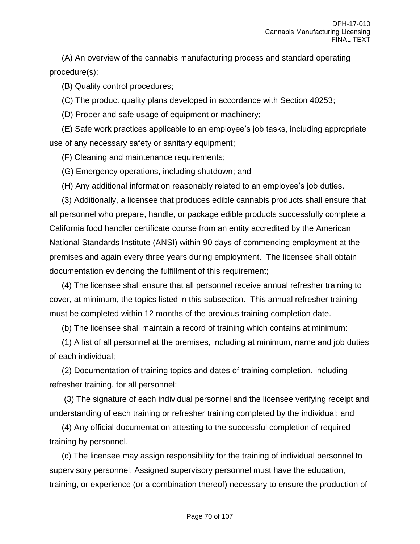(A) An overview of the cannabis manufacturing process and standard operating procedure(s);

(B) Quality control procedures;

(C) The product quality plans developed in accordance with Section 40253;

(D) Proper and safe usage of equipment or machinery;

(E) Safe work practices applicable to an employee's job tasks, including appropriate use of any necessary safety or sanitary equipment;

(F) Cleaning and maintenance requirements;

(G) Emergency operations, including shutdown; and

(H) Any additional information reasonably related to an employee's job duties.

(3) Additionally, a licensee that produces edible cannabis products shall ensure that all personnel who prepare, handle, or package edible products successfully complete a California food handler certificate course from an entity accredited by the American National Standards Institute (ANSI) within 90 days of commencing employment at the premises and again every three years during employment. The licensee shall obtain documentation evidencing the fulfillment of this requirement;

(4) The licensee shall ensure that all personnel receive annual refresher training to cover, at minimum, the topics listed in this subsection. This annual refresher training must be completed within 12 months of the previous training completion date.

(b) The licensee shall maintain a record of training which contains at minimum:

(1) A list of all personnel at the premises, including at minimum, name and job duties of each individual;

(2) Documentation of training topics and dates of training completion, including refresher training, for all personnel;

(3) The signature of each individual personnel and the licensee verifying receipt and understanding of each training or refresher training completed by the individual; and

(4) Any official documentation attesting to the successful completion of required training by personnel.

(c) The licensee may assign responsibility for the training of individual personnel to supervisory personnel. Assigned supervisory personnel must have the education, training, or experience (or a combination thereof) necessary to ensure the production of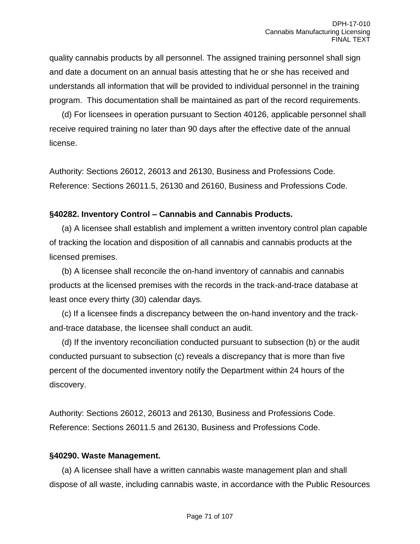quality cannabis products by all personnel. The assigned training personnel shall sign and date a document on an annual basis attesting that he or she has received and understands all information that will be provided to individual personnel in the training program. This documentation shall be maintained as part of the record requirements.

(d) For licensees in operation pursuant to Section 40126, applicable personnel shall receive required training no later than 90 days after the effective date of the annual license.

Authority: Sections 26012, 26013 and 26130, Business and Professions Code. Reference: Sections 26011.5, 26130 and 26160, Business and Professions Code.

## **§40282. Inventory Control – Cannabis and Cannabis Products.**

(a) A licensee shall establish and implement a written inventory control plan capable of tracking the location and disposition of all cannabis and cannabis products at the licensed premises.

(b) A licensee shall reconcile the on-hand inventory of cannabis and cannabis products at the licensed premises with the records in the track-and-trace database at least once every thirty (30) calendar days.

(c) If a licensee finds a discrepancy between the on-hand inventory and the trackand-trace database, the licensee shall conduct an audit.

(d) If the inventory reconciliation conducted pursuant to subsection (b) or the audit conducted pursuant to subsection (c) reveals a discrepancy that is more than five percent of the documented inventory notify the Department within 24 hours of the discovery.

Authority: Sections 26012, 26013 and 26130, Business and Professions Code. Reference: Sections 26011.5 and 26130, Business and Professions Code.

## **§40290. Waste Management.**

(a) A licensee shall have a written cannabis waste management plan and shall dispose of all waste, including cannabis waste, in accordance with the Public Resources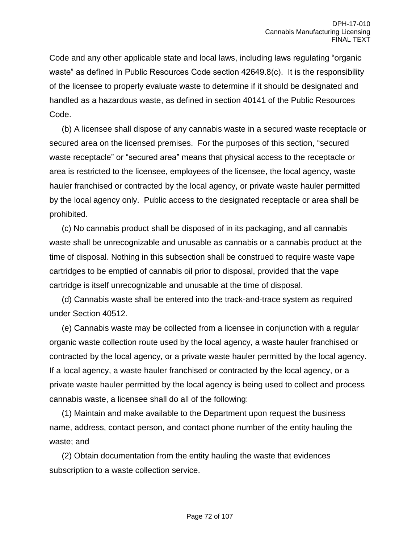Code and any other applicable state and local laws, including laws regulating "organic waste" as defined in Public Resources Code section 42649.8(c). It is the responsibility of the licensee to properly evaluate waste to determine if it should be designated and handled as a hazardous waste, as defined in section 40141 of the Public Resources Code.

(b) A licensee shall dispose of any cannabis waste in a secured waste receptacle or secured area on the licensed premises. For the purposes of this section, "secured waste receptacle" or "secured area" means that physical access to the receptacle or area is restricted to the licensee, employees of the licensee, the local agency, waste hauler franchised or contracted by the local agency, or private waste hauler permitted by the local agency only. Public access to the designated receptacle or area shall be prohibited.

(c) No cannabis product shall be disposed of in its packaging, and all cannabis waste shall be unrecognizable and unusable as cannabis or a cannabis product at the time of disposal. Nothing in this subsection shall be construed to require waste vape cartridges to be emptied of cannabis oil prior to disposal, provided that the vape cartridge is itself unrecognizable and unusable at the time of disposal.

(d) Cannabis waste shall be entered into the track-and-trace system as required under Section 40512.

(e) Cannabis waste may be collected from a licensee in conjunction with a regular organic waste collection route used by the local agency, a waste hauler franchised or contracted by the local agency, or a private waste hauler permitted by the local agency. If a local agency, a waste hauler franchised or contracted by the local agency, or a private waste hauler permitted by the local agency is being used to collect and process cannabis waste, a licensee shall do all of the following:

(1) Maintain and make available to the Department upon request the business name, address, contact person, and contact phone number of the entity hauling the waste; and

(2) Obtain documentation from the entity hauling the waste that evidences subscription to a waste collection service.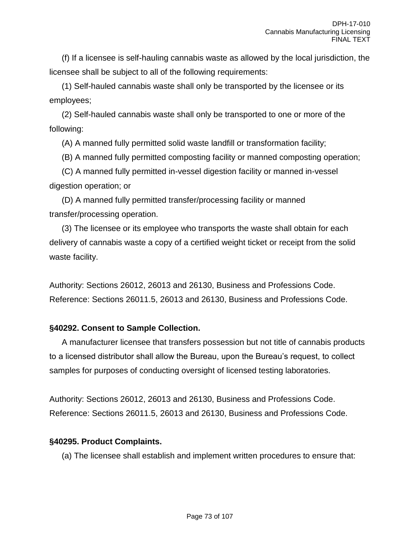(f) If a licensee is self-hauling cannabis waste as allowed by the local jurisdiction, the licensee shall be subject to all of the following requirements:

(1) Self-hauled cannabis waste shall only be transported by the licensee or its employees;

(2) Self-hauled cannabis waste shall only be transported to one or more of the following:

(A) A manned fully permitted solid waste landfill or transformation facility;

(B) A manned fully permitted composting facility or manned composting operation;

(C) A manned fully permitted in-vessel digestion facility or manned in-vessel digestion operation; or

(D) A manned fully permitted transfer/processing facility or manned transfer/processing operation.

(3) The licensee or its employee who transports the waste shall obtain for each delivery of cannabis waste a copy of a certified weight ticket or receipt from the solid waste facility.

Authority: Sections 26012, 26013 and 26130, Business and Professions Code. Reference: Sections 26011.5, 26013 and 26130, Business and Professions Code.

## **§40292. Consent to Sample Collection.**

A manufacturer licensee that transfers possession but not title of cannabis products to a licensed distributor shall allow the Bureau, upon the Bureau's request, to collect samples for purposes of conducting oversight of licensed testing laboratories.

Authority: Sections 26012, 26013 and 26130, Business and Professions Code. Reference: Sections 26011.5, 26013 and 26130, Business and Professions Code.

## **§40295. Product Complaints.**

(a) The licensee shall establish and implement written procedures to ensure that: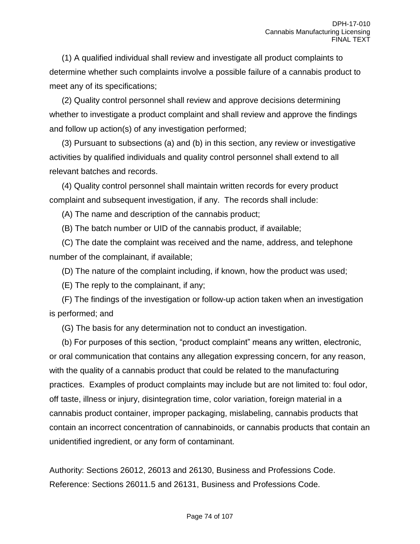(1) A qualified individual shall review and investigate all product complaints to determine whether such complaints involve a possible failure of a cannabis product to meet any of its specifications;

(2) Quality control personnel shall review and approve decisions determining whether to investigate a product complaint and shall review and approve the findings and follow up action(s) of any investigation performed;

(3) Pursuant to subsections (a) and (b) in this section, any review or investigative activities by qualified individuals and quality control personnel shall extend to all relevant batches and records.

(4) Quality control personnel shall maintain written records for every product complaint and subsequent investigation, if any. The records shall include:

(A) The name and description of the cannabis product;

(B) The batch number or UID of the cannabis product, if available;

(C) The date the complaint was received and the name, address, and telephone number of the complainant, if available;

(D) The nature of the complaint including, if known, how the product was used;

(E) The reply to the complainant, if any;

(F) The findings of the investigation or follow-up action taken when an investigation is performed; and

(G) The basis for any determination not to conduct an investigation.

(b) For purposes of this section, "product complaint" means any written, electronic, or oral communication that contains any allegation expressing concern, for any reason, with the quality of a cannabis product that could be related to the manufacturing practices. Examples of product complaints may include but are not limited to: foul odor, off taste, illness or injury, disintegration time, color variation, foreign material in a cannabis product container, improper packaging, mislabeling, cannabis products that contain an incorrect concentration of cannabinoids, or cannabis products that contain an unidentified ingredient, or any form of contaminant.

Authority: Sections 26012, 26013 and 26130, Business and Professions Code. Reference: Sections 26011.5 and 26131, Business and Professions Code.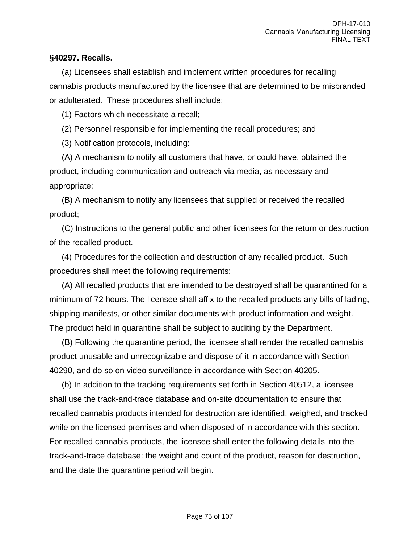# **§40297. Recalls.**

(a) Licensees shall establish and implement written procedures for recalling cannabis products manufactured by the licensee that are determined to be misbranded or adulterated. These procedures shall include:

(1) Factors which necessitate a recall;

(2) Personnel responsible for implementing the recall procedures; and

(3) Notification protocols, including:

(A) A mechanism to notify all customers that have, or could have, obtained the product, including communication and outreach via media, as necessary and appropriate;

(B) A mechanism to notify any licensees that supplied or received the recalled product;

(C) Instructions to the general public and other licensees for the return or destruction of the recalled product.

(4) Procedures for the collection and destruction of any recalled product. Such procedures shall meet the following requirements:

(A) All recalled products that are intended to be destroyed shall be quarantined for a minimum of 72 hours. The licensee shall affix to the recalled products any bills of lading, shipping manifests, or other similar documents with product information and weight. The product held in quarantine shall be subject to auditing by the Department.

(B) Following the quarantine period, the licensee shall render the recalled cannabis product unusable and unrecognizable and dispose of it in accordance with Section 40290, and do so on video surveillance in accordance with Section 40205.

(b) In addition to the tracking requirements set forth in Section 40512, a licensee shall use the track-and-trace database and on-site documentation to ensure that recalled cannabis products intended for destruction are identified, weighed, and tracked while on the licensed premises and when disposed of in accordance with this section. For recalled cannabis products, the licensee shall enter the following details into the track-and-trace database: the weight and count of the product, reason for destruction, and the date the quarantine period will begin.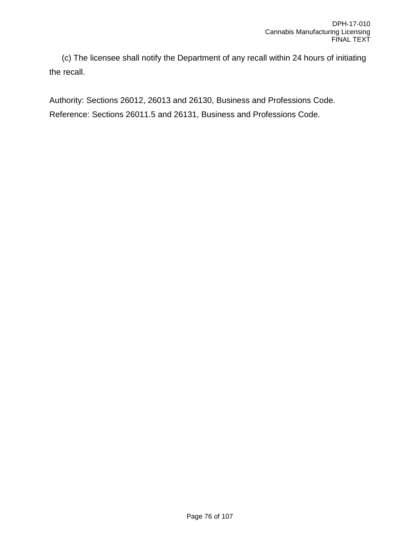(c) The licensee shall notify the Department of any recall within 24 hours of initiating the recall.

Authority: Sections 26012, 26013 and 26130, Business and Professions Code. Reference: Sections 26011.5 and 26131, Business and Professions Code.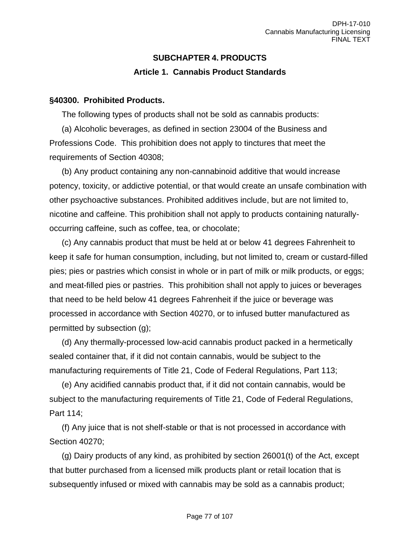# **SUBCHAPTER 4. PRODUCTS Article 1. Cannabis Product Standards**

# **§40300. Prohibited Products.**

The following types of products shall not be sold as cannabis products:

(a) Alcoholic beverages, as defined in section 23004 of the Business and Professions Code. This prohibition does not apply to tinctures that meet the requirements of Section 40308;

(b) Any product containing any non-cannabinoid additive that would increase potency, toxicity, or addictive potential, or that would create an unsafe combination with other psychoactive substances. Prohibited additives include, but are not limited to, nicotine and caffeine. This prohibition shall not apply to products containing naturallyoccurring caffeine, such as coffee, tea, or chocolate;

(c) Any cannabis product that must be held at or below 41 degrees Fahrenheit to keep it safe for human consumption, including, but not limited to, cream or custard-filled pies; pies or pastries which consist in whole or in part of milk or milk products, or eggs; and meat-filled pies or pastries. This prohibition shall not apply to juices or beverages that need to be held below 41 degrees Fahrenheit if the juice or beverage was processed in accordance with Section 40270, or to infused butter manufactured as permitted by subsection (g);

(d) Any thermally-processed low-acid cannabis product packed in a hermetically sealed container that, if it did not contain cannabis, would be subject to the manufacturing requirements of Title 21, Code of Federal Regulations, Part 113;

(e) Any acidified cannabis product that, if it did not contain cannabis, would be subject to the manufacturing requirements of Title 21, Code of Federal Regulations, Part 114;

(f) Any juice that is not shelf-stable or that is not processed in accordance with Section 40270;

(g) Dairy products of any kind, as prohibited by section 26001(t) of the Act, except that butter purchased from a licensed milk products plant or retail location that is subsequently infused or mixed with cannabis may be sold as a cannabis product;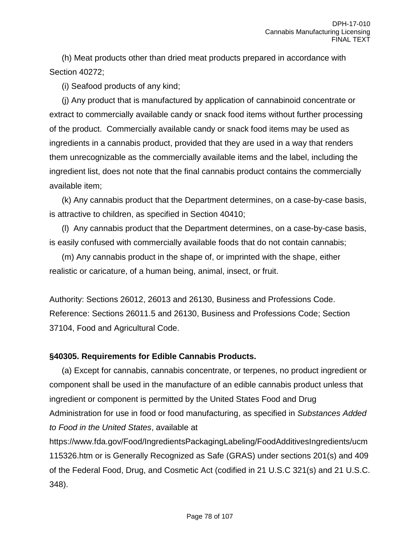(h) Meat products other than dried meat products prepared in accordance with Section 40272;

(i) Seafood products of any kind;

(j) Any product that is manufactured by application of cannabinoid concentrate or extract to commercially available candy or snack food items without further processing of the product. Commercially available candy or snack food items may be used as ingredients in a cannabis product, provided that they are used in a way that renders them unrecognizable as the commercially available items and the label, including the ingredient list, does not note that the final cannabis product contains the commercially available item;

(k) Any cannabis product that the Department determines, on a case-by-case basis, is attractive to children, as specified in Section 40410;

(l) Any cannabis product that the Department determines, on a case-by-case basis, is easily confused with commercially available foods that do not contain cannabis;

(m) Any cannabis product in the shape of, or imprinted with the shape, either realistic or caricature, of a human being, animal, insect, or fruit.

Authority: Sections 26012, 26013 and 26130, Business and Professions Code. Reference: Sections 26011.5 and 26130, Business and Professions Code; Section 37104, Food and Agricultural Code.

## **§40305. Requirements for Edible Cannabis Products.**

(a) Except for cannabis, cannabis concentrate, or terpenes, no product ingredient or component shall be used in the manufacture of an edible cannabis product unless that ingredient or component is permitted by the United States Food and Drug Administration for use in food or food manufacturing, as specified in *Substances Added to Food in the United States*, available at

[https://www.fda.gov/Food/IngredientsPackagingLabeling/FoodAdditivesIngredients/ucm](https://www.fda.gov/Food/IngredientsPackagingLabeling/FoodAdditivesIngredients/ucm115326.htm) [115326.htm](https://www.fda.gov/Food/IngredientsPackagingLabeling/FoodAdditivesIngredients/ucm115326.htm) or is Generally Recognized as Safe (GRAS) under sections 201(s) and 409 of the Federal Food, Drug, and Cosmetic Act (codified in 21 U.S.C 321(s) and 21 U.S.C. 348).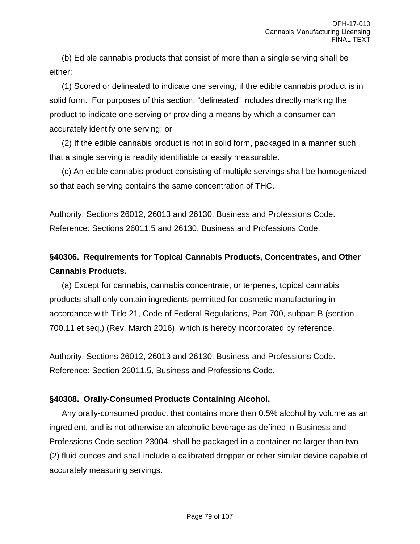(b) Edible cannabis products that consist of more than a single serving shall be either:

(1) Scored or delineated to indicate one serving, if the edible cannabis product is in solid form. For purposes of this section, "delineated" includes directly marking the product to indicate one serving or providing a means by which a consumer can accurately identify one serving; or

(2) If the edible cannabis product is not in solid form, packaged in a manner such that a single serving is readily identifiable or easily measurable.

(c) An edible cannabis product consisting of multiple servings shall be homogenized so that each serving contains the same concentration of THC.

Authority: Sections 26012, 26013 and 26130, Business and Professions Code. Reference: Sections 26011.5 and 26130, Business and Professions Code.

# **§40306. Requirements for Topical Cannabis Products, Concentrates, and Other Cannabis Products.**

(a) Except for cannabis, cannabis concentrate, or terpenes, topical cannabis products shall only contain ingredients permitted for cosmetic manufacturing in accordance with Title 21, Code of Federal Regulations, Part 700, subpart B (section 700.11 et seq.) (Rev. March 2016), which is hereby incorporated by reference.

Authority: Sections 26012, 26013 and 26130, Business and Professions Code. Reference: Section 26011.5, Business and Professions Code.

# **§40308. Orally-Consumed Products Containing Alcohol.**

Any orally-consumed product that contains more than 0.5% alcohol by volume as an ingredient, and is not otherwise an alcoholic beverage as defined in Business and Professions Code section 23004, shall be packaged in a container no larger than two (2) fluid ounces and shall include a calibrated dropper or other similar device capable of accurately measuring servings.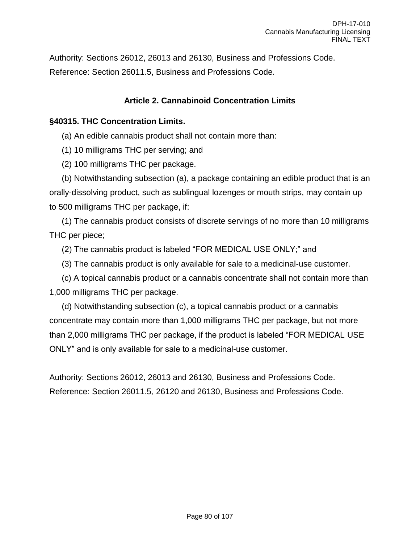Authority: Sections 26012, 26013 and 26130, Business and Professions Code. Reference: Section 26011.5, Business and Professions Code.

# **Article 2. Cannabinoid Concentration Limits**

#### **§40315. THC Concentration Limits.**

- (a) An edible cannabis product shall not contain more than:
- (1) 10 milligrams THC per serving; and
- (2) 100 milligrams THC per package.

(b) Notwithstanding subsection (a), a package containing an edible product that is an orally-dissolving product, such as sublingual lozenges or mouth strips, may contain up to 500 milligrams THC per package, if:

(1) The cannabis product consists of discrete servings of no more than 10 milligrams THC per piece;

- (2) The cannabis product is labeled "FOR MEDICAL USE ONLY;" and
- (3) The cannabis product is only available for sale to a medicinal-use customer.

(c) A topical cannabis product or a cannabis concentrate shall not contain more than 1,000 milligrams THC per package.

(d) Notwithstanding subsection (c), a topical cannabis product or a cannabis concentrate may contain more than 1,000 milligrams THC per package, but not more than 2,000 milligrams THC per package, if the product is labeled "FOR MEDICAL USE ONLY" and is only available for sale to a medicinal-use customer.

Authority: Sections 26012, 26013 and 26130, Business and Professions Code. Reference: Section 26011.5, 26120 and 26130, Business and Professions Code.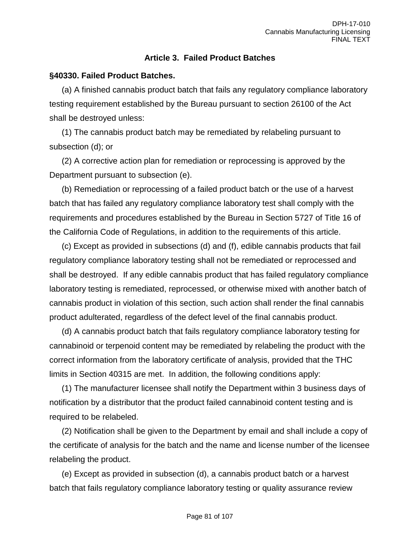# **Article 3. Failed Product Batches**

# **§40330. Failed Product Batches.**

(a) A finished cannabis product batch that fails any regulatory compliance laboratory testing requirement established by the Bureau pursuant to section 26100 of the Act shall be destroyed unless:

(1) The cannabis product batch may be remediated by relabeling pursuant to subsection (d); or

(2) A corrective action plan for remediation or reprocessing is approved by the Department pursuant to subsection (e).

(b) Remediation or reprocessing of a failed product batch or the use of a harvest batch that has failed any regulatory compliance laboratory test shall comply with the requirements and procedures established by the Bureau in Section 5727 of Title 16 of the California Code of Regulations, in addition to the requirements of this article.

(c) Except as provided in subsections (d) and (f), edible cannabis products that fail regulatory compliance laboratory testing shall not be remediated or reprocessed and shall be destroyed. If any edible cannabis product that has failed regulatory compliance laboratory testing is remediated, reprocessed, or otherwise mixed with another batch of cannabis product in violation of this section, such action shall render the final cannabis product adulterated, regardless of the defect level of the final cannabis product.

(d) A cannabis product batch that fails regulatory compliance laboratory testing for cannabinoid or terpenoid content may be remediated by relabeling the product with the correct information from the laboratory certificate of analysis, provided that the THC limits in Section 40315 are met. In addition, the following conditions apply:

(1) The manufacturer licensee shall notify the Department within 3 business days of notification by a distributor that the product failed cannabinoid content testing and is required to be relabeled.

(2) Notification shall be given to the Department by email and shall include a copy of the certificate of analysis for the batch and the name and license number of the licensee relabeling the product.

(e) Except as provided in subsection (d), a cannabis product batch or a harvest batch that fails regulatory compliance laboratory testing or quality assurance review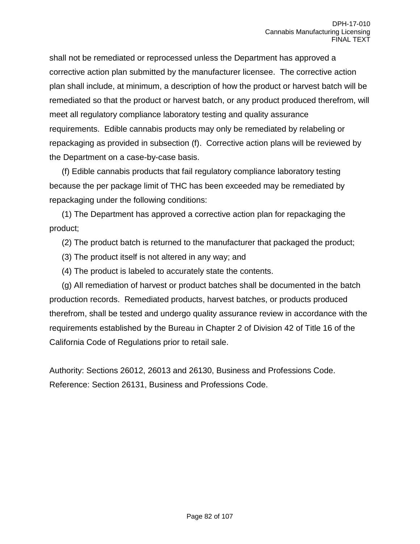shall not be remediated or reprocessed unless the Department has approved a corrective action plan submitted by the manufacturer licensee. The corrective action plan shall include, at minimum, a description of how the product or harvest batch will be remediated so that the product or harvest batch, or any product produced therefrom, will meet all regulatory compliance laboratory testing and quality assurance requirements. Edible cannabis products may only be remediated by relabeling or repackaging as provided in subsection (f). Corrective action plans will be reviewed by the Department on a case-by-case basis.

(f) Edible cannabis products that fail regulatory compliance laboratory testing because the per package limit of THC has been exceeded may be remediated by repackaging under the following conditions:

(1) The Department has approved a corrective action plan for repackaging the product;

- (2) The product batch is returned to the manufacturer that packaged the product;
- (3) The product itself is not altered in any way; and
- (4) The product is labeled to accurately state the contents.

(g) All remediation of harvest or product batches shall be documented in the batch production records. Remediated products, harvest batches, or products produced therefrom, shall be tested and undergo quality assurance review in accordance with the requirements established by the Bureau in Chapter 2 of Division 42 of Title 16 of the California Code of Regulations prior to retail sale.

Authority: Sections 26012, 26013 and 26130, Business and Professions Code. Reference: Section 26131, Business and Professions Code.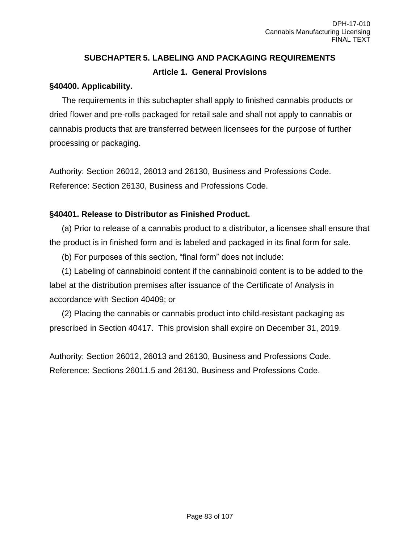# **SUBCHAPTER 5. LABELING AND PACKAGING REQUIREMENTS Article 1. General Provisions**

## **§40400. Applicability.**

The requirements in this subchapter shall apply to finished cannabis products or dried flower and pre-rolls packaged for retail sale and shall not apply to cannabis or cannabis products that are transferred between licensees for the purpose of further processing or packaging.

Authority: Section 26012, 26013 and 26130, Business and Professions Code. Reference: Section 26130, Business and Professions Code.

## **§40401. Release to Distributor as Finished Product.**

(a) Prior to release of a cannabis product to a distributor, a licensee shall ensure that the product is in finished form and is labeled and packaged in its final form for sale.

(b) For purposes of this section, "final form" does not include:

(1) Labeling of cannabinoid content if the cannabinoid content is to be added to the label at the distribution premises after issuance of the Certificate of Analysis in accordance with Section 40409; or

(2) Placing the cannabis or cannabis product into child-resistant packaging as prescribed in Section 40417. This provision shall expire on December 31, 2019.

Authority: Section 26012, 26013 and 26130, Business and Professions Code. Reference: Sections 26011.5 and 26130, Business and Professions Code.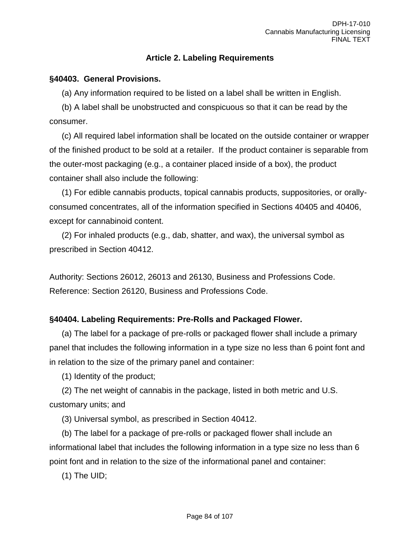# **Article 2. Labeling Requirements**

## **§40403. General Provisions.**

(a) Any information required to be listed on a label shall be written in English.

(b) A label shall be unobstructed and conspicuous so that it can be read by the consumer.

(c) All required label information shall be located on the outside container or wrapper of the finished product to be sold at a retailer. If the product container is separable from the outer-most packaging (e.g., a container placed inside of a box), the product container shall also include the following:

(1) For edible cannabis products, topical cannabis products, suppositories, or orallyconsumed concentrates, all of the information specified in Sections 40405 and 40406, except for cannabinoid content.

(2) For inhaled products (e.g., dab, shatter, and wax), the universal symbol as prescribed in Section 40412.

Authority: Sections 26012, 26013 and 26130, Business and Professions Code. Reference: Section 26120, Business and Professions Code.

## **§40404. Labeling Requirements: Pre-Rolls and Packaged Flower.**

(a) The label for a package of pre-rolls or packaged flower shall include a primary panel that includes the following information in a type size no less than 6 point font and in relation to the size of the primary panel and container:

(1) Identity of the product;

(2) The net weight of cannabis in the package, listed in both metric and U.S. customary units; and

(3) Universal symbol, as prescribed in Section 40412.

(b) The label for a package of pre-rolls or packaged flower shall include an informational label that includes the following information in a type size no less than 6 point font and in relation to the size of the informational panel and container:

(1) The UID;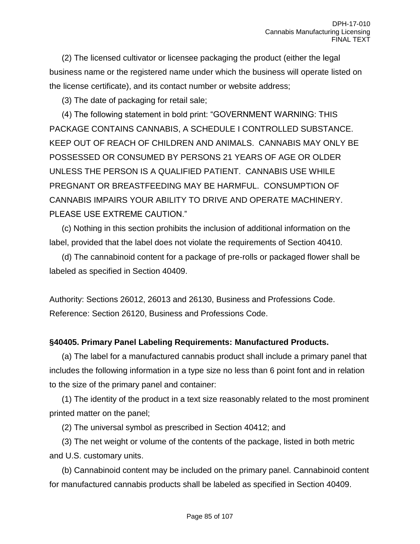(2) The licensed cultivator or licensee packaging the product (either the legal business name or the registered name under which the business will operate listed on the license certificate), and its contact number or website address;

(3) The date of packaging for retail sale;

(4) The following statement in bold print: "GOVERNMENT WARNING: THIS PACKAGE CONTAINS CANNABIS, A SCHEDULE I CONTROLLED SUBSTANCE. KEEP OUT OF REACH OF CHILDREN AND ANIMALS. CANNABIS MAY ONLY BE POSSESSED OR CONSUMED BY PERSONS 21 YEARS OF AGE OR OLDER UNLESS THE PERSON IS A QUALIFIED PATIENT. CANNABIS USE WHILE PREGNANT OR BREASTFEEDING MAY BE HARMFUL. CONSUMPTION OF CANNABIS IMPAIRS YOUR ABILITY TO DRIVE AND OPERATE MACHINERY. PLEASE USE EXTREME CAUTION."

(c) Nothing in this section prohibits the inclusion of additional information on the label, provided that the label does not violate the requirements of Section 40410.

(d) The cannabinoid content for a package of pre-rolls or packaged flower shall be labeled as specified in Section 40409.

Authority: Sections 26012, 26013 and 26130, Business and Professions Code. Reference: Section 26120, Business and Professions Code.

## **§40405. Primary Panel Labeling Requirements: Manufactured Products.**

(a) The label for a manufactured cannabis product shall include a primary panel that includes the following information in a type size no less than 6 point font and in relation to the size of the primary panel and container:

(1) The identity of the product in a text size reasonably related to the most prominent printed matter on the panel;

(2) The universal symbol as prescribed in Section 40412; and

(3) The net weight or volume of the contents of the package, listed in both metric and U.S. customary units.

(b) Cannabinoid content may be included on the primary panel. Cannabinoid content for manufactured cannabis products shall be labeled as specified in Section 40409.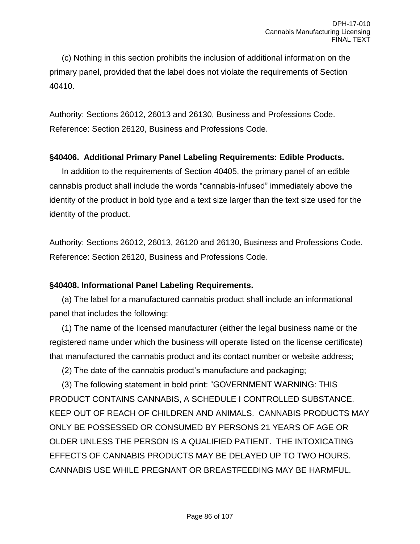(c) Nothing in this section prohibits the inclusion of additional information on the primary panel, provided that the label does not violate the requirements of Section 40410.

Authority: Sections 26012, 26013 and 26130, Business and Professions Code. Reference: Section 26120, Business and Professions Code.

## **§40406. Additional Primary Panel Labeling Requirements: Edible Products.**

In addition to the requirements of Section 40405, the primary panel of an edible cannabis product shall include the words "cannabis-infused" immediately above the identity of the product in bold type and a text size larger than the text size used for the identity of the product.

Authority: Sections 26012, 26013, 26120 and 26130, Business and Professions Code. Reference: Section 26120, Business and Professions Code.

#### **§40408. Informational Panel Labeling Requirements.**

(a) The label for a manufactured cannabis product shall include an informational panel that includes the following:

(1) The name of the licensed manufacturer (either the legal business name or the registered name under which the business will operate listed on the license certificate) that manufactured the cannabis product and its contact number or website address;

(2) The date of the cannabis product's manufacture and packaging;

(3) The following statement in bold print: "GOVERNMENT WARNING: THIS PRODUCT CONTAINS CANNABIS, A SCHEDULE I CONTROLLED SUBSTANCE. KEEP OUT OF REACH OF CHILDREN AND ANIMALS. CANNABIS PRODUCTS MAY ONLY BE POSSESSED OR CONSUMED BY PERSONS 21 YEARS OF AGE OR OLDER UNLESS THE PERSON IS A QUALIFIED PATIENT. THE INTOXICATING EFFECTS OF CANNABIS PRODUCTS MAY BE DELAYED UP TO TWO HOURS. CANNABIS USE WHILE PREGNANT OR BREASTFEEDING MAY BE HARMFUL.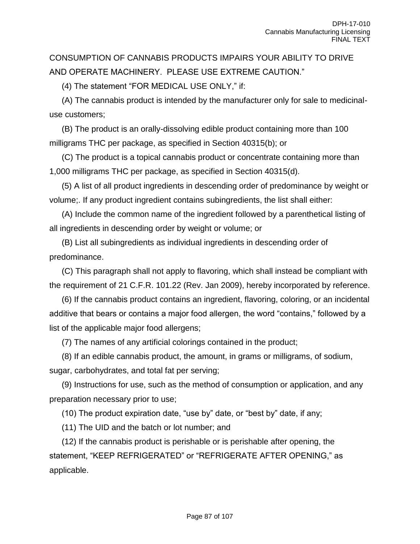CONSUMPTION OF CANNABIS PRODUCTS IMPAIRS YOUR ABILITY TO DRIVE AND OPERATE MACHINERY. PLEASE USE EXTREME CAUTION."

(4) The statement "FOR MEDICAL USE ONLY," if:

(A) The cannabis product is intended by the manufacturer only for sale to medicinaluse customers;

(B) The product is an orally-dissolving edible product containing more than 100 milligrams THC per package, as specified in Section 40315(b); or

(C) The product is a topical cannabis product or concentrate containing more than 1,000 milligrams THC per package, as specified in Section 40315(d).

(5) A list of all product ingredients in descending order of predominance by weight or volume;. If any product ingredient contains subingredients, the list shall either:

(A) Include the common name of the ingredient followed by a parenthetical listing of all ingredients in descending order by weight or volume; or

(B) List all subingredients as individual ingredients in descending order of predominance.

(C) This paragraph shall not apply to flavoring, which shall instead be compliant with the requirement of 21 C.F.R. 101.22 (Rev. Jan 2009), hereby incorporated by reference.

(6) If the cannabis product contains an ingredient, flavoring, coloring, or an incidental additive that bears or contains a major food allergen, the word "contains," followed by a list of the applicable major food allergens;

(7) The names of any artificial colorings contained in the product;

(8) If an edible cannabis product, the amount, in grams or milligrams, of sodium, sugar, carbohydrates, and total fat per serving;

(9) Instructions for use, such as the method of consumption or application, and any preparation necessary prior to use;

(10) The product expiration date, "use by" date, or "best by" date, if any;

(11) The UID and the batch or lot number; and

(12) If the cannabis product is perishable or is perishable after opening, the statement, "KEEP REFRIGERATED" or "REFRIGERATE AFTER OPENING," as applicable.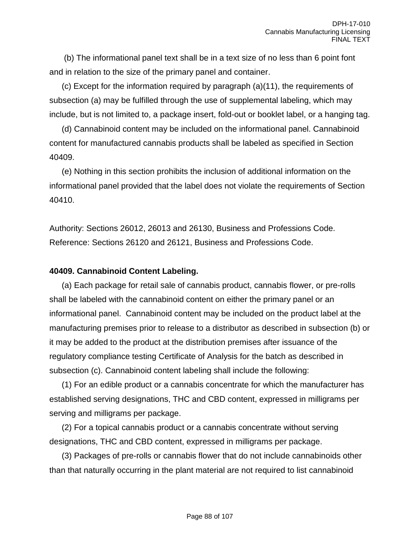(b) The informational panel text shall be in a text size of no less than 6 point font and in relation to the size of the primary panel and container.

(c) Except for the information required by paragraph (a)(11), the requirements of subsection (a) may be fulfilled through the use of supplemental labeling, which may include, but is not limited to, a package insert, fold-out or booklet label, or a hanging tag.

(d) Cannabinoid content may be included on the informational panel. Cannabinoid content for manufactured cannabis products shall be labeled as specified in Section 40409.

(e) Nothing in this section prohibits the inclusion of additional information on the informational panel provided that the label does not violate the requirements of Section 40410.

Authority: Sections 26012, 26013 and 26130, Business and Professions Code. Reference: Sections 26120 and 26121, Business and Professions Code.

#### **40409. Cannabinoid Content Labeling.**

(a) Each package for retail sale of cannabis product, cannabis flower, or pre-rolls shall be labeled with the cannabinoid content on either the primary panel or an informational panel. Cannabinoid content may be included on the product label at the manufacturing premises prior to release to a distributor as described in subsection (b) or it may be added to the product at the distribution premises after issuance of the regulatory compliance testing Certificate of Analysis for the batch as described in subsection (c). Cannabinoid content labeling shall include the following:

(1) For an edible product or a cannabis concentrate for which the manufacturer has established serving designations, THC and CBD content, expressed in milligrams per serving and milligrams per package.

(2) For a topical cannabis product or a cannabis concentrate without serving designations, THC and CBD content, expressed in milligrams per package.

(3) Packages of pre-rolls or cannabis flower that do not include cannabinoids other than that naturally occurring in the plant material are not required to list cannabinoid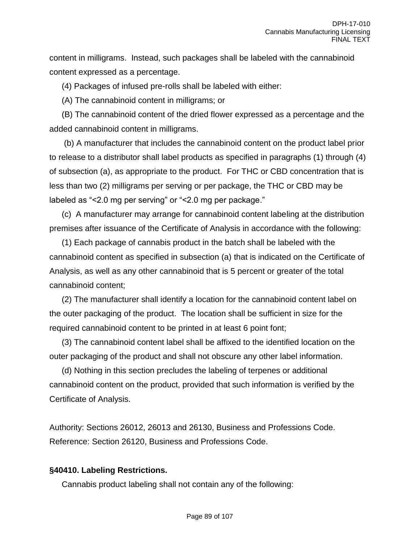content in milligrams. Instead, such packages shall be labeled with the cannabinoid content expressed as a percentage.

(4) Packages of infused pre-rolls shall be labeled with either:

(A) The cannabinoid content in milligrams; or

(B) The cannabinoid content of the dried flower expressed as a percentage and the added cannabinoid content in milligrams.

(b) A manufacturer that includes the cannabinoid content on the product label prior to release to a distributor shall label products as specified in paragraphs (1) through (4) of subsection (a), as appropriate to the product. For THC or CBD concentration that is less than two (2) milligrams per serving or per package, the THC or CBD may be labeled as "<2.0 mg per serving" or "<2.0 mg per package."

(c) A manufacturer may arrange for cannabinoid content labeling at the distribution premises after issuance of the Certificate of Analysis in accordance with the following:

(1) Each package of cannabis product in the batch shall be labeled with the cannabinoid content as specified in subsection (a) that is indicated on the Certificate of Analysis, as well as any other cannabinoid that is 5 percent or greater of the total cannabinoid content;

(2) The manufacturer shall identify a location for the cannabinoid content label on the outer packaging of the product. The location shall be sufficient in size for the required cannabinoid content to be printed in at least 6 point font;

(3) The cannabinoid content label shall be affixed to the identified location on the outer packaging of the product and shall not obscure any other label information.

(d) Nothing in this section precludes the labeling of terpenes or additional cannabinoid content on the product, provided that such information is verified by the Certificate of Analysis.

Authority: Sections 26012, 26013 and 26130, Business and Professions Code. Reference: Section 26120, Business and Professions Code.

## **§40410. Labeling Restrictions.**

Cannabis product labeling shall not contain any of the following: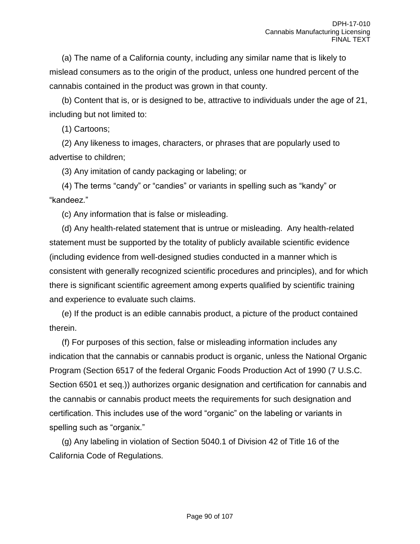(a) The name of a California county, including any similar name that is likely to mislead consumers as to the origin of the product, unless one hundred percent of the cannabis contained in the product was grown in that county.

(b) Content that is, or is designed to be, attractive to individuals under the age of 21, including but not limited to:

(1) Cartoons;

(2) Any likeness to images, characters, or phrases that are popularly used to advertise to children;

(3) Any imitation of candy packaging or labeling; or

(4) The terms "candy" or "candies" or variants in spelling such as "kandy" or "kandeez."

(c) Any information that is false or misleading.

(d) Any health-related statement that is untrue or misleading. Any health-related statement must be supported by the totality of publicly available scientific evidence (including evidence from well-designed studies conducted in a manner which is consistent with generally recognized scientific procedures and principles), and for which there is significant scientific agreement among experts qualified by scientific training and experience to evaluate such claims.

(e) If the product is an edible cannabis product, a picture of the product contained therein.

(f) For purposes of this section, false or misleading information includes any indication that the cannabis or cannabis product is organic, unless the National Organic Program (Section 6517 of the federal Organic Foods Production Act of 1990 (7 U.S.C. Section 6501 et seq.)) authorizes organic designation and certification for cannabis and the cannabis or cannabis product meets the requirements for such designation and certification. This includes use of the word "organic" on the labeling or variants in spelling such as "organix."

(g) Any labeling in violation of Section 5040.1 of Division 42 of Title 16 of the California Code of Regulations.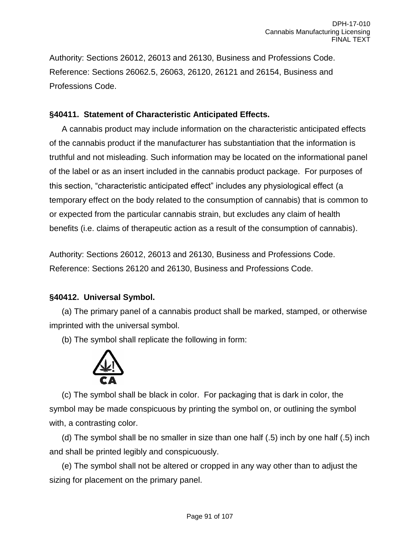Authority: Sections 26012, 26013 and 26130, Business and Professions Code. Reference: Sections 26062.5, 26063, 26120, 26121 and 26154, Business and Professions Code.

# **§40411. Statement of Characteristic Anticipated Effects.**

A cannabis product may include information on the characteristic anticipated effects of the cannabis product if the manufacturer has substantiation that the information is truthful and not misleading. Such information may be located on the informational panel of the label or as an insert included in the cannabis product package. For purposes of this section, "characteristic anticipated effect" includes any physiological effect (a temporary effect on the body related to the consumption of cannabis) that is common to or expected from the particular cannabis strain, but excludes any claim of health benefits (i.e. claims of therapeutic action as a result of the consumption of cannabis).

Authority: Sections 26012, 26013 and 26130, Business and Professions Code. Reference: Sections 26120 and 26130, Business and Professions Code.

# **§40412. Universal Symbol.**

(a) The primary panel of a cannabis product shall be marked, stamped, or otherwise imprinted with the universal symbol.

(b) The symbol shall replicate the following in form:



(c) The symbol shall be black in color. For packaging that is dark in color, the symbol may be made conspicuous by printing the symbol on, or outlining the symbol with, a contrasting color.

(d) The symbol shall be no smaller in size than one half (.5) inch by one half (.5) inch and shall be printed legibly and conspicuously.

(e) The symbol shall not be altered or cropped in any way other than to adjust the sizing for placement on the primary panel.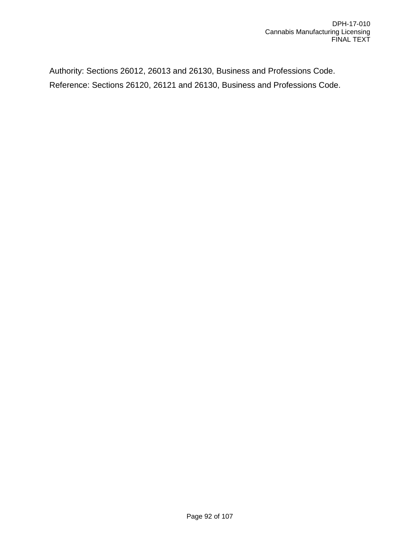Authority: Sections 26012, 26013 and 26130, Business and Professions Code. Reference: Sections 26120, 26121 and 26130, Business and Professions Code.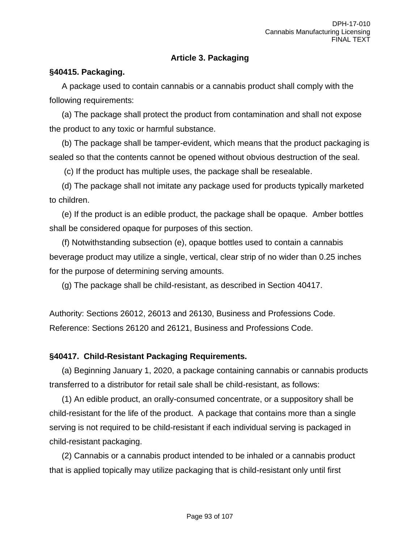# **Article 3. Packaging**

# **§40415. Packaging.**

A package used to contain cannabis or a cannabis product shall comply with the following requirements:

(a) The package shall protect the product from contamination and shall not expose the product to any toxic or harmful substance.

(b) The package shall be tamper-evident, which means that the product packaging is sealed so that the contents cannot be opened without obvious destruction of the seal.

(c) If the product has multiple uses, the package shall be resealable.

(d) The package shall not imitate any package used for products typically marketed to children.

(e) If the product is an edible product, the package shall be opaque. Amber bottles shall be considered opaque for purposes of this section.

(f) Notwithstanding subsection (e), opaque bottles used to contain a cannabis beverage product may utilize a single, vertical, clear strip of no wider than 0.25 inches for the purpose of determining serving amounts.

(g) The package shall be child-resistant, as described in Section 40417.

Authority: Sections 26012, 26013 and 26130, Business and Professions Code. Reference: Sections 26120 and 26121, Business and Professions Code.

# **§40417. Child-Resistant Packaging Requirements.**

(a) Beginning January 1, 2020, a package containing cannabis or cannabis products transferred to a distributor for retail sale shall be child-resistant, as follows:

(1) An edible product, an orally-consumed concentrate, or a suppository shall be child-resistant for the life of the product. A package that contains more than a single serving is not required to be child-resistant if each individual serving is packaged in child-resistant packaging.

(2) Cannabis or a cannabis product intended to be inhaled or a cannabis product that is applied topically may utilize packaging that is child-resistant only until first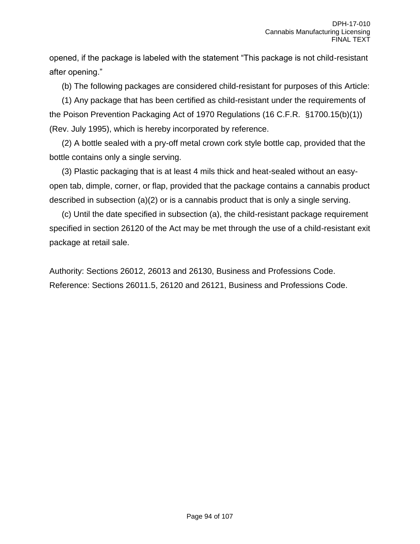opened, if the package is labeled with the statement "This package is not child-resistant after opening."

(b) The following packages are considered child-resistant for purposes of this Article:

(1) Any package that has been certified as child-resistant under the requirements of the Poison Prevention Packaging Act of 1970 Regulations (16 C.F.R. §1700.15(b)(1)) (Rev. July 1995), which is hereby incorporated by reference.

(2) A bottle sealed with a pry-off metal crown cork style bottle cap, provided that the bottle contains only a single serving.

(3) Plastic packaging that is at least 4 mils thick and heat-sealed without an easyopen tab, dimple, corner, or flap, provided that the package contains a cannabis product described in subsection (a)(2) or is a cannabis product that is only a single serving.

(c) Until the date specified in subsection (a), the child-resistant package requirement specified in section 26120 of the Act may be met through the use of a child-resistant exit package at retail sale.

Authority: Sections 26012, 26013 and 26130, Business and Professions Code. Reference: Sections 26011.5, 26120 and 26121, Business and Professions Code.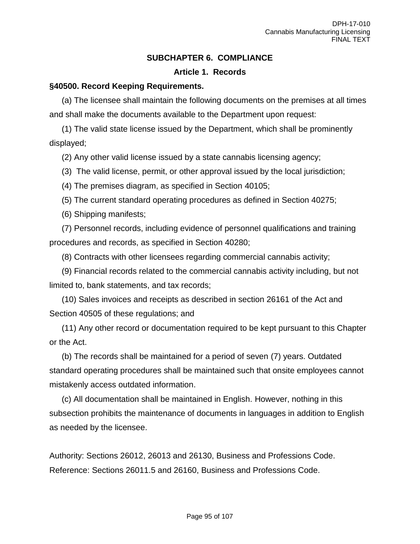# **SUBCHAPTER 6. COMPLIANCE**

## **Article 1. Records**

# **§40500. Record Keeping Requirements.**

(a) The licensee shall maintain the following documents on the premises at all times and shall make the documents available to the Department upon request:

(1) The valid state license issued by the Department, which shall be prominently displayed;

(2) Any other valid license issued by a state cannabis licensing agency;

(3) The valid license, permit, or other approval issued by the local jurisdiction;

(4) The premises diagram, as specified in Section 40105;

(5) The current standard operating procedures as defined in Section 40275;

(6) Shipping manifests;

(7) Personnel records, including evidence of personnel qualifications and training procedures and records, as specified in Section 40280;

(8) Contracts with other licensees regarding commercial cannabis activity;

(9) Financial records related to the commercial cannabis activity including, but not limited to, bank statements, and tax records;

(10) Sales invoices and receipts as described in section 26161 of the Act and Section 40505 of these regulations; and

(11) Any other record or documentation required to be kept pursuant to this Chapter or the Act.

(b) The records shall be maintained for a period of seven (7) years. Outdated standard operating procedures shall be maintained such that onsite employees cannot mistakenly access outdated information.

(c) All documentation shall be maintained in English. However, nothing in this subsection prohibits the maintenance of documents in languages in addition to English as needed by the licensee.

Authority: Sections 26012, 26013 and 26130, Business and Professions Code. Reference: Sections 26011.5 and 26160, Business and Professions Code.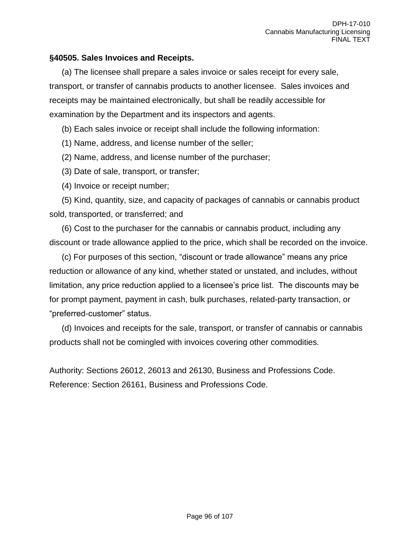# **§40505. Sales Invoices and Receipts.**

(a) The licensee shall prepare a sales invoice or sales receipt for every sale, transport, or transfer of cannabis products to another licensee. Sales invoices and receipts may be maintained electronically, but shall be readily accessible for examination by the Department and its inspectors and agents.

(b) Each sales invoice or receipt shall include the following information:

(1) Name, address, and license number of the seller;

(2) Name, address, and license number of the purchaser;

(3) Date of sale, transport, or transfer;

(4) Invoice or receipt number;

(5) Kind, quantity, size, and capacity of packages of cannabis or cannabis product sold, transported, or transferred; and

(6) Cost to the purchaser for the cannabis or cannabis product, including any discount or trade allowance applied to the price, which shall be recorded on the invoice.

(c) For purposes of this section, "discount or trade allowance" means any price reduction or allowance of any kind, whether stated or unstated, and includes, without limitation, any price reduction applied to a licensee's price list. The discounts may be for prompt payment, payment in cash, bulk purchases, related-party transaction, or "preferred-customer" status.

(d) Invoices and receipts for the sale, transport, or transfer of cannabis or cannabis products shall not be comingled with invoices covering other commodities.

Authority: Sections 26012, 26013 and 26130, Business and Professions Code. Reference: Section 26161, Business and Professions Code.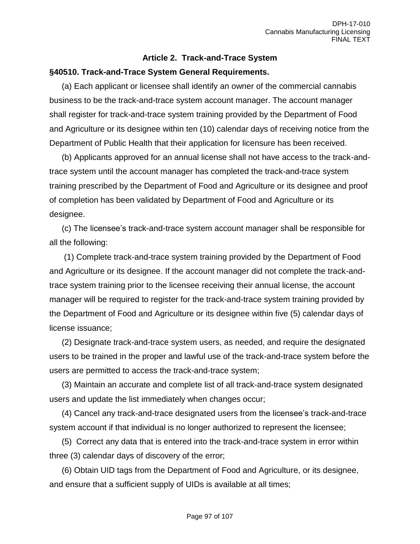# **Article 2. Track-and-Trace System**

# **§40510. Track-and-Trace System General Requirements.**

(a) Each applicant or licensee shall identify an owner of the commercial cannabis business to be the track-and-trace system account manager. The account manager shall register for track-and-trace system training provided by the Department of Food and Agriculture or its designee within ten (10) calendar days of receiving notice from the Department of Public Health that their application for licensure has been received.

(b) Applicants approved for an annual license shall not have access to the track-andtrace system until the account manager has completed the track-and-trace system training prescribed by the Department of Food and Agriculture or its designee and proof of completion has been validated by Department of Food and Agriculture or its designee.

(c) The licensee's track-and-trace system account manager shall be responsible for all the following:

(1) Complete track-and-trace system training provided by the Department of Food and Agriculture or its designee. If the account manager did not complete the track-andtrace system training prior to the licensee receiving their annual license, the account manager will be required to register for the track-and-trace system training provided by the Department of Food and Agriculture or its designee within five (5) calendar days of license issuance;

(2) Designate track-and-trace system users, as needed, and require the designated users to be trained in the proper and lawful use of the track-and-trace system before the users are permitted to access the track-and-trace system;

(3) Maintain an accurate and complete list of all track-and-trace system designated users and update the list immediately when changes occur;

(4) Cancel any track-and-trace designated users from the licensee's track-and-trace system account if that individual is no longer authorized to represent the licensee;

(5) Correct any data that is entered into the track-and-trace system in error within three (3) calendar days of discovery of the error;

(6) Obtain UID tags from the Department of Food and Agriculture, or its designee, and ensure that a sufficient supply of UIDs is available at all times;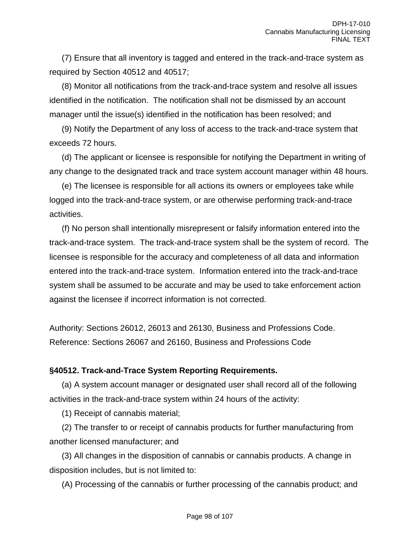(7) Ensure that all inventory is tagged and entered in the track-and-trace system as required by Section 40512 and 40517;

(8) Monitor all notifications from the track-and-trace system and resolve all issues identified in the notification. The notification shall not be dismissed by an account manager until the issue(s) identified in the notification has been resolved; and

(9) Notify the Department of any loss of access to the track-and-trace system that exceeds 72 hours.

(d) The applicant or licensee is responsible for notifying the Department in writing of any change to the designated track and trace system account manager within 48 hours.

(e) The licensee is responsible for all actions its owners or employees take while logged into the track-and-trace system, or are otherwise performing track-and-trace activities.

(f) No person shall intentionally misrepresent or falsify information entered into the track-and-trace system. The track-and-trace system shall be the system of record. The licensee is responsible for the accuracy and completeness of all data and information entered into the track-and-trace system. Information entered into the track-and-trace system shall be assumed to be accurate and may be used to take enforcement action against the licensee if incorrect information is not corrected.

Authority: Sections 26012, 26013 and 26130, Business and Professions Code. Reference: Sections 26067 and 26160, Business and Professions Code

## **§40512. Track-and-Trace System Reporting Requirements.**

(a) A system account manager or designated user shall record all of the following activities in the track-and-trace system within 24 hours of the activity:

(1) Receipt of cannabis material;

(2) The transfer to or receipt of cannabis products for further manufacturing from another licensed manufacturer; and

(3) All changes in the disposition of cannabis or cannabis products. A change in disposition includes, but is not limited to:

(A) Processing of the cannabis or further processing of the cannabis product; and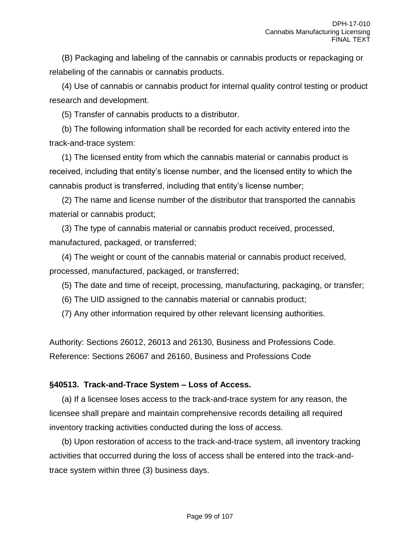(B) Packaging and labeling of the cannabis or cannabis products or repackaging or relabeling of the cannabis or cannabis products.

(4) Use of cannabis or cannabis product for internal quality control testing or product research and development.

(5) Transfer of cannabis products to a distributor.

(b) The following information shall be recorded for each activity entered into the track-and-trace system:

(1) The licensed entity from which the cannabis material or cannabis product is received, including that entity's license number, and the licensed entity to which the cannabis product is transferred, including that entity's license number;

(2) The name and license number of the distributor that transported the cannabis material or cannabis product;

(3) The type of cannabis material or cannabis product received, processed, manufactured, packaged, or transferred;

(4) The weight or count of the cannabis material or cannabis product received, processed, manufactured, packaged, or transferred;

(5) The date and time of receipt, processing, manufacturing, packaging, or transfer;

- (6) The UID assigned to the cannabis material or cannabis product;
- (7) Any other information required by other relevant licensing authorities.

Authority: Sections 26012, 26013 and 26130, Business and Professions Code. Reference: Sections 26067 and 26160, Business and Professions Code

# **§40513. Track-and-Trace System – Loss of Access.**

(a) If a licensee loses access to the track-and-trace system for any reason, the licensee shall prepare and maintain comprehensive records detailing all required inventory tracking activities conducted during the loss of access.

(b) Upon restoration of access to the track-and-trace system, all inventory tracking activities that occurred during the loss of access shall be entered into the track-andtrace system within three (3) business days.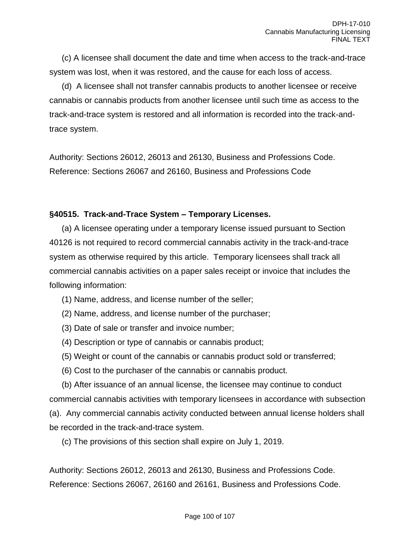(c) A licensee shall document the date and time when access to the track-and-trace system was lost, when it was restored, and the cause for each loss of access.

(d) A licensee shall not transfer cannabis products to another licensee or receive cannabis or cannabis products from another licensee until such time as access to the track-and-trace system is restored and all information is recorded into the track-andtrace system.

Authority: Sections 26012, 26013 and 26130, Business and Professions Code. Reference: Sections 26067 and 26160, Business and Professions Code

#### **§40515. Track-and-Trace System – Temporary Licenses.**

(a) A licensee operating under a temporary license issued pursuant to Section 40126 is not required to record commercial cannabis activity in the track-and-trace system as otherwise required by this article. Temporary licensees shall track all commercial cannabis activities on a paper sales receipt or invoice that includes the following information:

- (1) Name, address, and license number of the seller;
- (2) Name, address, and license number of the purchaser;
- (3) Date of sale or transfer and invoice number;
- (4) Description or type of cannabis or cannabis product;
- (5) Weight or count of the cannabis or cannabis product sold or transferred;
- (6) Cost to the purchaser of the cannabis or cannabis product.

(b) After issuance of an annual license, the licensee may continue to conduct commercial cannabis activities with temporary licensees in accordance with subsection (a). Any commercial cannabis activity conducted between annual license holders shall be recorded in the track-and-trace system.

(c) The provisions of this section shall expire on July 1, 2019.

Authority: Sections 26012, 26013 and 26130, Business and Professions Code. Reference: Sections 26067, 26160 and 26161, Business and Professions Code.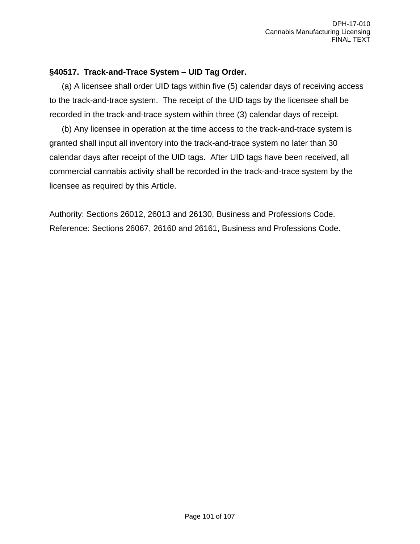# **§40517. Track-and-Trace System – UID Tag Order.**

(a) A licensee shall order UID tags within five (5) calendar days of receiving access to the track-and-trace system. The receipt of the UID tags by the licensee shall be recorded in the track-and-trace system within three (3) calendar days of receipt.

(b) Any licensee in operation at the time access to the track-and-trace system is granted shall input all inventory into the track-and-trace system no later than 30 calendar days after receipt of the UID tags. After UID tags have been received, all commercial cannabis activity shall be recorded in the track-and-trace system by the licensee as required by this Article.

Authority: Sections 26012, 26013 and 26130, Business and Professions Code. Reference: Sections 26067, 26160 and 26161, Business and Professions Code.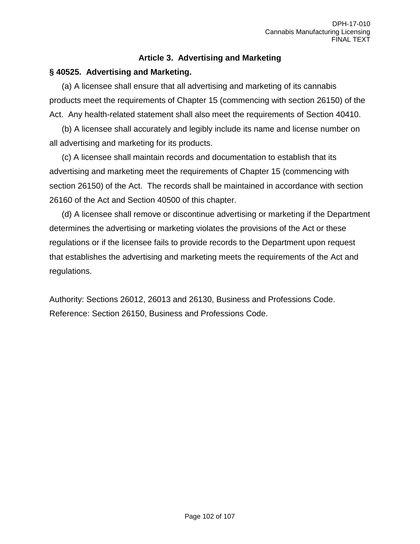# **Article 3. Advertising and Marketing**

# **§ 40525. Advertising and Marketing.**

(a) A licensee shall ensure that all advertising and marketing of its cannabis products meet the requirements of Chapter 15 (commencing with section 26150) of the Act. Any health-related statement shall also meet the requirements of Section 40410.

(b) A licensee shall accurately and legibly include its name and license number on all advertising and marketing for its products.

(c) A licensee shall maintain records and documentation to establish that its advertising and marketing meet the requirements of Chapter 15 (commencing with section 26150) of the Act. The records shall be maintained in accordance with section 26160 of the Act and Section 40500 of this chapter.

(d) A licensee shall remove or discontinue advertising or marketing if the Department determines the advertising or marketing violates the provisions of the Act or these regulations or if the licensee fails to provide records to the Department upon request that establishes the advertising and marketing meets the requirements of the Act and regulations.

Authority: Sections 26012, 26013 and 26130, Business and Professions Code. Reference: Section 26150, Business and Professions Code.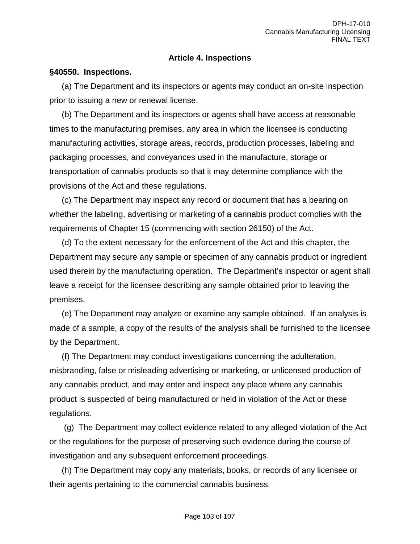# **Article 4. Inspections**

## **§40550. Inspections.**

(a) The Department and its inspectors or agents may conduct an on-site inspection prior to issuing a new or renewal license.

(b) The Department and its inspectors or agents shall have access at reasonable times to the manufacturing premises, any area in which the licensee is conducting manufacturing activities, storage areas, records, production processes, labeling and packaging processes, and conveyances used in the manufacture, storage or transportation of cannabis products so that it may determine compliance with the provisions of the Act and these regulations.

(c) The Department may inspect any record or document that has a bearing on whether the labeling, advertising or marketing of a cannabis product complies with the requirements of Chapter 15 (commencing with section 26150) of the Act.

(d) To the extent necessary for the enforcement of the Act and this chapter, the Department may secure any sample or specimen of any cannabis product or ingredient used therein by the manufacturing operation. The Department's inspector or agent shall leave a receipt for the licensee describing any sample obtained prior to leaving the premises.

(e) The Department may analyze or examine any sample obtained. If an analysis is made of a sample, a copy of the results of the analysis shall be furnished to the licensee by the Department.

(f) The Department may conduct investigations concerning the adulteration, misbranding, false or misleading advertising or marketing, or unlicensed production of any cannabis product, and may enter and inspect any place where any cannabis product is suspected of being manufactured or held in violation of the Act or these regulations.

(g) The Department may collect evidence related to any alleged violation of the Act or the regulations for the purpose of preserving such evidence during the course of investigation and any subsequent enforcement proceedings.

(h) The Department may copy any materials, books, or records of any licensee or their agents pertaining to the commercial cannabis business.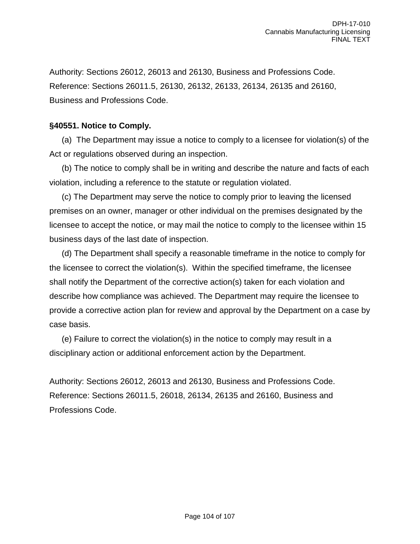Authority: Sections 26012, 26013 and 26130, Business and Professions Code. Reference: Sections 26011.5, 26130, 26132, 26133, 26134, 26135 and 26160, Business and Professions Code.

## **§40551. Notice to Comply.**

(a) The Department may issue a notice to comply to a licensee for violation(s) of the Act or regulations observed during an inspection.

(b) The notice to comply shall be in writing and describe the nature and facts of each violation, including a reference to the statute or regulation violated.

(c) The Department may serve the notice to comply prior to leaving the licensed premises on an owner, manager or other individual on the premises designated by the licensee to accept the notice, or may mail the notice to comply to the licensee within 15 business days of the last date of inspection.

(d) The Department shall specify a reasonable timeframe in the notice to comply for the licensee to correct the violation(s). Within the specified timeframe, the licensee shall notify the Department of the corrective action(s) taken for each violation and describe how compliance was achieved. The Department may require the licensee to provide a corrective action plan for review and approval by the Department on a case by case basis.

(e) Failure to correct the violation(s) in the notice to comply may result in a disciplinary action or additional enforcement action by the Department.

Authority: Sections 26012, 26013 and 26130, Business and Professions Code. Reference: Sections 26011.5, 26018, 26134, 26135 and 26160, Business and Professions Code.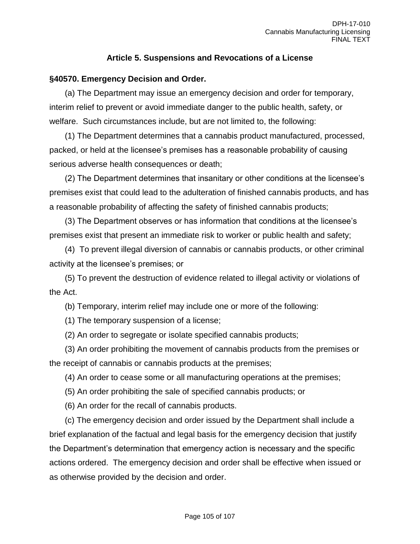# **Article 5. Suspensions and Revocations of a License**

#### **§40570. Emergency Decision and Order.**

(a) The Department may issue an emergency decision and order for temporary, interim relief to prevent or avoid immediate danger to the public health, safety, or welfare. Such circumstances include, but are not limited to, the following:

(1) The Department determines that a cannabis product manufactured, processed, packed, or held at the licensee's premises has a reasonable probability of causing serious adverse health consequences or death;

(2) The Department determines that insanitary or other conditions at the licensee's premises exist that could lead to the adulteration of finished cannabis products, and has a reasonable probability of affecting the safety of finished cannabis products;

(3) The Department observes or has information that conditions at the licensee's premises exist that present an immediate risk to worker or public health and safety;

(4) To prevent illegal diversion of cannabis or cannabis products, or other criminal activity at the licensee's premises; or

(5) To prevent the destruction of evidence related to illegal activity or violations of the Act.

(b) Temporary, interim relief may include one or more of the following:

(1) The temporary suspension of a license;

(2) An order to segregate or isolate specified cannabis products;

(3) An order prohibiting the movement of cannabis products from the premises or the receipt of cannabis or cannabis products at the premises;

(4) An order to cease some or all manufacturing operations at the premises;

(5) An order prohibiting the sale of specified cannabis products; or

(6) An order for the recall of cannabis products.

(c) The emergency decision and order issued by the Department shall include a brief explanation of the factual and legal basis for the emergency decision that justify the Department's determination that emergency action is necessary and the specific actions ordered. The emergency decision and order shall be effective when issued or as otherwise provided by the decision and order.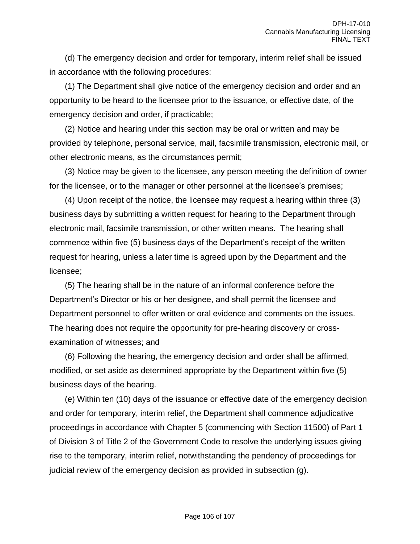(d) The emergency decision and order for temporary, interim relief shall be issued in accordance with the following procedures:

(1) The Department shall give notice of the emergency decision and order and an opportunity to be heard to the licensee prior to the issuance, or effective date, of the emergency decision and order, if practicable;

(2) Notice and hearing under this section may be oral or written and may be provided by telephone, personal service, mail, facsimile transmission, electronic mail, or other electronic means, as the circumstances permit;

(3) Notice may be given to the licensee, any person meeting the definition of owner for the licensee, or to the manager or other personnel at the licensee's premises;

(4) Upon receipt of the notice, the licensee may request a hearing within three (3) business days by submitting a written request for hearing to the Department through electronic mail, facsimile transmission, or other written means. The hearing shall commence within five (5) business days of the Department's receipt of the written request for hearing, unless a later time is agreed upon by the Department and the licensee;

(5) The hearing shall be in the nature of an informal conference before the Department's Director or his or her designee, and shall permit the licensee and Department personnel to offer written or oral evidence and comments on the issues. The hearing does not require the opportunity for pre-hearing discovery or crossexamination of witnesses; and

(6) Following the hearing, the emergency decision and order shall be affirmed, modified, or set aside as determined appropriate by the Department within five (5) business days of the hearing.

(e) Within ten (10) days of the issuance or effective date of the emergency decision and order for temporary, interim relief, the Department shall commence adjudicative proceedings in accordance with Chapter 5 (commencing with Section 11500) of Part 1 of Division 3 of Title 2 of the Government Code to resolve the underlying issues giving rise to the temporary, interim relief, notwithstanding the pendency of proceedings for judicial review of the emergency decision as provided in subsection (g).